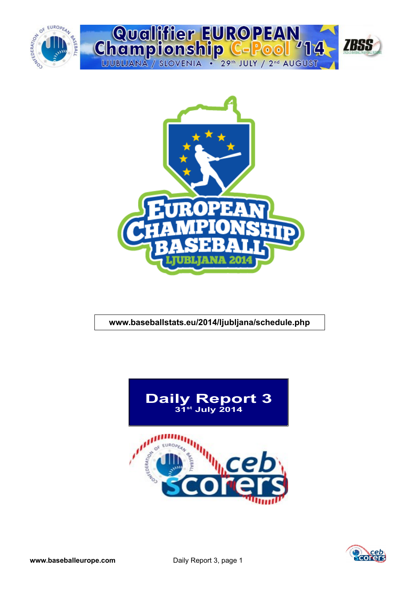



### **www.baseballstats.eu/2014/ljubljana/schedule.php**



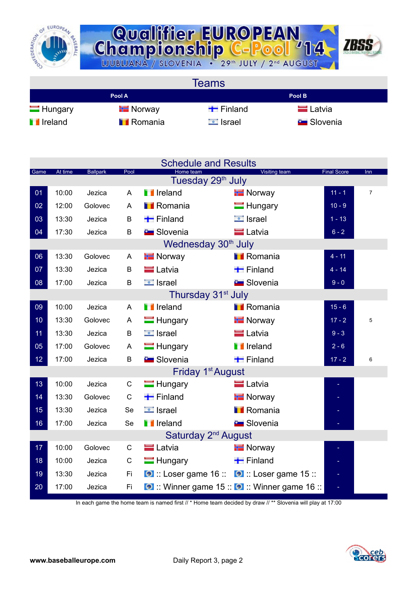



**Teams Pool A Pool B** Hungary Finland Finland Latvia **I** Ireland **I** Romania **I** Israel Slovenia

| Game | At time | <b>Ballpark</b> | Pool         | Home team<br>Tuesday 29 <sup>th</sup> July         | Visiting team                                 | <b>Final Score</b> | Inn            |
|------|---------|-----------------|--------------|----------------------------------------------------|-----------------------------------------------|--------------------|----------------|
| 01   | 10:00   | Jezica          | A            | <b>T</b> Ireland                                   | <b>E</b> Norway                               | $11 - 1$           | $\overline{7}$ |
| 02   | 12:00   | Golovec         | A            | <b>TRomania</b>                                    | $\blacksquare$ Hungary                        | $10 - 9$           |                |
| 03   | 13:30   | Jezica          | B            | $\blacksquare$ Finland                             | $\Box$ Israel                                 | $1 - 13$           |                |
| 04   | 17:30   | Jezica          | B            | <b>E</b> Slovenia                                  | <b>E</b> Latvia                               | $6 - 2$            |                |
|      |         |                 |              | Wednesday 30 <sup>th</sup> July                    |                                               |                    |                |
| 06   | 13:30   | Golovec         | A            | <b>T</b> Norway                                    | <b>I</b> Romania                              | $4 - 11$           |                |
| 07   | 13:30   | Jezica          | B            | <b>E</b> Latvia                                    | $\blacksquare$ Finland                        | $4 - 14$           |                |
| 08   | 17:00   | Jezica          | B            | $\Box$ Israel                                      | <b>Slovenia</b>                               | $9 - 0$            |                |
|      |         |                 |              | Thursday 31 <sup>st</sup> July                     |                                               |                    |                |
| 09   | 10:00   | Jezica          | A            | <b>T</b> Ireland                                   | <b>I</b> Romania                              | $15 - 6$           |                |
| 10   | 13:30   | Golovec         | A            | $\blacksquare$ Hungary                             | <b>H</b> Norway                               | $17 - 2$           | 5              |
| 11   | 13:30   | Jezica          | B            | $\blacksquare$ Israel                              | <b>Latvia</b>                                 | $9 - 3$            |                |
| 05   | 17:00   | Golovec         | A            | $\blacksquare$ Hungary                             | <b>T</b> Ireland                              | $2 - 6$            |                |
| 12   | 17:00   | Jezica          | B            | <b>B</b> Slovenia                                  | $\blacksquare$ Finland                        | $17 - 2$           | 6              |
|      |         |                 |              | Friday 1 <sup>st</sup> August                      |                                               |                    |                |
| 13   | 10:00   | Jezica          | $\mathsf{C}$ | $\blacksquare$ Hungary                             | <b>E</b> Latvia                               |                    |                |
| 14   | 13:30   | Golovec         | $\mathsf C$  | $\blacksquare$ Finland                             | <b>E</b> Norway                               |                    |                |
| 15   | 13:30   | Jezica          | Se           | <b>E</b> Israel                                    | <b>I</b> Romania                              |                    |                |
| 16   | 17:00   | Jezica          | Se           | <b>T</b> Ireland                                   | <b>Exc</b> Slovenia                           |                    |                |
|      |         |                 |              | Saturday 2 <sup>nd</sup> August                    |                                               |                    |                |
| 17   | 10:00   | Golovec         | C            | <b>E</b> Latvia                                    | <b>Norway</b>                                 |                    |                |
| 18   | 10:00   | Jezica          | $\mathsf C$  | $\blacksquare$ Hungary                             | $\blacksquare$ Finland                        |                    |                |
| 19   | 13:30   | Jezica          | Fi.          | <b>O</b> :: Loser game 16 :: 0 :: Loser game 15 :: |                                               |                    |                |
| 20   | 17:00   | Jezica          | Fi           |                                                    | O :: Winner game 15 :: O :: Winner game 16 :: | $\equiv$           |                |

In each game the home team is named first // \* Home team decided by draw // \*\* Slovenia will play at 17:00

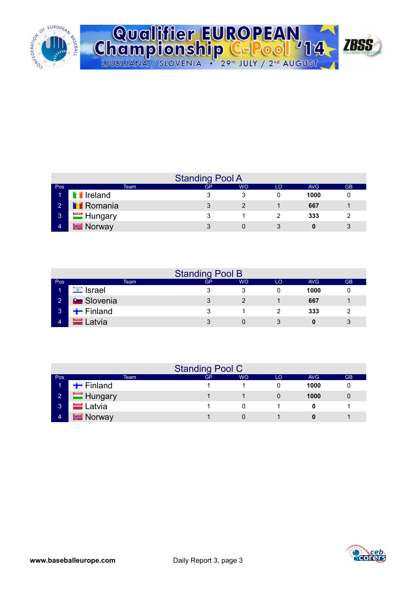

| Qualifier EUROPEAN<br>Championship C-Pool '14 / 1855 |  |
|------------------------------------------------------|--|
|                                                      |  |
| LJUBLJANA / SLOVENIA . 29th JULY / 2nd AUGUST        |  |

|                | <b>Standing Pool A</b> |    |           |    |      |           |  |  |  |  |  |  |  |  |  |
|----------------|------------------------|----|-----------|----|------|-----------|--|--|--|--|--|--|--|--|--|
| Pos            | Team                   | GP | <b>WO</b> | LO | AVG  | <b>GB</b> |  |  |  |  |  |  |  |  |  |
| м              | <b>T</b> Ireland       |    |           |    | 1000 |           |  |  |  |  |  |  |  |  |  |
| $\sim$ 2       | <b>Romania</b>         |    |           |    | 667  |           |  |  |  |  |  |  |  |  |  |
| $\mathbf{3}$   | $\blacksquare$ Hungary | ຈ  |           |    | 333  | ົ         |  |  |  |  |  |  |  |  |  |
| $\overline{4}$ | <b>Norway</b>          |    |           |    | 0    |           |  |  |  |  |  |  |  |  |  |

|                 | <b>Standing Pool B</b> |      |           |           |    |            |           |  |  |  |  |  |  |  |
|-----------------|------------------------|------|-----------|-----------|----|------------|-----------|--|--|--|--|--|--|--|
| Pos             |                        | Team | <b>GP</b> | <b>WO</b> | LO | <b>AVG</b> | <b>GB</b> |  |  |  |  |  |  |  |
|                 | Israel<br>$\bullet$    |      |           |           |    | 1000       |           |  |  |  |  |  |  |  |
| $\mathbf{2}$    | <b>C</b> Slovenia      |      |           |           |    | 667        |           |  |  |  |  |  |  |  |
| $\vert 3 \vert$ | $\blacksquare$ Finland |      |           |           |    | 333        |           |  |  |  |  |  |  |  |
| 4               | <sub>-</sub> atvia     |      | 2         |           |    | Ω          | 3         |  |  |  |  |  |  |  |

|                | <b>Standing Pool C</b> |    |    |    |      |           |  |  |  |  |  |  |  |  |  |
|----------------|------------------------|----|----|----|------|-----------|--|--|--|--|--|--|--|--|--|
| Pos            | Team                   | GP | WO | LO | AVG  | <b>GB</b> |  |  |  |  |  |  |  |  |  |
|                | $\blacksquare$ Finland |    |    |    | 1000 |           |  |  |  |  |  |  |  |  |  |
| 2 <sup>1</sup> | Hungary                |    |    |    | 1000 | 0         |  |  |  |  |  |  |  |  |  |
| 3              | $=$ Latvia             |    |    |    |      |           |  |  |  |  |  |  |  |  |  |
| 4              | $\blacksquare$ Norway  |    |    |    |      |           |  |  |  |  |  |  |  |  |  |

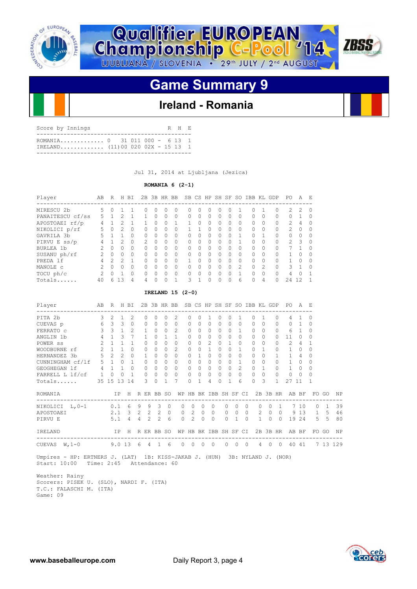



# **Game Summary 9**

# **Ireland - Romania**

| Score by Innings                                                |  |  | R H E |  |
|-----------------------------------------------------------------|--|--|-------|--|
| ROMANIA 0 31 011 000 - 6 13 1<br>IRELAND $(11)0002002X - 15131$ |  |  |       |  |

Jul 31, 2014 at Ljubljana (Jezica)

### **ROMANIA 6 (2-1)**

| Player           | AВ            | R             | H              | <b>BT</b> | 2B            |           | 3B HR    | BB       |           |          |              | SB CS HP SH SF |           | SO.           | TBB.      |                | KL GDP | PO.           | А             | E.     |
|------------------|---------------|---------------|----------------|-----------|---------------|-----------|----------|----------|-----------|----------|--------------|----------------|-----------|---------------|-----------|----------------|--------|---------------|---------------|--------|
| MIRESCU 2b       | 5             | 0             |                |           | Ω             | 0         | Ω        |          |           | 0        | 0            | O              |           |               | O         |                | 0      | $\mathcal{L}$ | $\mathcal{P}$ | - 0    |
| PANAITESCU cf/ss |               |               |                |           |               | $\Omega$  | 0        | $\Omega$ | $\bigcap$ | 0        | $\Omega$     | $\Omega$       |           | $\Omega$      | 0         | 0              | 0      | $\Omega$      |               |        |
| APOSTOAEI rf/p   | 4             |               |                |           |               | $\bigcap$ | $\Omega$ |          |           | $\Omega$ | $\Omega$     | $\Omega$       | $\bigcap$ | $\Omega$      | $\cap$    | <sup>0</sup>   | 0      | $\mathcal{P}$ | 4             |        |
| NIKOLICI p/rf    | 5             | $\Omega$      | $\mathfrak{D}$ | 0         | O             | $\bigcap$ | O        | $\Omega$ |           |          | $\bigcap$    | $\cap$         | $\cap$    | $\bigcap$     | $\bigcap$ | $\Omega$       | 0      | $\mathcal{P}$ | $\Omega$      |        |
| GAVRILA 3b       | 5             |               |                | 0         | U             | $\bigcap$ | O        | $\Omega$ |           | 0        | 0            | $\Omega$       |           |               | $\Omega$  |                | 0      | $\Omega$      | $\Omega$      |        |
| PIRVU E $ss/p$   | 4             |               | 2              | $\Omega$  | $\mathcal{P}$ | $\Omega$  | $\Omega$ | $\Omega$ | $\cap$    | $\cap$   | $\bigcap$    | $\cap$         | ∩         |               | $\Omega$  | <sup>0</sup>   | 0      | $\mathcal{P}$ | 3             | $\cap$ |
| BURLEA 1b        | 2             | $\Omega$      | $\Omega$       | $\Omega$  | O             | $\Omega$  | $\Omega$ | $\Omega$ | $\bigcap$ | $\Omega$ | $\Omega$     | $\Omega$       | $\Omega$  | <sup>0</sup>  | $\cap$    | $\Omega$       | O      |               |               |        |
| SUSANU ph/rf     | $\mathcal{P}$ | $\Omega$      | $\Omega$       | $\Omega$  | Ω             | $\Omega$  | $\Omega$ | $\Omega$ | $\cap$    | $\Omega$ | $\Omega$     | $\Omega$       | $\cap$    | $\Omega$      | $\cap$    | $\Omega$       | 0      |               | $\Omega$      |        |
| PREDA 1f         | 4             | $\mathcal{D}$ | 2              | 1         | Ω             | $\bigcap$ | $\Omega$ | $\Omega$ |           | U        | $\Omega$     | $\cap$         | ∩         | $\bigcap$     | $\cap$    | $\Omega$       | O      |               | O             | $\cap$ |
| MANOLE C         |               | O             | $\bigcap$      | 0         | Ω             | $\bigcap$ | O        | $\Omega$ | $\cap$    | 0        | 0            | <sup>0</sup>   | ∩         | $\mathcal{P}$ | 0         | $\mathfrak{D}$ | 0      | 3             |               |        |
| TOCU ph/c        | $\mathcal{P}$ | $\cap$        |                | $\Omega$  | Ω             | 0         | $\Omega$ | $\Omega$ |           | $\Omega$ | $\bigcap$    | $\cap$         |           |               | U         | <sup>0</sup>   | 0      | 4             | $\Omega$      |        |
| Totals           | 40            | Г.            | २              | 4         | 4             | U         | ∩        |          | २         |          | <sup>0</sup> | $\cap$         |           | 6             | O         | 4              | O      | 24            | 12            |        |

### **IRELAND 15 (2-0)**

| Player                            |                                                                                                            | AB R H BI               |                |                 |                |              |             |                 | 2B 3B HR BB SB CS HP SH SF SO IBB KL GDP PO |                            |              |                |           |              |                |            |           |                           |              |                                                      | <b>A</b>       | - E      |              |           |
|-----------------------------------|------------------------------------------------------------------------------------------------------------|-------------------------|----------------|-----------------|----------------|--------------|-------------|-----------------|---------------------------------------------|----------------------------|--------------|----------------|-----------|--------------|----------------|------------|-----------|---------------------------|--------------|------------------------------------------------------|----------------|----------|--------------|-----------|
| PITA 2b                           | $\mathcal{E}$                                                                                              | $\mathcal{L}$           | $\mathbf{1}$   | $\mathcal{L}$   |                | $\Omega$     | 0           | $\Omega$        | $\mathfrak{D}$                              | $\Omega$                   | $\Omega$     | $\mathbf{1}$   | $\Omega$  | $\Omega$     | 1              |            | $\Omega$  | $\overline{1}$            | $\Omega$     | 4                                                    |                | 0        |              |           |
| CUEVAS p                          | 6                                                                                                          | $\overline{\mathbf{3}}$ | 3              | $\circ$         |                | $\Omega$     | 0           | $\bigcap$       | $\Omega$                                    | $\Omega$                   | $\Omega$     | $\Omega$       | $\Omega$  | $\Omega$     | $\Omega$       |            | $\bigcap$ | $\Omega$                  | 0            | $\bigcap$                                            | $\mathbf{1}$   | 0        |              |           |
| FERRATO C                         | $\mathcal{E}$                                                                                              | $\mathcal{E}$           | $\mathbf{1}$   | 2               |                | $\mathbf{1}$ | $\Omega$    | $\Omega$        | $\mathcal{L}$                               | $\Omega$                   | $\Omega$     | $\Omega$       | $\Omega$  | $\Omega$     | $\mathbf{1}$   |            | $\Omega$  | $\Omega$                  | $\Omega$     | 6                                                    | $\overline{1}$ | 0        |              |           |
| ANGLIN 1b                         | $\overline{4}$                                                                                             | $\mathbf{1}$            | $\mathcal{L}$  | 7               |                | $\mathbf{1}$ | $\Omega$    | 1               | $\overline{1}$                              | 0                          | $\cap$       | $\mathbf 0$    | $\Omega$  | $\Omega$     | $\Omega$       |            | $\bigcap$ | $\Omega$                  | $\Omega$     | 11                                                   | $\Omega$       | 0        |              |           |
| POWER <sub>ss</sub>               | $2^{\circ}$                                                                                                | $\overline{1}$          | $\mathbf{1}$   | $\mathbf{1}$    |                | $\Omega$     | 0           | $\Omega$        | $\Omega$                                    | $\Omega$                   | $\Omega$     | $\mathcal{L}$  | $\bigcap$ | $\mathbf{1}$ | $\Omega$       |            | $\bigcap$ | $\Omega$                  | 0            | $\mathcal{L}$                                        | 4              | 1        |              |           |
| WOODBURNE rf                      |                                                                                                            | $2 \quad 1$             | $\mathbf{1}$   | $\Omega$        |                | $\Omega$     | $\Omega$    | $\cap$          | 2                                           | $\Omega$                   | $\Omega$     | $\mathbf{1}$   | $\Omega$  | $\Omega$     | 1              |            | $\bigcap$ | $\mathbf{1}$              | $\Omega$     | 1                                                    | $\Omega$       | $\Omega$ |              |           |
| $5\quad 2\quad 2$<br>HERNANDEZ 3b |                                                                                                            |                         |                | $\Omega$        |                | $\mathbf{1}$ | 0           | $\Omega$        | $\Omega$                                    | $\Omega$                   | $\mathbf{1}$ | $\Omega$       | $\Omega$  | $\Omega$     | $\Omega$       |            | $\bigcap$ | $\Omega$                  | $\mathbf{1}$ | $\mathbf{1}$                                         | 4              | 0        |              |           |
| CUNNINGHAM cf/lf 5 1 0            |                                                                                                            |                         |                | $\mathbf{1}$    |                | $\Omega$     | $\Omega$    | $\cap$          | $\Omega$                                    | $\Omega$                   | 0            | $\Omega$       | $\Omega$  | $\Omega$     | 1              |            | $\bigcap$ | $\Omega$                  | $\Omega$     | $\mathbf{1}$                                         | $\Omega$       | 0        |              |           |
| GEOGHEGAN 1f                      | 4 1 1                                                                                                      |                         |                | $\Omega$        |                | $\Omega$     | 0           | $\cap$          | $\Omega$                                    | $\Omega$                   | $\cap$       | $\Omega$       | $\cap$    | $\cap$       | $\mathcal{L}$  |            | $\Omega$  | $\overline{1}$            | $\Omega$     | $\mathbf{1}$                                         | $\Omega$       | $\Omega$ |              |           |
| FARRELL L lf/cf                   | $\sim$ 1                                                                                                   | $\circ$                 | $\overline{0}$ | $\overline{1}$  |                | $\Omega$     | 0           | $\circ$         | $\Omega$                                    | $\circ$                    | $\Omega$     | $\circ$        | $\Omega$  | $\Omega$     | $\Omega$       |            | $\Omega$  | $\Omega$                  | $\Omega$     | $\mathbf{0}$                                         | $\Omega$       | 0        |              |           |
| Totals                            |                                                                                                            | 35 15 13 14             |                |                 |                | 3            | $\Omega$    | $\mathbf{1}$    | 7                                           | $\Omega$                   | 1            | 4              | $\bigcap$ | 1            | 6              |            | $\cap$    | 3                         | $\mathbf{1}$ | 27                                                   | 11             | 1        |              |           |
| ROMANIA                           |                                                                                                            | ---------------------   |                | IP H R ER BB SO |                |              |             |                 |                                             | WP HB BK IBB SH SF CI      |              |                |           |              |                |            |           |                           |              | 2B 3B HR AB BF                                       |                |          | FO GO        | <b>NP</b> |
| NIKOLICI $L, 0-1$ 0.1 6           |                                                                                                            |                         |                |                 | 9              |              | 9 3         | $\circ$         | $\Omega$                                    | $\Omega$                   | $\Omega$     |                | $\Omega$  | $\Omega$     | $\Omega$       | $\Omega$   |           | $\Omega$<br>$\Omega$      |              | -------------------<br>$\sim$ 1                      | 7 10           | $\Omega$ | $\mathbf{1}$ | 39        |
| APOSTOAEI                         |                                                                                                            |                         |                | 2.1 3 2 2 2     |                |              |             | $\Omega$        |                                             | $\overline{2}$<br>$\Omega$ | $\Omega$     | $\Omega$       |           | $\Omega$     | $\Omega$       | $\bigcirc$ |           | 200                       |              |                                                      |                | 9 1 3 1  | -5           | 46        |
| PIRVU E                           |                                                                                                            |                         | 5.1            | 4               | $\overline{4}$ |              | $2 \quad 2$ | $6\overline{6}$ |                                             | $2^{1}$<br>$\circ$         | $\cap$       |                | $\Omega$  | $\Omega$     | $\overline{1}$ | $\bigcirc$ |           | $1 \quad 0 \quad 0$       |              |                                                      | 19 24          |          | $5 \quad 5$  | 80        |
| <b>TRELAND</b>                    |                                                                                                            |                         |                |                 |                |              |             |                 |                                             |                            |              |                |           |              |                |            |           |                           |              | IP H R ER BB SO WP HB BK IBB SH SF CI 2B 3B HR AB BF |                |          | FO GO        | NP        |
| 9.013<br>CUEVAS $W, 1-0$          |                                                                                                            |                         |                |                 | - 6            |              | 4 1 6       |                 |                                             | $0 \quad 0$                | $\bigcirc$   | $\overline{0}$ |           | $\Omega$     | $\Omega$       | $\bigcirc$ |           | $\overline{4}$<br>$\circ$ | $\bigcirc$   | 40                                                   | 41             |          |              | 7 13 129  |
| Start: 10:00                      | Umpires - HP: ERTNERS J. (LAT) 1B: KISS-JAKAB J. (HUN) 3B: NYLAND J. (NOR)<br>Time: 2:45<br>Attendance: 60 |                         |                |                 |                |              |             |                 |                                             |                            |              |                |           |              |                |            |           |                           |              |                                                      |                |          |              |           |

 Weather: Rainy Scorers: PISEK U. (SLO), NARDI F. (ITA) T.C.: FALASCHI M. (ITA) Game: 09

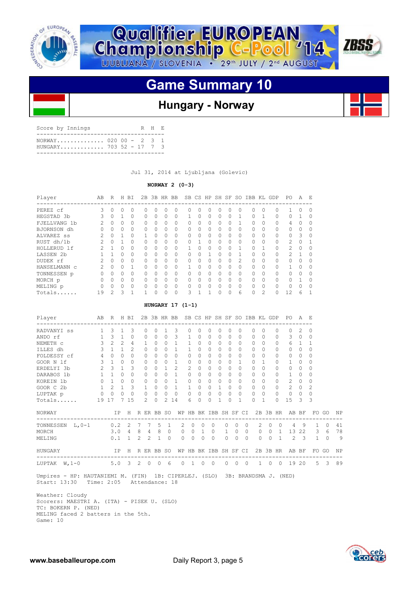



# **Game Summary 10**

# **Hungary - Norway**

| Score by Innings |                                                  |  |  | R H E |  |
|------------------|--------------------------------------------------|--|--|-------|--|
|                  | NORWAY 020 00 - 2 3 1<br>HUNGARY 703 52 - 17 7 3 |  |  |       |  |
|                  |                                                  |  |  |       |  |

Jul 31, 2014 at Ljubljana (Golevic)

### **NORWAY 2 (0-3)**

| Player             | AB            | R        | H            | ВI           | 2B |              | 3B HR BB |           |              |   |          |   |           |              | SB CS HP SH SF SO IBB KL GDP |               |                                          | PO.           | A            | E,       |
|--------------------|---------------|----------|--------------|--------------|----|--------------|----------|-----------|--------------|---|----------|---|-----------|--------------|------------------------------|---------------|------------------------------------------|---------------|--------------|----------|
| PEREZ cf           | 3             | 0        | $\bigcap$    | $\Omega$     | Ω  | <sup>0</sup> | 0        | $\Omega$  | ∩            |   | $\Omega$ | Ω |           | <sup>0</sup> | $\cap$                       | $\Omega$      | -----------------------------------<br>0 |               | 0            | $\Omega$ |
| HEGSTAD 3b         | 3             | 0        |              | 0            | 0  | $\Omega$     | 0        | $\Omega$  |              |   | 0        | 0 | $\Omega$  |              | $\bigcap$                    |               | 0                                        | 0             |              | $\Omega$ |
| FJELLVANG<br>- 1 b | $\mathcal{P}$ | $\Omega$ | $\Omega$     | $\Omega$     | 0  | $\Omega$     | 0        | $\Omega$  | $\bigcap$    | 0 | $\Omega$ | 0 | $\Omega$  | 1            | $\bigcap$                    | $\Omega$      | 0                                        | 4             | $\Omega$     | $\Omega$ |
| BJORNSON dh        | U             | $\Omega$ | $\Omega$     | $\Omega$     | 0  | 0            | 0        | $\Omega$  | U            | Ω | $\Omega$ | U | $\Omega$  | <sup>0</sup> | $\bigcap$                    | $\Omega$      | 0                                        | $\cap$        | <sup>0</sup> | ∩        |
| ALVAREZ ss         | $\mathcal{P}$ | $\Omega$ |              | $\Omega$     |    | $\Omega$     | $\Omega$ | $\Omega$  | $\cap$       |   | $\Omega$ | U | $\Omega$  | 0            | $\bigcap$                    | $\Omega$      | 0                                        | 0             | 3            | $\Omega$ |
| RUST dh/1b         | 2             | 0        |              | 0            | 0  | 0            | 0        | $\Omega$  | <sup>0</sup> |   | $\Omega$ | 0 | $\Omega$  | $\Omega$     | $\bigcap$                    | $\Omega$      | 0                                        | 2             | 0            |          |
| HOLLERUD 1f        | $\mathcal{P}$ |          | <sup>n</sup> | $\Omega$     | 0  | $\Omega$     | 0        | $\Omega$  |              | ∩ | $\Omega$ | U | $\Omega$  |              | $\cap$                       |               | 0                                        | $\mathcal{L}$ | $\Omega$     | $\Omega$ |
| LASSEN 2b          |               |          | $\cap$       | $\Omega$     | Λ  | <sup>0</sup> | $\Omega$ | $\bigcap$ | U            |   |          |   |           |              |                              | $\Omega$      | 0                                        | $\mathcal{L}$ |              | $\Omega$ |
| DUDEK rf           |               | 0        | $\Omega$     | $\Omega$     | 0  | $\Omega$     | 0        | $\Omega$  | <sup>0</sup> | Ω | 0        | U | $\Omega$  | 2            | O.                           | $\Omega$      | 0                                        | O             | 0            | O        |
| HANSELMANN C       | $\mathcal{L}$ | $\Omega$ | $\Omega$     |              | 0  | $\Omega$     | O        | $\Omega$  |              | n | $\Omega$ | O | $\bigcap$ | <sup>0</sup> | $\cap$                       | $\Omega$      | 0                                        |               | O            | $\Omega$ |
| TONNESSEN p        | U             | $\Omega$ | $\bigcap$    | $\Omega$     | Λ  | $\Omega$     | $\Omega$ | $\Omega$  | ∩            |   | $\Omega$ | O | $\Omega$  | <sup>0</sup> | <sup>n</sup>                 | $\Omega$      | 0                                        | $\cap$        | $\Omega$     |          |
| MORCH p            | 0             | $\Omega$ | $\Omega$     | $\Omega$     | 0  | $\Omega$     | $\Omega$ | $\Omega$  | $\Omega$     | Ω | $\Omega$ | U | $\Omega$  | 0            | $\bigcap$                    | $\Omega$      | 0                                        | $\Omega$      |              | $\Omega$ |
| MELING p           | 0             | O        | $\bigcap$    | <sup>0</sup> | 0  | <sup>0</sup> | 0        | $\Omega$  | U            | Λ | $\Omega$ | U | $\Omega$  | <sup>0</sup> | $\bigcap$                    | $\Omega$      | 0                                        | <sup>0</sup>  | O            | $\Omega$ |
| Totals             | 19            | っ        | ₹            |              |    | U            |          | $\Omega$  |              |   |          |   |           | 6            | $\cap$                       | $\mathcal{D}$ | O                                        | 12            | 6            |          |

### **HUNGARY 17 (1-1)**

| Player                                                       |                                                                                                                       | AB R H BI           |                |                       |  |               |          |              | 2B 3B HR BB SB CS HP SH SF SO IBB KL GDP             |                       |                |            |              |            |                          |            |             |              |                | PO PO            | A FI           |                                               |             |     |
|--------------------------------------------------------------|-----------------------------------------------------------------------------------------------------------------------|---------------------|----------------|-----------------------|--|---------------|----------|--------------|------------------------------------------------------|-----------------------|----------------|------------|--------------|------------|--------------------------|------------|-------------|--------------|----------------|------------------|----------------|-----------------------------------------------|-------------|-----|
| RADVANYI ss                                                  | $\mathbf{1}$                                                                                                          | $\overline{3}$      | $\overline{1}$ | 3                     |  | $\Omega$      | $\Omega$ | 1.           | -3                                                   | ---------<br>$\Omega$ | $\Omega$       | $\Omega$   | $\Omega$     | $\Omega$   | ------------<br>$\Omega$ |            | $\bigcap$   | $\bigcap$    | $\Omega$       | $\cap$           | 2              | $\Omega$                                      |             |     |
| ANDO rf                                                      | 1                                                                                                                     | $3 \quad 1$         |                | $\Omega$              |  | $\Omega$      | $\Omega$ | $\Omega$     | 3                                                    | $\mathbf{1}$          | $\Omega$       | $\Omega$   | $\Omega$     | $\Omega$   | $\bigcap$                |            | $\bigcap$   | $\Omega$     | $\Omega$       | $\overline{3}$ 0 |                | $\Omega$                                      |             |     |
| NEMETH C                                                     |                                                                                                                       | $3 \quad 2$         | 2              | 4                     |  | $\mathbf{1}$  | $\Omega$ | $\cap$       | $\mathbf{1}$                                         | $\mathbf{1}$          | $\Omega$       | $\circ$    | 0            | $\Omega$   | $\bigcap$                |            | $\bigcap$   | 0            | $\Omega$       | 6                | $\overline{1}$ | $\overline{1}$                                |             |     |
| ILLES dh                                                     | $\mathbf{3}$                                                                                                          | $\mathbf{1}$        | $\overline{1}$ | $\mathfrak{D}$        |  | $\Omega$      | $\Omega$ | $\cap$       | $\overline{1}$                                       | $\mathbf{1}$          | $\Omega$       | $\Omega$   | $\Omega$     | $\Omega$   | $\bigcap$                |            | $\bigcap$   | 0            | $\Omega$       | $\cap$           | $\Omega$       | $\Omega$                                      |             |     |
| FOLDESSY cf                                                  | $4 -$                                                                                                                 | $\cap$              | $\Omega$       | $\Omega$              |  | $\Omega$      | $\Omega$ | $\cap$       | $\Omega$                                             | $\Omega$              | $\Omega$       | $\cap$     | $\Omega$     | $\Omega$   | $\bigcap$                |            | $\bigcap$   | $\Omega$     | $\Omega$       | $\Omega$         | $\Omega$       | $\Omega$                                      |             |     |
| GOOR N 1f                                                    | $\mathcal{E}$                                                                                                         | $\overline{1}$      | $\Omega$       | $\Omega$              |  | $\Omega$      | $\Omega$ | $\Omega$     | $\overline{1}$                                       | $\circ$               | $\Omega$       | $\Omega$   | $\Omega$     | $\Omega$   | 1                        |            | $\Omega$    | $\mathbf{1}$ | $\Omega$       | $\mathbf{1}$     | $\Omega$       | $\Omega$                                      |             |     |
| ERDELYI 3b                                                   | $\overline{2}$                                                                                                        | $\mathcal{E}$       | $\overline{1}$ | 3                     |  | $\Omega$      | $\Omega$ | $\mathbf{1}$ | $\mathcal{L}$                                        | $\mathfrak{D}$        | $\Omega$       | $\Omega$   | $\Omega$     | $\Omega$   | $\Omega$                 |            | $\cap$      | $\Omega$     | $\Omega$       | $\Omega$         | $\Omega$       | $\Omega$                                      |             |     |
| DARABOS 1b                                                   |                                                                                                                       | $1\quad 1\quad 0$   |                | $\Omega$              |  | $\Omega$      | $\cap$   |              | $0 \quad 1$                                          | $\Omega$              | $\cap$         | $\bigcirc$ | $\Omega$     | $\Omega$   | $\bigcap$                |            | $\Omega$    | $\Omega$     | $\Omega$       | $\mathbf{1}$     | $\cap$         | $\Omega$                                      |             |     |
| KOREIN 1b                                                    |                                                                                                                       | $0 \quad 1 \quad 0$ |                | $\Omega$              |  | $\Omega$      | $\Omega$ |              | $0\quad1$                                            | $\circ$               | $\Omega$       | $\Omega$   | $\circ$      | $\Omega$   | $\Omega$                 |            | $\Omega$    | $\Omega$     | $\Omega$       | 2                | $\Omega$       | $\Omega$                                      |             |     |
| GOOR C 2b                                                    |                                                                                                                       | $1 \quad 2$         | $\overline{1}$ | 3                     |  | $\mathbf{1}$  | $\circ$  |              | $0\quad1$                                            | $\mathbf{1}$          | $\Omega$       | $\Omega$   | $\mathbf{1}$ | $\Omega$   | $\bigcap$                |            | $\bigcap$   | $\Omega$     | $\cap$         | $\overline{2}$   | $\bigcirc$     | 2                                             |             |     |
| LUPTAK p 0                                                   |                                                                                                                       | $\overline{0}$      | $\mathbf{0}$   | $\circ$               |  | $\Omega$      | $\Omega$ | $\circ$      | $\Omega$                                             | $\bigcap$             | $\Omega$       | $\Omega$   | $\circ$      | $\Omega$   | $\Omega$                 |            | $\Omega$    | $\Omega$     | $\Omega$       | $\circ$          | $\Omega$       | $\Omega$                                      |             |     |
| Totals $19 17$                                               |                                                                                                                       |                     |                | 7 15                  |  | $\mathcal{L}$ | $\Omega$ |              | 2 14                                                 | 6                     | $\Omega$       | $\Omega$   | $\mathbf{1}$ | $\Omega$   | $\mathbf{1}$             |            | $\Omega$    | $\mathbf{1}$ | $\Omega$       | 15               | $\mathcal{R}$  | 3                                             |             |     |
| IP H RERBB SO WP HB BK IBB SH SF CI 2B 3B HR AB BF<br>NORWAY |                                                                                                                       |                     |                |                       |  |               |          |              |                                                      |                       |                |            |              |            |                          |            |             |              |                |                  |                |                                               | FO GO       | ΝP  |
| TONNESSEN L, 0-1 0.2 2 7                                     |                                                                                                                       |                     |                |                       |  |               | 7 5 1    |              | $\mathcal{L}$                                        | $\Omega$              | $\circ$        | $\Omega$   |              | $\Omega$   | $\circ$                  | $\bigcirc$ | $2^{\circ}$ | $\Omega$     | $\Omega$       |                  | 4 9            |                                               | $1 \quad 0$ | 41  |
| MORCH                                                        |                                                                                                                       |                     |                | $3.0 \t4 \t8 \t4 \t8$ |  |               |          |              | $\Omega$<br>$\Omega$                                 | $\circ$               | $\overline{1}$ |            |              | $0\quad 1$ | $\circ$                  | $\Omega$   | $\circ$     |              |                |                  |                | $0 \quad 1 \quad 13 \quad 22 \quad 3 \quad 6$ |             | 78  |
| MELING                                                       |                                                                                                                       |                     |                | $0.1$ 1 2 2 1         |  |               |          | $\Omega$     | $\Omega$                                             | $\Omega$              | $\Omega$       | $\Omega$   |              | $\Omega$   | $\Omega$                 | $\Omega$   | $\Omega$    | $\Omega$     | $\overline{1}$ |                  | $2 \quad 3$    |                                               | $1 \quad 0$ | - 9 |
| HUNGARY                                                      |                                                                                                                       |                     |                |                       |  |               |          |              | IP H R ER BB SO WP HB BK IBB SH SF CI 2B 3B HR AB BF |                       |                |            |              |            |                          |            |             |              |                |                  |                |                                               | FO GO       | NP  |
| LUPTAK W, 1-0 5.0 3 2 0 0 6                                  |                                                                                                                       |                     |                |                       |  |               |          |              |                                                      | 0 1 0 0               |                |            |              |            | $0\quad 0\quad 0$        |            |             |              |                | 1 0 0 19 20      |                | ------------------------                      | 5 3 89      |     |
| Weather: Cloudy                                              | Umpires - HP: HAUTANIEMI M. (FIN) 1B: CIPERLEJ. (SLO) 3B: BRANDSMA J. (NED)<br>Start: 13:30 Time: 2:05 Attendance: 18 |                     |                |                       |  |               |          |              |                                                      |                       |                |            |              |            |                          |            |             |              |                |                  |                |                                               |             |     |

 Scorers: MAESTRI A. (ITA) - PISEK U. (SLO) TC: BOKERN P. (NED) MELING faced 2 batters in the 5th. Game: 10

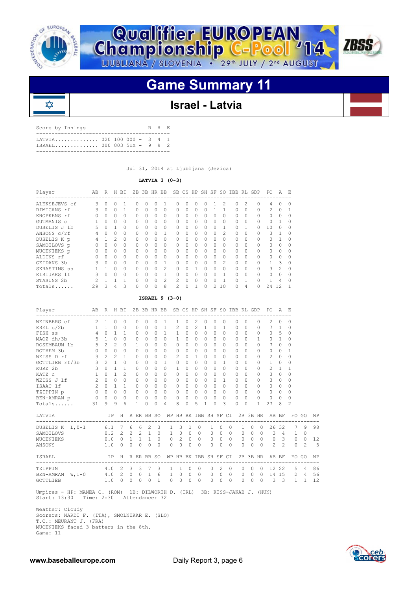

₥



# **Game Summary 11**



| Score by Innings           |  |  | R H E |  |
|----------------------------|--|--|-------|--|
| LATVIA 020 100 000 - 3 4 1 |  |  |       |  |

Jul 31, 2014 at Ljubljana (Jezica)

 **LATVIA 3 (0-3)**

| Player        | AB | R            | H            | ВI        | 2B       |              | 3B HR BB |                | SB             |              |   | CS HP SH SF  |              | SO.            | IBB      |              | KL GDP   | PO.           | A            | E.       |
|---------------|----|--------------|--------------|-----------|----------|--------------|----------|----------------|----------------|--------------|---|--------------|--------------|----------------|----------|--------------|----------|---------------|--------------|----------|
| ALEKSEJEVS cf | 3  | <sup>n</sup> | Ω            |           | O        | <sup>0</sup> | U        |                | O              | <sup>n</sup> | 0 | O            |              | 2              | 0        | 2            | 0        | 4             | n            | $\Omega$ |
| RIMICANS rf   |    | 0            | 0            |           | 0        | $\Omega$     | $\Omega$ | 0              | $\Omega$       | <sup>n</sup> | 0 | 0            |              |                | 0        | $\Omega$     | $\Omega$ | $\mathcal{P}$ | $\bigcap$    |          |
| KNOPKENS rf   | U  | 0            | 0            | 0         | 0        | $\Omega$     | $\Omega$ | 0              | 0              | $\Omega$     | 0 | 0            | 0            | 0              | $\Omega$ | 0            | 0        | 0             |              | 0        |
| GUTMANIS c    |    | U            | <sup>n</sup> | $\Omega$  | 0        | $\cap$       | $\Omega$ | $\Omega$       | $\Omega$       | <sup>0</sup> | 0 | 0            | $\Omega$     | n              | $\Omega$ | 0            | 0        | 0             |              | $\Omega$ |
| DUSELIS J 1b  |    | 0            |              | $\Omega$  | $\Omega$ | $\bigcap$    | O        | 0              | O.             | <sup>n</sup> | 0 | 0            | <sup>n</sup> |                | 0        |              | 0        | 10            | $\cap$       | $\Omega$ |
| ANSONS c/rf   |    | U            | 0            | 0         | O        | <sup>n</sup> | $\Omega$ |                | O              | U            | O | 0            | <sup>n</sup> | $\mathfrak{D}$ | $\Omega$ | 0            | O        | ς             |              | ∩        |
| DUSELIS K p   |    |              | 2            | $\Omega$  | 0        | $\Omega$     | $\Omega$ | $\Omega$       | 0              | <sup>n</sup> | 0 | 0            | 0            | O              | 0        | 0            | 0        | 0             |              |          |
| SAMOILOVS p   | Ω  | U            | 0            | $\Omega$  | 0        | $\bigcap$    | $\Omega$ | 0              | $\Omega$       | <sup>0</sup> | 0 | 0            | $\Omega$     | <sup>n</sup>   | $\Omega$ | 0            | 0        | 0             | <sup>0</sup> | $\Omega$ |
| MUCENIEKS p   | U  | U            | <sup>n</sup> | $\Omega$  | $\Omega$ | $\cap$       | $\Omega$ | $\Omega$       | $\Omega$       | <sup>n</sup> | 0 | 0            | $\Omega$     | O              | $\Omega$ | <sup>0</sup> | $\Omega$ | $\cap$        | $\Omega$     | $\Omega$ |
| ALDINS rf     |    |              | 0            | 0         | O        | <sup>n</sup> | O        | $\Omega$       | U              | <sup>n</sup> | 0 | <sup>0</sup> | <sup>n</sup> | U              | 0        |              | 0        | $\Omega$      | $\cap$       |          |
| GEIDANS 3b    |    | 0            | 0            | $\Omega$  | O        | $\cap$       | O        | 1              | O              | <sup>0</sup> | 0 | 0            | <sup>n</sup> | $\mathfrak{D}$ | $\Omega$ | 0            | $\Omega$ |               | 3            |          |
| SKRASTINS ss  |    |              | 0            | $\Omega$  | 0        | $\cap$       | O        | $\mathfrak{D}$ | $\Omega$       | O.           |   | 0            | <sup>n</sup> | <sup>0</sup>   | 0        | 0            | 0        | ζ             | 2            | $\Omega$ |
| KIRIJAKS 1f   |    | <sup>n</sup> | 0            | $\bigcap$ | O        | $\bigcap$    | O        |                | O.             | <sup>n</sup> | O | O.           | 0            |                | $\Omega$ | <sup>n</sup> | 0        | 0             | $\Omega$     | $\cap$   |
| STASUNS 2b    |    |              |              |           | O        | <sup>n</sup> | O        | $\mathfrak{D}$ | $\mathfrak{D}$ | <sup>n</sup> | O | <sup>n</sup> | n            |                | $\cap$   |              | O        |               | 4            | ∩        |
| Totals        | 29 | 3            | 4            | 3         | 0        |              | 0        | 8              | $\mathfrak{D}$ |              |   | 0            | 2            | 10             | 0        | 4            | 0        | 24            | 12           |          |

### **ISRAEL 9 (3-0)**

| AB R H BI 2B 3B HR BB SB CS HP SH SF SO IBB KL GDP PO A E<br>Player        |                         |                     |                |                 |                |              |                             |                                     |                                       |                          |                |                        |                |                |                      |                |           |              |              |          |                                                                                                 |                |                |              |      |
|----------------------------------------------------------------------------|-------------------------|---------------------|----------------|-----------------|----------------|--------------|-----------------------------|-------------------------------------|---------------------------------------|--------------------------|----------------|------------------------|----------------|----------------|----------------------|----------------|-----------|--------------|--------------|----------|-------------------------------------------------------------------------------------------------|----------------|----------------|--------------|------|
| WEINBERG cf 2                                                              |                         | 1                   | $\circ$        | $\circ$         |                | $\Omega$     | $\Omega$                    | 0                                   | 1                                     | 1.                       | $\mathbf{0}$   | 2                      | $\mathbf{0}$   | $\Omega$       | 0                    |                | $\Omega$  | $\Omega$     |              | 0        | 2                                                                                               | 0              | $\Omega$       |              |      |
| EREL $c/2b$                                                                |                         | $1 \quad 1 \quad 0$ |                | $\Omega$        |                | $\Omega$     | $\bigcap$                   | $\Omega$                            | $\overline{1}$                        | $\mathcal{L}$            | $\Omega$       | $2^{1}$                | $\overline{1}$ | $\Omega$       | $\mathbf{1}$         |                | $\Omega$  | $\Omega$     |              | $\Omega$ | 7 <sub>1</sub>                                                                                  |                | $\Omega$       |              |      |
| FISH SS                                                                    | $4\overline{ }$         | $\Omega$            | $\mathbf{1}$   | $\mathbf{1}$    |                | $\circ$      | $\Omega$                    |                                     | $0\quad1$                             | $\mathbf{1}$             | $\Omega$       | $\Omega$               | $\Omega$       | $\Omega$       | $\Omega$             |                | $\Omega$  | $\cap$       |              | $\Omega$ | $\Omega$                                                                                        | 5              | 0              |              |      |
| MAOZ dh/3b                                                                 |                         | $5\quad 1\quad 0$   |                | $\Omega$        |                | $\Omega$     | $\bigcap$                   | $\cap$                              | $\cap$                                | 1                        | $\bigcap$      | $\Omega$               | $\cap$         | $\Omega$       | $\cap$               |                | $\bigcap$ | $\cap$       |              | 1        | $\Omega$                                                                                        | $\mathbf{1}$   | $\Omega$       |              |      |
| ROSEMBAUM 1b                                                               |                         | $5 \t2$             | $\mathfrak{D}$ | $\Omega$        |                | $\mathbf{1}$ | $\Omega$                    | $\Omega$                            | $\Omega$                              | $\Omega$                 | $\Omega$       | $\Omega$               | $\bigcap$      |                | $\Omega$<br>$\Omega$ |                | $\Omega$  | $\Omega$     | $\Omega$     |          | $7\phantom{.0}$                                                                                 | $\Omega$       | $\Omega$       |              |      |
| ROTHEM 3b                                                                  |                         | $0\quad 0\quad 0$   |                | $\Omega$        |                | $\Omega$     | $\Omega$                    | $\Omega$                            | $\Omega$                              | 0                        | $\Omega$       | $\Omega$               | $\Omega$       | $\Omega$       | $\Omega$             |                | $\Omega$  | $\Omega$     |              | $\Omega$ | $\Omega$                                                                                        | $\Omega$       | 1              |              |      |
| WEISS D rf                                                                 | $\mathbf{3}$            | 2 <sup>2</sup>      | 2              | $\mathbf{1}$    |                | $\Omega$     | $\Omega$                    | $\cap$                              | $\Omega$                              | 2                        | $\Omega$       | $\mathbf{1}$           | $\bigcap$      | $\cap$         | $\Omega$             |                | $\Omega$  | $\cap$       |              | $\Omega$ | 2                                                                                               | $\Omega$       | $\Omega$       |              |      |
| GOTTLIEB rf/3b                                                             | $\mathbf{3}$            | $2^{\circ}$         | $\mathbf{1}$   | $\Omega$        |                | $\Omega$     | $\Omega$                    | $\Omega$                            | $\mathbf{1}$                          | $\Omega$                 | $\Omega$       | $\Omega$               | $\Omega$       | $\cap$         | 1                    |                | $\Omega$  | $\Omega$     |              | $\cap$   | $\mathbf{1}$                                                                                    | $\Omega$       | $\Omega$       |              |      |
| KURZ 2b                                                                    | $\overline{\mathbf{3}}$ | $\bigcirc$          | $\mathbf{1}$   | 1               |                | $\circ$      | $\Omega$                    | $\Omega$                            | $\Omega$                              | 1                        | $\Omega$       | $\Omega$               | $\Omega$       | $\Omega$       | $\Omega$             |                | $\Omega$  | $\Omega$     |              | $\Omega$ | 2                                                                                               | $\overline{1}$ | $\mathbf{1}$   |              |      |
| KATZ C                                                                     | 1                       | $\Omega$            | $\mathbf{1}$   | $\mathcal{L}$   |                | $\Omega$     | $\cap$                      | $\bigcap$                           | $\Omega$                              | 0                        | $\bigcap$      | $\Omega$               | $\Omega$       | $\bigcap$      | $\Omega$             |                | $\cap$    | $\cap$       |              | 0        | 3                                                                                               | $\Omega$       | $\cap$         |              |      |
| WEISS J lf                                                                 | 2                       | $\Omega$            | $\Omega$       | $\Omega$        |                | $\Omega$     | $\Omega$                    | $\Omega$                            | $\Omega$                              | 0                        | $\Omega$       | $\Omega$               | $\Omega$       | $\Omega$       | $\mathbf{1}$         |                | $\Omega$  | $\Omega$     |              | $\Omega$ | 3                                                                                               | $\circ$        | $\Omega$       |              |      |
| ISAAC lf                                                                   |                         | $2 \quad 0 \quad 1$ |                | 1               |                | $\circ$      | $\circ$                     | $\Omega$                            | $\Omega$                              | 0                        | $\Omega$       | $\circ$                | $\Omega$       | $\Omega$       | $\Omega$             |                | $\Omega$  | $\Omega$     | $\Omega$     |          | $\circ$                                                                                         | $\circ$        | 0              |              |      |
| TZIPPIN p                                                                  |                         | $0\quad 0\quad 0$   |                |                 | $\overline{0}$ | $\circ$      | $\Omega$                    | $\begin{matrix} 0 & 0 \end{matrix}$ |                                       | 0                        | $\Omega$       | $\Omega$               | $\Omega$       | $\Omega$       | $\Omega$             |                | $\Omega$  | $\Omega$     | $\Omega$     |          | $\Omega$                                                                                        | $\circ$        | $\Omega$       |              |      |
| BEN-AMRAM p                                                                |                         | $0\quad 0\quad 0$   |                |                 | $\Omega$       | $\circ$      |                             | $0\quad 0\quad 0$                   |                                       | 0                        | $\Omega$       | $\circ$                | $\Omega$       |                | $\Omega$<br>$\Omega$ |                | $\Omega$  | $\Omega$     | $\Omega$     |          | $\circ$                                                                                         | $\circ$        | $\Omega$       |              |      |
| Totals                                                                     | 31                      | 9                   | 9              | 6               |                | 1            | $\Omega$                    | $\Omega$                            | 4                                     | 8                        | $\Omega$       | 5                      | 1              | $\bigcap$      | 3                    |                | $\cap$    | $\Omega$     | $\mathbf{1}$ |          | 27                                                                                              | 8              | $\mathcal{L}$  |              |      |
| LATVIA                                                                     |                         |                     |                |                 |                |              |                             |                                     |                                       |                          |                |                        |                |                |                      |                |           |              |              |          | IP H RERBB SO WP HB BK IBB SH SF CI 2B 3B HR AB BF FO GO<br>----------------------------------- |                |                |              | NP   |
| DUSELIS K L, 0-1 6.1 7 6 6 2 3                                             |                         |                     |                |                 |                |              |                             |                                     |                                       | $\mathbf{1}$             | 3              | 1                      | $\circ$        | $\mathbf{1}$   | $\Omega$             | $\Omega$       |           | $\mathbf{1}$ | $\Omega$     | $\Omega$ |                                                                                                 | 26 32          | 7              | 9            | 98   |
| SAMOILOVS                                                                  |                         |                     |                |                 |                |              |                             |                                     | 0.2 2 2 2 1 0 1 0 0 0 0 0 0           |                          |                |                        |                |                |                      |                |           |              |              |          | 0 0 0 3 4 1                                                                                     |                |                | $\mathbf{0}$ |      |
| MUCENIEKS                                                                  |                         |                     |                | $0.0 \t 0 \t 1$ |                |              | 1 1                         | $\circ$                             |                                       | $0\quad 2\quad 0\quad 0$ |                |                        |                | $\overline{0}$ | $\Omega$             | $\bigcirc$     |           |              |              |          | 0 0 0 0 3                                                                                       |                | $\overline{0}$ | $\circ$      | 12   |
| ANSONS                                                                     |                         | 1.0                 |                | $\cap$          |                |              | $0 \quad 0 \quad 0$         | $\Omega$                            |                                       | $\Omega$                 | $\cap$         | $\Omega$<br>$\bigcirc$ |                | $\Omega$       | $\Omega$             | $\cap$         |           | $\cap$       |              |          | $0 \t 0 \t 2 \t 2$                                                                              |                | $\Omega$       | 2            | $-5$ |
| ISRAEL                                                                     |                         |                     |                |                 |                |              |                             |                                     | IP H R ER BB SO WP HB BK IBB SH SF CI |                          |                |                        |                |                |                      |                |           |              |              |          | 2B 3B HR AB BF<br>--------------------------------------                                        |                |                | FO GO        | NP   |
| TZIPPIN                                                                    |                         |                     |                | 4.0 2           | 3              |              | 3 7                         | 3                                   |                                       | $\mathbf{1}$             | -1             | $\circ$                | $\circ$        | $\circ$        | 2                    | $\Omega$       |           | $\circ$      | $\circ$      | $\Omega$ |                                                                                                 |                | 12 22 5 4      |              | 86   |
| BEN-AMRAM W, 1-0 4.0 2 0 0 1                                               |                         |                     |                |                 |                |              |                             |                                     | 6                                     | $1 \quad 0$              | $\overline{0}$ | $\overline{0}$         |                | $\overline{0}$ | $\overline{0}$       | $\overline{0}$ |           |              |              |          | 0 0 0 14 15 2 4                                                                                 |                |                |              | 56   |
| GOTTLIEB                                                                   |                         |                     |                | 1.0 0           |                |              | $0 \quad 0 \quad 0 \quad 1$ |                                     |                                       | $0 \quad 0$              |                | $\Omega$<br>$\bigcirc$ |                |                | $0 \quad 0 \quad 0$  |                |           |              |              |          | 0 0 0 3 3 1 1                                                                                   |                |                |              | 12   |
| Umpires - HP: MANEA C. (ROM) 1B: DILWORTH D. (IRL) 3B: KISS-JAKAB J. (HUN) |                         |                     |                |                 |                |              |                             |                                     |                                       |                          |                |                        |                |                |                      |                |           |              |              |          |                                                                                                 |                |                |              |      |

Start: 13:30 Time: 2:30 Attendance: 32

 Weather: Cloudy Scorers: NARDI F. (ITA), SMOLNIKAR E. (SLO) T.C.: MEURANT J. (FRA) MUCENIEKS faced 3 batters in the 8th. Game: 11

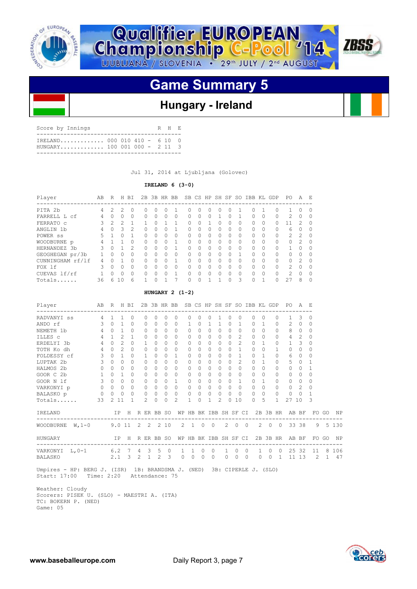



# **Hungary - Ireland**

| Score by Innings                |  |  | R H F. |  |
|---------------------------------|--|--|--------|--|
| $TRE$ LAND 000 010 410 - 6 10 0 |  |  |        |  |

Jul 31, 2014 at Ljubljana (Golovec)

### **IRELAND 6 (3-0)**

| Player           | AВ | R        | H              | ВI            |          |                  | 2B 3B HR BB  |   |   |        |                  |   |         |              | SB CS HP SH SF SO IBB KL GDP |          |           | PO.           | A             | E.               |
|------------------|----|----------|----------------|---------------|----------|------------------|--------------|---|---|--------|------------------|---|---------|--------------|------------------------------|----------|-----------|---------------|---------------|------------------|
| PITA 2b          | 4  |          |                | 0             | 0        | $\left( \right)$ |              |   | O | $\cup$ | $\left( \right)$ |   | $^{()}$ |              | $^{(1)}$                     |          | 0         |               | 0             | $\left( \right)$ |
| FARRELL L cf     | 4  | O        | n              | 0             | 0        | $\Omega$         |              | 0 | 0 |        | $\Omega$         |   | 0       |              | O.                           |          | $\Omega$  | 2             | $\Omega$      |                  |
| FERRATO C        | 3  | 2        | 2              |               |          | <sup>0</sup>     |              |   | O |        |                  |   | Ω       | $\bigcap$    | O.                           | $\Omega$ | $\bigcap$ | 11            | $\mathcal{P}$ | O                |
| ANGLIN 1b        | 4  | $\Omega$ | 3              | 2             | 0        | $\Omega$         | <sup>0</sup> |   | 0 | O.     | $\Omega$         | n | 0       | <sup>0</sup> | $\bigcap$                    | $\Omega$ | $\Omega$  | 6             | $\Omega$      | Ω                |
| POWER SS         |    |          | n              |               | 0        | $\bigcap$        |              | 0 | Ω |        | $\Omega$         |   | 0       | <sup>0</sup> | O.                           |          | $\Omega$  | $\mathcal{L}$ | $\mathcal{P}$ | U                |
| WOODBURNE p      | 4  |          |                | $\bigcap$     | U.       | $\bigcap$        | n            |   | O | U      | $\bigcap$        | ∩ | Ω       | $\cap$       | $\cap$                       | $\cap$   | $\Omega$  | $\cap$        | $\mathcal{P}$ | U                |
| HERNANDEZ<br>.3b | 3  | $\Omega$ |                | $\mathcal{P}$ | 0        | $\Omega$         |              |   | O | O      | $\Omega$         | ∩ | Ω       | <sup>0</sup> | $\cap$                       | $\Omega$ | $\Omega$  |               | <sup>0</sup>  | U                |
| GEOGHEGAN pr/3b  |    | $\cap$   | U              | $\Omega$      | $\Omega$ | $\bigcap$        | n            | 0 | O |        | $\cap$           |   | Ω       | 1            | $\cap$                       | $\cap$   | $\bigcap$ | $\cap$        | <sup>0</sup>  |                  |
| CUNNINGHAM rf/lf | 4  | ∩        |                | $\Omega$      | U.       | $\bigcap$        | n            |   | O | U      | $\bigcap$        | ∩ | Ω       | <sup>0</sup> | $\bigcap$                    | $\cap$   | $\Omega$  | $\bigcap$     | $\mathcal{P}$ | U                |
| FOX 1f           | 3  | $\Omega$ | U              | $\Omega$      | 0        | $\bigcap$        |              | 0 | Ω |        | $\cap$           |   | 0       | U            | U                            | $\cap$   | $\Omega$  | 2             | <sup>0</sup>  |                  |
| CUEVAS lf/rf     |    | $\cap$   | U              | $\Omega$      | 0        | $\cap$           |              |   | O |        | $\Omega$         |   | Ω       | $\cap$       | $\cap$                       |          | $\Omega$  | $\mathcal{P}$ | $\Omega$      |                  |
| Totals           | 36 | ี        | 1 <sub>0</sub> | 6             |          | ∩                |              |   | O |        |                  |   | Λ       | 3            | $\cap$                       |          | ∩         | 27            | 8             |                  |

### **HUNGARY 2 (1-2)**

| Player                       | AB              | $R_{\perp}$ | H BI<br>--------            |           |   | 2B            | 3B HR BB                   |           |                                  |                       |          |                |              |              |                |            | SB CS HP SH SF SO IBB KL GDP |              |                | PO.            | A              | - E                |       |         |
|------------------------------|-----------------|-------------|-----------------------------|-----------|---|---------------|----------------------------|-----------|----------------------------------|-----------------------|----------|----------------|--------------|--------------|----------------|------------|------------------------------|--------------|----------------|----------------|----------------|--------------------|-------|---------|
| RADVANYI SS                  | 4               | 1.          |                             | $\Omega$  |   | $\Omega$      | 0                          | $\Omega$  | $\bigcap$                        | 0                     | $\Omega$ | $\Omega$       | 1            | $\Omega$     | $\Omega$       |            | $\bigcap$                    | $\bigcap$    | 0              | 1              | 3              | 0                  |       |         |
| ANDO rf                      | 3               | $\bigcap$   | 1                           | $\Omega$  |   | $\Omega$      | 0                          | 0         | $\bigcap$                        | 1                     | 0        | 1              |              | $\Omega$     | 1              |            | $\bigcap$                    | 1            | 0              | $\mathfrak{D}$ | $\Omega$       | 0                  |       |         |
| NEMETH 1b                    | 4               | 0           |                             | $\Omega$  |   | $\Omega$      | 0                          | 0         | 0                                | $\Omega$              | O        | $\Omega$       | $\bigcap$    | $\cap$       | $\Omega$       |            | $\bigcap$                    | $\cap$       | 0              | 8              | $\Omega$       | $\Omega$           |       |         |
| ILLES c                      | 4               | 1           | $\mathfrak{D}$              | 1         |   | 0             | 0                          | $\Omega$  | $\Omega$                         | 0                     | $\Omega$ | 0              | $\Omega$     | $\Omega$     | $\mathfrak{D}$ |            | $\Omega$                     | $\Omega$     | 0              | 4              | 2              | 0                  |       |         |
| ERDELYI 3b                   | 4               | $\Omega$    | $\mathfrak{D}$              | $\bigcap$ |   | 1             | 0                          | $\Omega$  | $\bigcap$                        | $\Omega$              | 0        | $\Omega$       | $\Omega$     | $\bigcap$    | $\mathcal{D}$  |            | $\Omega$                     | 1            | 0              | 1              | 3              | 0                  |       |         |
| TOTH Ko dh                   | $\overline{4}$  | $\Omega$    | $\mathcal{D}_{\mathcal{L}}$ | O.        |   | 0             | 0                          | 0         | 0                                | 0                     | 0        | 0              | $\Omega$     |              |                |            | $\bigcap$                    | $\Omega$     | 1.             | $\Omega$       | 0              | 0                  |       |         |
| FOLDESSY cf                  | 3               | $\Omega$    | 1.                          | 0         |   | 1             | 0                          | 0         |                                  | $\Omega$              |          | 0              | <sup>0</sup> | O            |                |            | <sup>0</sup>                 | 1            | 0              | 6              | $\Omega$       | 0                  |       |         |
| LUPTAK 2b                    | 3               | $\Omega$    | O                           | O.        |   | $\Omega$      | 0                          | $\bigcap$ | 0                                | $\Omega$              | 0        | 0              | $\bigcap$    |              | $\mathfrak{D}$ |            | $\bigcap$                    | 1            | 0              | 5.             | $\Omega$       |                    |       |         |
| HALMOS 2b                    | $\Omega$        | $\bigcap$   | 0                           | $\Omega$  |   | $\Omega$      | O                          | O.        | 0                                | $\Omega$              | O.       | 0              | $\bigcap$    | $\Omega$     | $\bigcap$      |            | $\bigcap$                    | $\Omega$     | 0              | $\bigcap$      | $\Omega$       |                    |       |         |
| GOOR C 2b                    | $\mathbf{1}$    | $\bigcap$   |                             | 0         |   | 0             | 0                          | O.        | <sup>o</sup>                     | 0                     | 0        | 0              | <sup>0</sup> | <sup>o</sup> | 0              |            | <sup>0</sup>                 | <sup>o</sup> | 0              | $\Omega$       | 0              | 0                  |       |         |
| GOOR N 1f                    | 3               | $\Omega$    | $\Omega$                    | $\Omega$  |   | 0             | 0                          | O.        |                                  | $\Omega$              | O        | 0              | $\Omega$     | $\Omega$     |                |            | <sup>0</sup>                 | 1            | 0              | $\Omega$       | $\Omega$       | 0                  |       |         |
| VARKONYI p                   | $\circ$         | $\Omega$    | $\Omega$                    | $\Omega$  |   | 0             | 0                          | $\Omega$  | $\Omega$                         | $\Omega$              | $\Omega$ | $\Omega$       | $\Omega$     | $\Omega$     | $\Omega$       |            | $\Omega$                     | $\Omega$     | 0              | $\Omega$       | $\mathfrak{D}$ | 0                  |       |         |
| BALASKO p                    | 0               | $\circ$     | $\mathbf{0}$                | 0         |   | 0             | 0                          | 0         | $\Omega$                         | 0                     | $\Omega$ | 0              | $\Omega$     |              | $\Omega$       |            | $\bigcap$                    | $\Omega$     | 0              | $\Omega$       | $\Omega$       | 1                  |       |         |
| Totals                       | 33              | 2           | 11                          | 1         |   | $\mathcal{L}$ | U                          | 0         | $\mathcal{D}_{\mathcal{L}}$      | 1                     | 0        | 1              | 2            |              | 10             |            | <sup>0</sup>                 | 5            | 1.             | 27             | 10             | 3                  |       |         |
| IRELAND                      |                 |             | IP H                        |           |   |               |                            |           | R ER BB SO WP HB BK IBB SH SF CI |                       |          |                |              |              |                |            |                              |              |                | 2B 3B HR AB BF |                |                    | FO GO | ΝP      |
| W, $1-0$<br><b>WOODBURNE</b> | 9.0 11 2 2 2 10 |             |                             |           |   |               |                            |           |                                  | $2\quad1\quad0$       |          | $\overline{0}$ |              | 2            | $\Omega$       | $\bigcirc$ | 2                            | $\Omega$     | $\bigcirc$     |                | 33 38          | 9                  |       | 5 1 3 0 |
| HUNGARY                      |                 |             | IP                          | H         |   |               | R ER BB SO<br>------------ |           |                                  | WP HB BK IBB SH SF CI |          |                |              |              |                |            | ------                       |              | 2B 3B HR       | AB BF          |                | FO<br>------------ | GO    | ΝP      |
| VARKONYI<br>$L$ , 0-1        | $6.2$ 7         |             |                             |           | 4 |               | 3 <sub>5</sub>             | $\circ$   | 1                                | 1                     | $\circ$  | $\circ$        |              | $\mathbf{1}$ | $\circ$        | $\Omega$   | $\mathbf{1}$                 | $\circ$      | $\overline{0}$ | 25             | 32             | 11                 | 8     | 106     |
| <b>BALASKO</b>               |                 | 2.1         |                             | 3         | 2 | $\mathbf{1}$  | 2                          | 3         | $\Omega$                         | $\Omega$              | $\Omega$ | $\Omega$       |              | $\Omega$     | $\cap$         | $\Omega$   | 0                            | 0            | 1.             | 11             | 13             | $\mathcal{L}$      | 1     | 47      |

 Umpires - HP: BERG J. (ISR) 1B: BRANDSMA J. (NED) 3B: CIPERLE J. (SLO) Start: 17:00 Time: 2:20 Attendance: 75

 Weather: Cloudy Scorers: PISEK U. (SLO) - MAESTRI A. (ITA) TC: BOKERN P. (NED) Game: 05



**ZBSS**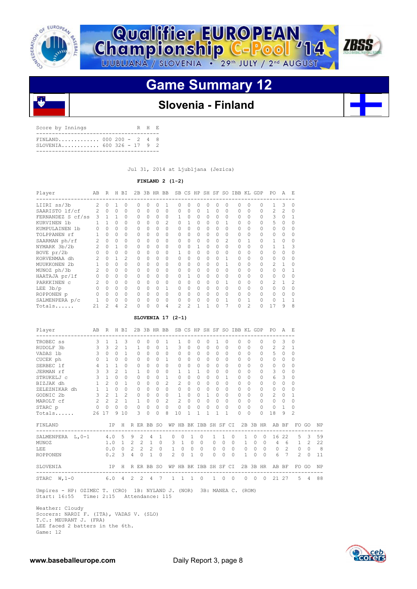



# **Game Summary 12**



## **Slovenia - Finland**

| Score by Innings                                         |  |  | R H E |  |
|----------------------------------------------------------|--|--|-------|--|
| $FINLAND$ 000 200 - 2 4 8<br>$SLOVENTA$ 600 326 - 17 9 2 |  |  |       |  |
|                                                          |  |  |       |  |

Jul 31, 2014 at Ljubljana (Jezica)

### **FINLAND 2 (1-2)**

| Player            | AВ             | R              | H              | ВI             |          |          | 2B 3B HR BB |                | SB             |              |          |          |              |               | CS HP SH SF SO IBB KL GDP |                |          | PO.            | Α             | E,       |
|-------------------|----------------|----------------|----------------|----------------|----------|----------|-------------|----------------|----------------|--------------|----------|----------|--------------|---------------|---------------------------|----------------|----------|----------------|---------------|----------|
| LIIRI ss/3b       | $\mathfrak{D}$ | $\cap$         |                | $\Omega$       |          | 0        |             |                |                |              | 0        |          | U            |               |                           |                |          |                |               |          |
| SAARISTO lf/cf    | $\mathcal{L}$  | $\Omega$       | $\overline{0}$ | $\circ$        | $\Omega$ | $\Omega$ | $\Omega$    | 0              | $\Omega$       | $\Omega$     | $\Omega$ | 1        | $\Omega$     | $\Omega$      | $\Omega$                  | $\Omega$       | $\Omega$ | $\mathfrak{D}$ | $\mathcal{P}$ | $\cap$   |
| FERNANDEZ S cf/ss | 3              |                | $1 \quad 1$    | $\Omega$       | O.       | $\Omega$ | $\Omega$    | $\Omega$       |                |              | $\Omega$ | $\Omega$ | $\Omega$     |               | $\Omega$                  |                |          | 3              |               |          |
| KURVINEN 1b       |                |                | $\cap$         | $\Omega$       | O.       | 0        | $\Omega$    | $\mathfrak{D}$ | $\Omega$       |              | $\Omega$ | $\Omega$ | $\Omega$     |               | $\Omega$                  |                | $\Omega$ | 5              |               |          |
| KUMPULAINEN 1b    |                | $\Omega$       | $\Omega$       | $\Omega$       | $\cap$   | U        |             | 0              |                |              | $\Omega$ | $\Omega$ | $\Omega$     |               |                           |                |          | $\cap$         |               |          |
| TOLPPANEN rf      |                | $\cap$         | $\Omega$       | $\circ$        | $\Omega$ | $\Omega$ | $\Omega$    | 0              | $\Omega$       | $\bigcap$    | $\Omega$ | $\Omega$ | $\Omega$     | $\Omega$      | $\cap$                    | $\Omega$       | $\Omega$ | $\Omega$       | $\bigcap$     | $\Omega$ |
| SAARMAN ph/rf     |                | $\Omega$       | $\Omega$       | $\Omega$       | $\cap$   | $\Omega$ | $\Omega$    | $\Omega$       | $\Omega$       | $\bigcap$    | $\Omega$ | $\Omega$ | $\Omega$     | $\mathcal{L}$ | $\cap$                    |                | $\Omega$ |                |               | $\Omega$ |
| NYMARK 3b/2b      |                | $\Omega$       |                | $\Omega$       | $\Omega$ | $\Omega$ | $\Omega$    | $\mathbf{0}$   | $\Omega$       | $\cap$       |          | $\Omega$ | $\Omega$     | $\Omega$      | O                         |                |          |                |               |          |
| BOVE pr/2b        |                | $\Omega$       | $\Omega$       | $\Omega$       | $\cap$   | $\Omega$ | $\Omega$    | 0              |                | $\bigcap$    | $\Omega$ | $\circ$  | $\bigcap$    | $\Omega$      |                           |                |          | $\cap$         |               |          |
| KORVENMAA dh      |                | $\Omega$       | $\mathbf{1}$   | $\mathfrak{D}$ | $\Omega$ | $\Omega$ | $\Omega$    | $\Omega$       | $\Omega$       | $\cap$       | $\Omega$ | $\Omega$ | $\bigcap$    |               | $\Omega$                  | $\Omega$       | $\Omega$ | $\Omega$       | $\cap$        | $\cap$   |
| MUUKKONEN 2b      |                | $\cap$         | $\Omega$       | $\Omega$       | $\cap$   | $\Omega$ | $\Omega$    | $\Omega$       |                | $\bigcap$    | $\Omega$ | $\Omega$ | $\bigcap$    |               | $\cap$                    |                | $\cap$   | $\mathcal{P}$  |               |          |
| MUNOZ ph/3b       |                | $\cap$         | $\Omega$       | $\Omega$       |          | $\Omega$ | $\Omega$    | 0              | $\Omega$       |              | $\Omega$ | $\Omega$ | $\Omega$     | $\Omega$      | $\Omega$                  |                | $\Omega$ | $\cap$         |               |          |
| HAATAJA pr/lf     |                | $\cap$         | $\Omega$       | $\Omega$       | $\cap$   | $\Omega$ | $\Omega$    | $\Omega$       | $\Omega$       | $\mathbf{1}$ | $\Omega$ | $\Omega$ | $\Omega$     | $\Omega$      |                           |                |          | $\cap$         |               |          |
| PARKKINEN C       |                | $\cap$         | $\Omega$       | $\Omega$       | $\cap$   | $\Omega$ | $\Omega$    | $\Omega$       | $\Omega$       | $\cap$       | $\Omega$ | $\Omega$ | $\bigcap$    |               | $\cap$                    | $\Omega$       | $\Omega$ | $\mathcal{P}$  |               | 2        |
| $LEE$ 3b/p        |                | $\cap$         | $\cap$         | $\Omega$       |          | $\Omega$ | $\Omega$    |                | $\Omega$       | $\bigcap$    | $\Omega$ | $\Omega$ | <sup>n</sup> |               |                           |                |          |                |               | $\Omega$ |
| ROPPONEN p        |                | $\Omega$       | $\Omega$       | 0              | $\cap$   | $\Omega$ | $\Omega$    | 0              | $\cap$         | $\cap$       | $\Omega$ | $\Omega$ | $\cap$       | $\Omega$      |                           | $\Omega$       | $\cap$   | $\cap$         |               |          |
| SALMENPERA p/c    |                | $\Omega$       | 0              | 0              | $\Omega$ | $\Omega$ | $\Omega$    | 0              |                |              | $\Omega$ | $\Omega$ | $\Omega$     |               | $\Omega$                  |                | $\Omega$ |                |               |          |
| Totals            | 21             | $\mathfrak{D}$ | 4              | $\mathcal{D}$  |          | U        | $\cap$      | 4              | $\mathfrak{D}$ |              |          |          |              |               | $\Omega$                  | $\mathfrak{D}$ |          | 17             | 9             | 8        |

### **SLOVENIA 17 (2-1)**

| Player                                                                               |                | AB R H BI                  |                |                |                 |              |                     |                |                |              |                |              |              |              |              |              | 2B 3B HR BB SB CS HP SH SF SO IBB KL GDP PO |           |              |          |                |                                                      | A E             |               |                         |    |
|--------------------------------------------------------------------------------------|----------------|----------------------------|----------------|----------------|-----------------|--------------|---------------------|----------------|----------------|--------------|----------------|--------------|--------------|--------------|--------------|--------------|---------------------------------------------|-----------|--------------|----------|----------------|------------------------------------------------------|-----------------|---------------|-------------------------|----|
| TROBEC SS                                                                            | 3              | $\overline{1}$             | $\mathbf{1}$   | 3              |                 | $\Omega$     | $\Omega$            | $\Omega$       | $\mathbf{1}$   |              |                | $\Omega$     | $\Omega$     | $\Omega$     | $\mathbf{1}$ |              | $\Omega$                                    | $\Omega$  | $\Omega$     |          | $\Omega$       | $\Omega$                                             | 3               | $\Omega$      |                         |    |
| RUDOLF 3b                                                                            | $\mathbf{3}$   | $\overline{3}$             | $\mathfrak{D}$ | $\mathbf{1}$   |                 | $\mathbf{1}$ | $\Omega$            | $\Omega$       | $\overline{1}$ |              | 3              | $\Omega$     | $\Omega$     | $\Omega$     | $\Omega$     |              | $\Omega$                                    | $\Omega$  | $\Omega$     |          | $\Omega$       | $\mathcal{L}$                                        | $\overline{2}$  | 1             |                         |    |
| VADAS 1b                                                                             | 3              | $\Omega$                   | $\Omega$       | $\mathbf{1}$   |                 | 0            | $\Omega$            | $\Omega$       | $\Omega$       |              | $\Omega$       | $\Omega$     | 0            | $\Omega$     | $\Omega$     |              | $\Omega$                                    | $\cap$    | $\Omega$     |          | $\Omega$       | 5                                                    | $\mathbf{0}$    | $\Omega$      |                         |    |
| CUCEK ph                                                                             | $\Omega$       | $\mathbf{1}$               | $\Omega$       | $\bigcap$      |                 | $\Omega$     | $\Omega$            | $\bigcap$      | $\mathbf{1}$   |              | $\Omega$       | $\bigcap$    | $\Omega$     | $\cap$       | $\Omega$     |              | $\Omega$                                    | $\bigcap$ | $\bigcap$    |          | $\bigcap$      | $\Omega$                                             | $\Omega$        | 0             |                         |    |
| SERBEC 1f                                                                            |                | $4 \quad 1$                | $\mathbf{1}$   | $\Omega$       |                 | $\Omega$     | $\Omega$            | $\bigcap$      | $\Omega$       |              | $\Omega$       | $\Omega$     | $\Omega$     | $\Omega$     | $\Omega$     |              | $\Omega$                                    | $\cap$    | $\cap$       |          | $\Omega$       | $\Omega$                                             | $\Omega$        | $\Omega$      |                         |    |
| JERMAN rf                                                                            | $\overline{3}$ | $\overline{\mathbf{3}}$    | $\mathfrak{D}$ | $\mathbf{1}$   |                 | $\mathbf{1}$ | $\Omega$            | $\cap$         | $\Omega$       |              | 1              | $\mathbf{1}$ | $\mathbf{1}$ | $\Omega$     | $\Omega$     |              | $\Omega$                                    | $\Omega$  | $\Omega$     |          | $\Omega$       | 3                                                    | $\Omega$        | $\Omega$      |                         |    |
| STRUKELJ C                                                                           | 3              | $\overline{1}$             | $\Omega$       | $\Omega$       |                 | $\Omega$     | $\Omega$            | $\bigcap$      | $\mathbf{1}$   |              | $\Omega$       | $\Omega$     | $\Omega$     | $\Omega$     | $\Omega$     |              | 1                                           | $\cap$    | $\bigcap$    |          | $\bigcap$      | 6                                                    | 3               | $\Omega$      |                         |    |
| BIZJAK dh                                                                            | 1              | $2^{\circ}$                | $\Omega$       | $\mathbf{1}$   |                 | $\mathbf{0}$ | $\Omega$            | $\cap$         | $\mathfrak{D}$ |              | 2              | $\Omega$     | $\mathbf{0}$ | $\Omega$     | $\Omega$     |              | $\Omega$                                    | $\Omega$  | $\bigcap$    |          | $\Omega$       | $\Omega$                                             | $\circ$         | $\Omega$      |                         |    |
| ZELEZNIKAR dh 1 1                                                                    |                |                            | $\Omega$       | $\Omega$       |                 | $\Omega$     | $\Omega$            | $\Omega$       | $\Omega$       |              | $\Omega$       | $\Omega$     | $\circ$      | $\Omega$     | $\Omega$     |              | $\Omega$                                    | $\Omega$  | $\Omega$     |          | $\bigcap$      | $\Omega$                                             | $\Omega$        | $\Omega$      |                         |    |
| GODNIC 2b                                                                            |                | $3 \quad 2$                | $\mathbf{1}$   | 2              |                 | $\circ$      | $\Omega$            | $\Omega$       | $\Omega$       |              | 1              | $\Omega$     | $\circ$      | $\mathbf{1}$ | $\Omega$     |              | $\Omega$                                    | $\bigcap$ | $\Omega$     |          | $\Omega$       | 2                                                    | $\Omega$        | 1             |                         |    |
| MAROLT cf                                                                            | $\overline{2}$ | $2^{1}$                    | $\overline{2}$ | $\mathbf{1}$   |                 | $\mathbf{1}$ | $\Omega$            | $\Omega$       | 2              |              | $\mathfrak{D}$ | $\Omega$     | $\mathbf{0}$ | $\Omega$     | $\Omega$     |              | $\Omega$                                    | $\bigcap$ | $\bigcap$    |          | $\Omega$       | $\Omega$                                             | $\Omega$        | $\Omega$      |                         |    |
| STARC p                                                                              | $\circ$        | $\circ$                    |                | $0 \quad 0$    |                 | $\circ$      | $\Omega$            | $\Omega$       | $\Omega$       |              | $\circ$        | $\Omega$     | $\Omega$     | $\Omega$     | $\Omega$     |              | $\Omega$                                    | $\Omega$  | $\Omega$     |          | $\Omega$       | $\mathbf{0}$                                         | $\overline{1}$  | $\Omega$      |                         |    |
| Totals                                                                               | 26 17          |                            |                | 910            |                 | 3            | $\Omega$            | $\Omega$       | 8              |              | 10             | $\mathbf{1}$ | 1            | 1            | 1            |              | 1                                           | $\cap$    | $\bigcap$    |          | $\Omega$       | 18                                                   | 9               | $\mathcal{D}$ |                         |    |
| FINLAND                                                                              |                |                            |                |                |                 |              |                     |                |                |              |                |              |              |              |              |              |                                             |           |              |          |                | IP H R ER BB SO WP HB BK IBB SH SF CI 2B 3B HR AB BF |                 |               | FO GO                   | NP |
| SALMENPERA L, 0-1                                                                    |                | 4.0 5                      |                |                | 9               |              | $2 \quad 4 \quad 1$ |                |                | $\Omega$     | $\Omega$       | $\mathbf{1}$ |              | $\Omega$     | $\mathbf{1}$ | $\mathbf{1}$ | $\circ$                                     |           | $\mathbf{1}$ | $\circ$  | $\overline{0}$ | 16                                                   | 22              | $5 -$         | $\overline{\mathbf{3}}$ | 59 |
| MUNOZ                                                                                |                |                            |                | $1.0 \quad 1$  |                 |              | $2 \t2 \t1$         |                | $\Omega$       | 3            | $\mathbf{1}$   | $\Omega$     |              | $\Omega$     | $\Omega$     | $\Omega$     | $\Omega$                                    |           | $\mathbf{1}$ | $\Omega$ | $\bigcirc$     |                                                      | $4\quad 6$      | $\mathbf{1}$  | 2                       | 22 |
| <b>LEE</b>                                                                           |                |                            |                | $0.0 \quad 0$  |                 |              | $2 \quad 2 \quad 2$ | $\Omega$       |                |              | $1 \quad 0$    | $\Omega$     |              | $\Omega$     | $\circ$      | $\Omega$     | $\bigcirc$                                  |           | $\circ$      |          | $0\quad 0$     |                                                      | $0\quad 2$      | $\circ$       | $\Omega$                | 8  |
| ROPPONEN                                                                             |                | 0.2                        |                | $\overline{3}$ | $4\overline{ }$ | $\Omega$     | $\overline{1}$      | $\Omega$       |                | $2 -$        | $\Omega$       | $\mathbf{1}$ |              | $\Omega$     | $\Omega$     | $\Omega$     | $\Omega$                                    |           | $\mathbf{1}$ | $\Omega$ | $\bigcirc$     | 6                                                    | $7\overline{ }$ | $\mathcal{L}$ | $\Omega$                | 11 |
| SLOVENIA                                                                             |                |                            |                |                |                 |              |                     |                |                |              |                |              |              |              |              |              |                                             |           |              |          |                | IP H R ER BB SO WP HB BK IBB SH SF CI 2B 3B HR AB BF |                 |               | FO GO                   | NP |
| 6.0<br>STARC $W, 1-0$                                                                |                |                            |                | $\overline{4}$ | $2^{\circ}$     | 2            | $\overline{4}$      | $\overline{7}$ |                | $\mathbf{1}$ |                | 1 1          | $\circ$      |              | $\mathbf{1}$ | $\circ$      | $\circ$                                     |           | $\mathbf{0}$ | $\circ$  | $\overline{0}$ |                                                      | 21 27           | $5 -$         | $\overline{4}$          | 88 |
| Umpires - HP: OZIMEC T. (CRO) 1B: NYLAND J. (NOR) 3B: MANEA C. (ROM)<br>Start: 16:55 |                | Time: 2:15 Attendance: 115 |                |                |                 |              |                     |                |                |              |                |              |              |              |              |              |                                             |           |              |          |                |                                                      |                 |               |                         |    |

 Weather: Cloudy Scorers: NARDI F. (ITA), VADAS V. (SLO) T.C.: MEURANT J. (FRA) LEE faced 2 batters in the 6th. Game: 12

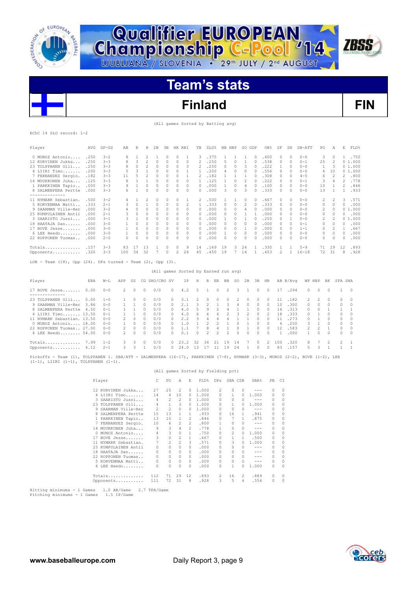



# **Finland FIN**

### (All games Sorted by Batting avg)

|  | EChC 14 SLO record: 1-2 |  |
|--|-------------------------|--|
|  |                         |  |

| Player                                                                 | AVG  | $GP - GS$ | AB     | R             | Н              | 2B            | 3B            |                | HR RBI                               | TB           | SLG%                     |                            | BB HBP                   |                | SO GDP       |              | OB <sub>8</sub>          | SF       | SH           | SB-ATT    | PO                       | Α                        | Ε              | FLD%         |
|------------------------------------------------------------------------|------|-----------|--------|---------------|----------------|---------------|---------------|----------------|--------------------------------------|--------------|--------------------------|----------------------------|--------------------------|----------------|--------------|--------------|--------------------------|----------|--------------|-----------|--------------------------|--------------------------|----------------|--------------|
| 0 MUNOZ Antonio                                                        | .250 | $3 - 2$   | 8      | 1             | $\overline{2}$ | 1             | $\Omega$      | $\Omega$       | 1                                    | 3            | .375                     | 1                          |                          | 1              | 1            | $\Omega$     | .400                     | $\Omega$ | $\Omega$     | $0 - 0$   | 3                        | $\Omega$                 | 1              | .750         |
| 12 KURVINEN Jukka                                                      | .250 | $3 - 3$   |        | 3             | $\overline{c}$ | $\circ$       | $\circ$       | $\circ$        | $\Omega$                             | 2            | .250                     | 5                          |                          | $\circ$        | $\mathbf{1}$ | $\circ$      | .538                     | 0        | $\Omega$     | $0 - 1$   | 25                       | $\overline{c}$           |                | 01.000       |
| 23 TOLPPANEN Olli                                                      | .250 | $3 - 3$   | 8      | 0             | 2              | 0             | 0             | 0              | 3                                    | 2            | .250                     | 0                          |                          | 0              | 3            | $\Omega$     | .222                     | 1        | n            | $0 - 0$   | 1                        | 3                        |                | 01.000       |
| 4 LIIRI Timo                                                           | .200 | $3 - 3$   | 5      | 3             | 1              | 0             | $\circ$       | 0              | 1                                    | 1            | .200                     | 4                          |                          | 0              | 0            | $\Omega$     | .556                     | 0        | $\Omega$     | $0 - 0$   | 4                        | 10                       |                | 01.000       |
| 7 FERNANDEZ Sergio.                                                    | .182 | $3 - 3$   | 11     | .5            | 2              | 0             | $\Omega$      | $\Omega$       | 1                                    | 2            | .182                     | 1                          |                          | 1              | 1            | $\Omega$     | .308                     | 0        | $\Omega$     | $4 - 5$   | 6                        | $\mathfrak{D}$           | 2              | .800         |
| 14 MUUKKONEN Juha                                                      | .125 | $3 - 3$   | R      | $\mathbf{1}$  | 1              | $\Omega$      | $\Omega$      | $\Omega$       | $\Omega$                             | 1            | .125                     | 1                          |                          | $\Omega$       | 2            | $\Omega$     | .222                     | $\Omega$ | $\Omega$     | $0 - 1$   | 3                        | 4                        | $\mathfrak{D}$ | .778         |
| 1 PARKKINEN Tapio                                                      | .000 | $3 - 3$   | 9      | $\mathbf{1}$  | $\cap$         | $\circ$       | $\Omega$      | $\Omega$       | $\Omega$                             | $\cap$       | .000                     | 1                          |                          | $\Omega$       | 4            | $\cap$       | .100                     | 0        | $\cap$       | $0 - 0$   | 10                       | $\mathbf{1}$             | $\mathcal{L}$  | .846         |
| 8 SALMENPERA Pertte                                                    | .000 | $3 - 3$   | 6      | $\mathbf{1}$  | 0              | $\Omega$      | $\Omega$      | $\Omega$       | $\Omega$                             | 0            | .000                     | 3                          |                          | $\Omega$       | 3            | $\cap$       | .333                     | 0        | $\Omega$     | $0 - 0$   | 13                       | $\mathbf{1}$             | 1              | .933         |
| --------------                                                         |      |           |        |               |                |               |               |                |                                      |              |                          |                            |                          |                |              |              |                          |          |              |           |                          |                          |                |              |
| 11 NYMARK Sebastian.                                                   | .500 | $3 - 2$   | 4      | 1             | $\overline{2}$ | $\Omega$      | $\Omega$      | 0              | 1                                    | 2            | .500                     | 1                          |                          | 1              | $\Omega$     | $\bigcap$    | .667                     | 0        | $\Omega$     | $0 - 0$   | $\overline{\mathcal{L}}$ | $\overline{c}$           | 3              | .571         |
| 5 KORVENMAA Matti                                                      | .333 | $2 - 1$   | 3      | $\Omega$      | 1              | $\circ$       | $\Omega$      | $\circ$        | 2                                    | $\mathbf{1}$ | .333                     | $\Omega$                   |                          | $\circ$        | 2            | $\Omega$     | .333                     | 0        | $\Omega$     | $0 - 0$   | $\Omega$                 | $\Omega$                 | $\Omega$       | .000         |
| 9 SAARMAN Ville-Her                                                    | .000 | $3 - 2$   | 4      | $\circ$       | 0              | $\circ$       | $\Omega$      | $\circ$        | 0                                    | $\Omega$     | .000                     | 0                          |                          | 0              | 4            | $\circ$      | .000                     | 0        | $\Omega$     | $0 - 0$   | $\overline{c}$           | $\circ$                  | 0              | 1,000        |
| 25 KUMPULAINEN Antii                                                   | .000 | $2 - 1$   | 3      | $\Omega$      | $\Omega$       | $\Omega$      | $\Omega$      | $\Omega$       | $\Omega$                             | $\Omega$     | .000                     | $\Omega$                   |                          | $\Omega$       | $\mathbf{1}$ | $\mathbf{1}$ | .000                     | 0        | $\Omega$     | $0 - 0$   | 0                        | $\Omega$                 | 0              | .000         |
| 3 SAARISTO Jussi                                                       | .000 | $3 - 1$   | 3      | $\mathbf{1}$  | $\Omega$       | $\circ$       | 0             | $\Omega$       | $\Omega$                             | 0            | .000                     | 1                          |                          | $\Omega$       | $\mathbf{1}$ | $\bigcap$    | .250                     | 0        | $\mathbf{1}$ | $0 - 0$   | $\overline{\mathcal{L}}$ | 2                        |                | 01.000       |
| 18 HAATAJA Dan                                                         | .000 | $3 - 0$   |        | $\Omega$      | 0              | 0             | 0             | 0              | 0                                    | <sup>0</sup> | .000                     | 0                          |                          | 0              | 0            | $\circ$      | .000                     | 0        | $\Omega$     | $0 - 1$   | n                        | 0                        | 0              | .000         |
| 17 BOVE Jesse                                                          | .000 | $3 - 0$   | 1      | $\Omega$      | $\Omega$       | $\Omega$      | $\mathcal{O}$ | $\Omega$       | $\Omega$                             | $\Omega$     | .000                     | $\Omega$                   |                          | $\Omega$       | 1            | $\Omega$     | .000                     | 0        | $\Omega$     | $1 - 1$   | 0                        | $\overline{\mathcal{L}}$ | 1              | .667         |
| 6 LEE Heedo                                                            | .000 | $3 - 0$   |        | $\Omega$      | 0              | $\circ$       | $\Omega$      | 0              | $\Omega$                             | 0            | .000                     | 1                          |                          | 0              | 0            | $\Omega$     | .500                     | 0        | $\Omega$     | $0 - 0$   | $\Omega$                 | $\Omega$                 | $\mathcal{O}$  | .000         |
| 22 ROPPONEN Tuomas                                                     | .000 | $2 - 0$   | $\cap$ | $\Omega$      | $\Omega$       | $\Omega$      | $\Omega$      | $\Omega$       | $\Omega$                             | 0            | .000                     | $\Omega$                   |                          | 0              | $\Omega$     | $\Omega$     | .000                     | 0        | $\Omega$     | $0 - 0$   | 0                        | $\Omega$                 | $\mathcal{O}$  | .000         |
| Totals                                                                 | .157 | $3 - 3$   | 83     | 17            | 13             | 1             | $\mathcal{O}$ | 0              | 9                                    | 14           | .169                     | 19                         |                          | 3              | 24           | 1            | .330                     | 1        | 1            | $5 - 9$   | 71                       | 29                       | 12             | .893         |
| Opponents                                                              | .320 | $3 - 3$   | 100    | 34            | 32             | 7             | $\Omega$      | $\mathfrak{D}$ | 26                                   | 4.5          | .450                     | 19                         |                          | 7              | 14           | 1            | .453                     | 2        |              | $16 - 18$ | 72                       | 31                       | 8              | .928         |
| LOB - Team $(18)$ , Opp $(24)$ . DPs turned - Team $(2)$ , Opp $(3)$ . |      |           |        |               |                |               |               |                |                                      |              |                          |                            |                          |                |              |              |                          |          |              |           |                          |                          |                |              |
|                                                                        |      |           |        |               |                |               |               |                | (All games Sorted by Earned run avg) |              |                          |                            |                          |                |              |              |                          |          |              |           |                          |                          |                |              |
|                                                                        |      |           |        |               |                |               |               |                |                                      |              |                          |                            |                          |                |              |              |                          |          |              |           |                          |                          |                |              |
| Player                                                                 | ERA  | $W-L$     | APP    | GS            |                | CG SHO/CBO SV |               |                | ΙP                                   | Н            | R                        | $\mathop{\rm ER}\nolimits$ | BB                       | SO.            | 2B           | 3B           | HR                       |          | AB B/Avq     | WP HBP    |                          | ΒK                       | SFA SHA        |              |
| 17 BOVE Jesse                                                          | 0.00 | $0 - 0$   | 2      | $\Omega$      | $\Omega$       | 0/0           |               | 0              | 4.2                                  | 5            | 1                        | $\Omega$                   | 2                        | 3              | $\mathbf{1}$ | $\Omega$     | $\Omega$                 | 17       | .294         | $\Omega$  | $\Omega$                 | $\Omega$                 | 1              | $\circ$      |
| 23 TOLPPANEN Olli                                                      | 0.00 | $1 - 0$   | 1      | $\mathcal{O}$ | $\Omega$       | 0/0           |               | 0              | 3.1                                  | 2            | 0                        | 0                          | 0                        | $\overline{c}$ | 0            | 0            | 0                        | 11       | .182         | 2         | $\overline{\mathcal{L}}$ | $\cap$                   | 0              | $\Omega$     |
| 9 SAARMAN Ville-Her                                                    | 3.86 | $0 - 0$   | 1      | $\mathbf{1}$  | $\Omega$       | 0/0           |               | $\Omega$       | 2.1                                  | 3            | 2                        | 1                          | 3                        | 4              | $\Omega$     | $\Omega$     | $\Omega$                 | 10       | .300         | $\Omega$  | $\Omega$                 | $\Omega$                 | 0              | $\Omega$     |
| 8 SALMENPERA Pertte                                                    | 4.50 | $0 - 1$   | 1      | 1             | $\Omega$       | 0/0           |               | $\Omega$       | 4.0                                  | 5            | 9                        | 2                          | 4                        | 1              | 1            | $\Omega$     | $\Omega$                 | 16       | .313         | $\Omega$  | $\Omega$                 | $\mathbf{1}$             | $\mathbf{1}$   | $\mathbf{1}$ |
| 4 LIIRI Timo 13.50                                                     |      | $0 - 1$   | 1      | 1             | $\Omega$       | 0/0           |               | 0              | 4.0                                  | 6            | 6                        | 6                          | 2                        | 3              | 2            | $\Omega$     | $\overline{\mathcal{L}}$ | 18       | .333         | $\Omega$  | 1                        | $\Omega$                 | 0              | $\Omega$     |
| 11 NYMARK Sebastian, 13.50                                             |      | $0 - 0$   |        | $\Omega$      | $\Omega$       | 0/0           |               | 0              | 2.2                                  | 3            | 4                        | 4                          | 4                        | 1              | 1            | $\circ$      | $\Omega$                 | 11       | .273         | $\circ$   | $\mathbf{1}$             | $\cap$                   | $\circ$        | $\Omega$     |
| 0 MUNOZ Antonio 18.00                                                  |      | $0 - 0$   | 1      | $\Omega$      | $\Omega$       | 0/0           |               | 0              | 1.0                                  | $\mathbf{1}$ | $\mathfrak{D}$           | 2                          | 1                        | $\Omega$       | $\mathbf{1}$ | 0            | 0                        | 4        | .250         | 3         | 1                        | $\cap$                   | 0              | $\Omega$     |
| 22 ROPPONEN Tuomas., 27.00                                             |      | $0 - 0$   |        | $\Omega$      | $\Omega$       | 0/0           |               | 0              | 1.1                                  |              | 8                        | 4                          | 1                        | $\Omega$       | 1            | $\Omega$     | $\Omega$                 | 12       | .583         | 2         | $\overline{\mathcal{L}}$ |                          | $\circ$        | $\Omega$     |
| 6 LEE Heedo 54.00                                                      |      | $0 - 0$   | 2      | $\Omega$      | $\Omega$       | 0/0           |               | $\cap$         | 0.1                                  | $\Omega$     | $\overline{\mathcal{L}}$ | 2                          | $\overline{\mathcal{L}}$ | $\Omega$       | $\Omega$     | $\cap$       | $\cap$                   | 1        | .000         | 1         | $\cap$                   | $\cap$                   | $\Omega$       | $\Omega$     |

Pickoffs - Team (1), TOLPPANEN 1. SBA/ATT - SALMENPERA (16-17), PARKKINEN (7-8), NYMARK (3-3), MUNOZ (2-2), BOVE (1-2), LEE (1-1), LIIRI (1-1), TOLPPANEN (1-1).

Totals.............. 7.99 1-2 3 3 0 0/0 0 23.2 32 34 21 19 14 7 0 2 100 .320 8 7 2 2 1 Opponents........... 4.12 2-1 3 3 1 0/0 0 24.0 13 17 11 19 24 1 0 0 83 .157 5 3 1 1 1

|                         |                |               |                |                | (All games Sorted by Fielding pct) |              |                |              |         |          |          |
|-------------------------|----------------|---------------|----------------|----------------|------------------------------------|--------------|----------------|--------------|---------|----------|----------|
| Player                  | C.             | PO.           | A              | E.             | FLD <sup>§</sup>                   | DPs          | SBA CSB        |              | SBA%    | PB       | CT.      |
| 12 KURVINEN Jukka       | 27             | 25            | 2              | $\Omega$       | 1.000                              | 2            | 0              | 0            |         | 0        | $\Omega$ |
| 4 LIIRI Timo            | 14             | 4             | 10             | 0              | 1,000                              | $\Omega$     | 1              | 0            | 1,000   | $\Omega$ | $\Omega$ |
| 3 SAARISTO Jussi        | 4              | 2             | 2              | 0              | 1,000                              | $\Omega$     | $\Omega$       | 0            | $- - -$ | $\Omega$ | $\Omega$ |
| 23 TOLPPANEN Olli       | 4              | $\mathbf{1}$  | 3              | 0              | 1,000                              | $\Omega$     |                | O.           | 1.000   | 0        | $\Omega$ |
| 9 SAARMAN Ville-Her     | $\mathfrak{D}$ | 2             | $\Omega$       | $\Omega$       | 1,000                              | $\Omega$     | $\Omega$       | 0            | $- - -$ | $\Omega$ | $\Omega$ |
| SALMENPERA Pertte<br>8. | 15             | 13            | 1              | $\mathbf{1}$   | .933                               | $\Omega$     | 16             | 1.           | .941    | 0        | 0        |
| 1 PARKKINEN Tapio       | 13             | 10            | 1              | 2              | .846                               | $\Omega$     | 7              | 1            | .875    | 0        | 0        |
| 7 FERNANDEZ Sergio.     | 10             | 6             | 2              | $\mathcal{L}$  | .800                               | 1            | $\Omega$       | O.           | $- - -$ | 0        | $\Omega$ |
| 14 MUUKKONEN Juha       | 9              | 3             | 4              | $\mathfrak{D}$ | .778                               | 1            | $\Omega$       | 0            | $- - -$ | $\Omega$ | $\Omega$ |
| 0 MUNOZ Antonio         | 4              | 3             | $\Omega$       | $\mathbf{1}$   | .750                               | $\Omega$     | $\mathfrak{D}$ | O.           | 1.000   | 0        | $\Omega$ |
| 17 BOVE Jesse           | 3              | 0             | 2              | $\mathbf{1}$   | .667                               | $\Omega$     |                | 1.           | .500    | 0        | $\Omega$ |
| 11 NYMARK Sebastian.    | 7              | $\mathcal{L}$ | $\mathfrak{D}$ | $\mathcal{L}$  | .571                               | <sup>0</sup> | २              | O.           | 1,000   | $\Omega$ | $\Omega$ |
| 25 KUMPULAINEN Antii    | $\Omega$       | $\Omega$      | $\Omega$       | $\Omega$       | .000                               | $\Omega$     | $\Omega$       | 0            | ---     | $\Omega$ | $\Omega$ |
| 18 HAATAJA Dan          | $\Omega$       | 0             | O.             | $\Omega$       | .000                               | $\Omega$     | <sup>0</sup>   | 0            | ---     | $\Omega$ | $\Omega$ |
| 22 ROPPONEN Tuomas      | $\Omega$       | $\Omega$      | $\mathcal{O}$  | $\Omega$       | .000                               | $\Omega$     | $\cap$         | 0            | ---     | 0        | $\Omega$ |
| 5 KORVENMAA Matti       | $\Omega$       | $\Omega$      | $\mathcal{O}$  | $\Omega$       | .000                               | $\Omega$     | $\Omega$       | <sup>0</sup> | ---     | $\Omega$ | $\Omega$ |
| $6$ LEE Heedo           |                | 0             | 0              | $\Omega$       | .000                               | <sup>0</sup> |                | 0            | 1,000   | 0        | $\Omega$ |
| Totals                  | 112            | 71            | 29             | 12             | .893                               | 2            | 16             | 2            | .889    | $\circ$  | $\Omega$ |
| Opponents               | 111            | 72            | 31             | 8              | .928                               | 3            | 5              | 4            | .556    | 0        | 0        |
|                         |                |               |                |                |                                    |              |                |              |         |          |          |

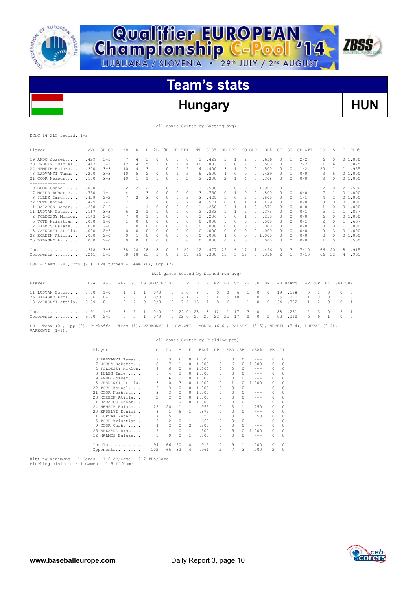

**Qualifier EUROPEAN<br>Championship C-Pool '14** 

# **Hungary HUN**

**ZBSS** 

(All games Sorted by Batting avg)

|  | EChC 14 SLO record: 1-2 |  |
|--|-------------------------|--|

| Player                                                                                                                     | AVG  | $GP - GS$                            | AB       | R              | Η            | 2B                                   | 3B                  | HR RBI              |              | TB                                 | $SLG$ $%$      |          | BB HBP           |              | SO GDP             |                                                                                                                                                                                                                                                                                                                                                                                              | OB%                | SF            | SH           | SB-ATT       | PO             | A        | E              | FLD%         |
|----------------------------------------------------------------------------------------------------------------------------|------|--------------------------------------|----------|----------------|--------------|--------------------------------------|---------------------|---------------------|--------------|------------------------------------|----------------|----------|------------------|--------------|--------------------|----------------------------------------------------------------------------------------------------------------------------------------------------------------------------------------------------------------------------------------------------------------------------------------------------------------------------------------------------------------------------------------------|--------------------|---------------|--------------|--------------|----------------|----------|----------------|--------------|
| 19 ANDO Jozsef                                                                                                             | .429 | $3 - 3$                              | -7       | 4              | 3            | 0                                    | 0                   | 0                   | 0            | 3                                  | .429           |          | 3                | 1            | 2                  | 0                                                                                                                                                                                                                                                                                                                                                                                            | .636               | 0             | 1            | $2 - 2$      | 6              | 0        |                | 01.000       |
| 20 ERDELYI Daniel                                                                                                          | .417 | $3 - 3$                              | 12       | 4              | 5            | 2                                    | 0                   | 1                   | 4            | 10                                 | .833           |          | 2                | 0            | 4                  | $\circ$                                                                                                                                                                                                                                                                                                                                                                                      | .500               | 0             | $\circ$      | $2 - 2$      | 1              | 6        | $\mathbf{1}$   | .875         |
| 24 NEMETH Balazs                                                                                                           | .300 | $3 - 3$                              | 10       | $\overline{4}$ | 3            | $\mathbf{1}$                         | 0                   | $\circ$             | 5            | 4                                  | .400           |          | 3                | 1            | 0                  | $\circ$                                                                                                                                                                                                                                                                                                                                                                                      | .500               | 0             | $\circ$      | $1 - 2$      | 20             | 1        |                | 1 .955       |
| 8 RADVANYI Tamas .200                                                                                                      |      | $3 - 3$                              | 10       | 5              | 2            | 0                                    | 0                   | 1                   | 3            | 5                                  | .500           |          | 4                | 0            | 0                  | 0                                                                                                                                                                                                                                                                                                                                                                                            | .429               | 0             | 1            | $0 - 0$      | 3              | 6        |                | 01.000       |
| 21 GOOR Norbert . 100<br>--------------                                                                                    |      | $3 - 3$                              | 10       | 1              | 1            | 1                                    | $\Omega$            | $\Omega$            | 2            | 2                                  | .200           |          | 2                | $\mathbf{1}$ | 4                  | $\Omega$                                                                                                                                                                                                                                                                                                                                                                                     | .308               | $\Omega$      | $\Omega$     | $0 - 0$      | 3              | $\Omega$ |                | 01.000       |
| 9 GOOR Csaba 1.000                                                                                                         |      | $3 - 1$                              | 2        | 2              | 2            | $\mathbf{1}$                         | 0                   | $\circ$             | 3            |                                    | 3 1.500        |          | $\mathbf{1}$     | 0            | $\circ$            |                                                                                                                                                                                                                                                                                                                                                                                              | 01.000             | 0             | $\mathbf{1}$ | $1 - 1$      | 2              | 0        | 2              | .500         |
| 17 MORUA Roberto .750                                                                                                      |      | $1 - 1$                              | 4        | $\mathbf{1}$   | 3            | $\circ$                              | $\circ$             | $\circ$             | $\circ$      | 3                                  | .750           |          | $\circ$          | 1            | $\circ$            | $\circ$                                                                                                                                                                                                                                                                                                                                                                                      | .800               | 0             | $\circ$      | $0 - 0$      | 7              | 1        |                | 01.000       |
| 3 ILLES Imre . 429                                                                                                         |      | $2 - 2$                              | 7        | 2              | 3            | $\circ$                              | 0                   | $\circ$             | 3            | 3                                  | .429           |          | 1                | 0            | 2                  | $\circ$                                                                                                                                                                                                                                                                                                                                                                                      | .500               | 0             | $\circ$      | $1 - 1$      | 4              | 2        |                | 01.000       |
| 22 TOTH Kornel . 429                                                                                                       |      | $2 - 2$                              | 7        | 1              | 3            | 1                                    | $\circ$             | $\circ$             | 2            | 4                                  | .571           |          | 0                | $\circ$      | 1                  | 1                                                                                                                                                                                                                                                                                                                                                                                            | .429               | 0             | $\circ$      | $0 - 0$      | 3              | $\Omega$ |                | 01.000       |
| 1 DARABOS Gabor . 250                                                                                                      |      | $2 - 2$                              | 4        | 1              | 1            | 0                                    | 0                   | 0                   | 0            | 1                                  | .250           |          | 2                | 1            | 1                  | $\circ$                                                                                                                                                                                                                                                                                                                                                                                      | .571               | 0             | 0            | $0 - 0$      | 1              | 0        |                | 01.000       |
| 11 LUPTAK Peter                                                                                                            | .167 | $3 - 3$                              | 6        | $\overline{c}$ | $\mathbf{1}$ | 1                                    | $\circ$             | $\circ$             | $\circ$      | $\overline{c}$                     | .333           |          | 1                | $\mathbf{1}$ | 2                  | $\circ$                                                                                                                                                                                                                                                                                                                                                                                      | .375               | 0             | $\circ$      | $0 - 1$      | 5              | 1        |                | 1 .857       |
| 2 FOLDESSY Miklos                                                                                                          | .143 | $2 - 2$                              | 7        | $\Omega$       | 1            | $\mathbf{1}$                         | $\circ$             | 0                   | 0            | 2                                  | .286           |          | $\mathbf{1}$     | 0            | 1                  | $\Omega$                                                                                                                                                                                                                                                                                                                                                                                     | .250               | $\Omega$      | $\circ$      | $0 - 0$      | 6              | $\Omega$ |                | 01.000       |
| 5 TOTH Krisztian                                                                                                           | .000 | $1 - 0$                              | 1        | 0              | $\circ$      | $\circ$                              | $\circ$             | $\circ$             | 0            | 0                                  | .000           |          | 1                | $\circ$      | 0                  | $\circ$                                                                                                                                                                                                                                                                                                                                                                                      | .500               | 0             | $\circ$      | $0 - 1$      | 2              | 0        |                | 1 .667       |
| 12 HALMOS Balazs                                                                                                           | .000 | $2 - 0$                              | 1        | 0              | $\circ$      | $\circ$                              | $\circ$             | $\circ$             | $\circ$      | $\Omega$                           | .000           |          | $\circ$          | $^{\circ}$   | 0                  | $\circ$                                                                                                                                                                                                                                                                                                                                                                                      | .000               | 0             | $\circ$      | $0 - 0$      | $\circ$        | $\circ$  | $\mathbf{1}$   | .000         |
| 18 VARKONYI Attila                                                                                                         | .000 | $2 - 2$                              | 0        | 0              | $\circ$      | 0                                    | 0                   | 0                   | 0            | 0                                  | .000           |          | 0                | $^{\circ}$   | 0                  | $\circ$                                                                                                                                                                                                                                                                                                                                                                                      | .000               | 0             | 0            | $0 - 0$      | 0              | 3        |                | 0 1.000      |
| 23 KOREIN Atilla                                                                                                           | .000 | $2 - 0$                              | 0        | 1              | $\circ$      | $\circ$                              | 0                   | $\circ$             | $\circ$      | $\circ$                            | .000           |          | 4                | $\circ$      | $\circ$            |                                                                                                                                                                                                                                                                                                                                                                                              | 01.000             | 0             | $\circ$      | $0 - 0$      | $\overline{2}$ | $\circ$  |                | 01.000       |
| 25 BALASKO Akos                                                                                                            | .000 | $2 - 0$                              | $\Omega$ | $\Omega$       | $\circ$      | $\circ$                              | 0                   | $\circ$             | $\circ$      | $\Omega$                           | .000           |          | 0                | 0            | $\circ$            | $\Omega$                                                                                                                                                                                                                                                                                                                                                                                     | .000               | $\Omega$      | $\circ$      | $0 - 0$      | $\mathbf{1}$   | $\Omega$ | $\mathbf{1}$   | .500         |
| $Totals$ .318                                                                                                              |      | $3 - 3$                              | 88       | 28             | 28           | 8                                    | 0                   | 2                   | 22           | 42                                 | .477           |          | 25               | 6            | 17                 | -1.                                                                                                                                                                                                                                                                                                                                                                                          | .496               | 0             | 3            | $7 - 10$     | 66             | 20       | 8              | .915         |
| Opponents                                                                                                                  | .261 | $3 - 3$                              | 88       | 18             | 23           | 3                                    | 0                   | $\mathbf{1}$        | 17           | 29                                 | .330           |          | 11               |              | 3, 17              | 0                                                                                                                                                                                                                                                                                                                                                                                            | .356               | 2             | $\mathbf{1}$ | $9 - 10$     | 66             | 32       | 4              | .961         |
| LOB - Team $(28)$ , Opp $(21)$ . DPs turned - Team $(0)$ , Opp $(2)$ .                                                     |      |                                      |          |                |              |                                      |                     |                     |              |                                    |                |          |                  |              |                    |                                                                                                                                                                                                                                                                                                                                                                                              |                    |               |              |              |                |          |                |              |
|                                                                                                                            |      |                                      |          |                |              | (All games Sorted by Earned run avg) |                     |                     |              |                                    |                |          |                  |              |                    |                                                                                                                                                                                                                                                                                                                                                                                              |                    |               |              |              |                |          |                |              |
|                                                                                                                            |      |                                      |          |                |              |                                      |                     |                     |              |                                    |                |          |                  |              |                    |                                                                                                                                                                                                                                                                                                                                                                                              |                    |               |              |              |                |          |                |              |
| Player                                                                                                                     | ERA  | $W-L$                                | APP      | GS             |              | CG SHO/CBO SV                        |                     |                     | ΙP           | Н                                  |                | R ER     | BB               | <b>SO</b>    | 2B                 | 3B                                                                                                                                                                                                                                                                                                                                                                                           | HR                 |               | AB B/Avq     |              | WP HBP         | BK       | SFA SHA        |              |
| 11 LUPTAK Peter                                                                                                            | 0.00 | $1 - 0$                              | 1        | 1              | 1            | 0/0                                  | 0                   |                     | 5.0          | 3                                  | 2              | $\circ$  | $\circ$          | 6            | 1                  | $\circ$                                                                                                                                                                                                                                                                                                                                                                                      | $\circ$            | 19            | .158         | 0            | -1             | n        | $\circ$        | $\circ$      |
| 25 BALASKO Akos                                                                                                            | 3.86 | $0 - 1$                              | 2        | $\circ$        | $\circ$      | 0/0                                  | 0                   |                     | 9.1          | 7                                  | 5              | 4        | 5                | 10           | $\mathbf{1}$       | 0                                                                                                                                                                                                                                                                                                                                                                                            | 1                  | 35            | .200         | 1            | $\circ$        | 0        | 2              | 0            |
| 18 VARKONYI Attila                                                                                                         | 9.39 | $0 - 1$                              | 2        | $\overline{c}$ | 0            | 0/0                                  |                     | 0                   | 7.2          | 13                                 | 11             | 8        | 6                | 1            | 1                  | 0                                                                                                                                                                                                                                                                                                                                                                                            | $\circ$            | 34            | .382         | $\mathbf{1}$ | 2              | 0        | 0              | $\mathbf{1}$ |
| Totals $4.91$                                                                                                              |      | $1 - 2$                              | 3        | 3              | 1            | 0/0                                  |                     | 0                   | 22.0         | 23                                 | 18             | 12       | 11               | 17           | 3                  | $\circ$                                                                                                                                                                                                                                                                                                                                                                                      | $\mathbf{1}$       | 88            | .261         | 2            | 3              | 0        | $\overline{c}$ | 1            |
| Opponents 9.00                                                                                                             |      | $2 - 1$                              | 3        | 3              | $\mathbf{1}$ | 0/0                                  |                     | 0                   | 22.0         | 28                                 | 28             | 22       | 25               | 17           | 8                  | 0                                                                                                                                                                                                                                                                                                                                                                                            | 2                  | 88            | .318         | 6            | 6              | 1        | $\circ$        | 3            |
| PB - Team (0), Opp (2). Pickoffs - Team (1), VARKONYI 1. SBA/ATT - MORUA (6-6), BALASKO (5-5), NEMETH (3-4), LUPTAK (3-4), |      |                                      |          |                |              |                                      |                     |                     |              |                                    |                |          |                  |              |                    |                                                                                                                                                                                                                                                                                                                                                                                              |                    |               |              |              |                |          |                |              |
| VARKONYI $(1-1)$ .                                                                                                         |      |                                      |          |                |              |                                      |                     |                     |              |                                    |                |          |                  |              |                    |                                                                                                                                                                                                                                                                                                                                                                                              |                    |               |              |              |                |          |                |              |
|                                                                                                                            |      |                                      |          |                |              |                                      |                     |                     |              | (All games Sorted by Fielding pct) |                |          |                  |              |                    |                                                                                                                                                                                                                                                                                                                                                                                              |                    |               |              |              |                |          |                |              |
|                                                                                                                            |      |                                      |          |                |              |                                      |                     |                     |              |                                    |                |          |                  |              |                    |                                                                                                                                                                                                                                                                                                                                                                                              |                    |               |              |              |                |          |                |              |
|                                                                                                                            |      | Player                               |          |                |              | С                                    | PO                  | Α                   | Ε            |                                    |                |          | FLD% DPs SBA CSB |              |                    | SBA%                                                                                                                                                                                                                                                                                                                                                                                         | PВ                 | C1            |              |              |                |          |                |              |
|                                                                                                                            |      | 8 RADVANYI Tamas                     |          |                |              | 9                                    | 3                   | 6                   | 0            |                                    | 1,000          | 0        |                  | $\circ$      | $\circ$            | $\frac{1}{2} \frac{1}{2} \frac{1}{2} \frac{1}{2} \frac{1}{2} \frac{1}{2} \frac{1}{2} \frac{1}{2} \frac{1}{2} \frac{1}{2} \frac{1}{2} \frac{1}{2} \frac{1}{2} \frac{1}{2} \frac{1}{2} \frac{1}{2} \frac{1}{2} \frac{1}{2} \frac{1}{2} \frac{1}{2} \frac{1}{2} \frac{1}{2} \frac{1}{2} \frac{1}{2} \frac{1}{2} \frac{1}{2} \frac{1}{2} \frac{1}{2} \frac{1}{2} \frac{1}{2} \frac{1}{2} \frac{$ | $\circ$            | $\Omega$      |              |              |                |          |                |              |
|                                                                                                                            |      | 17 MORUA Roberto                     |          |                |              | 8                                    | $\overline{7}$      | $\mathbf{1}$        | 0            | 1.000                              |                | 0        |                  | 6            | 0                  | 1.000<br>$- - -$                                                                                                                                                                                                                                                                                                                                                                             | $^{\circ}$         | 0             |              |              |                |          |                |              |
|                                                                                                                            |      | 2 FOLDESSY Miklos<br>3 ILLES Imre    |          |                |              | 6<br>6                               | 6<br>$\overline{4}$ | 0<br>$\overline{c}$ | $\circ$<br>0 |                                    | 1.000<br>1.000 | 0<br>0   |                  | 0<br>$\circ$ | $\circ$<br>$\circ$ | $\frac{1}{2}$                                                                                                                                                                                                                                                                                                                                                                                | $\circ$<br>$\circ$ | 0<br>$\Omega$ |              |              |                |          |                |              |
|                                                                                                                            |      |                                      |          |                |              |                                      |                     | $\circ$             | $\Omega$     |                                    | 1.000          | 0        |                  | $\circ$      | $\circ$            | $\frac{1}{2}$                                                                                                                                                                                                                                                                                                                                                                                | $\circ$            | $\Omega$      |              |              |                |          |                |              |
|                                                                                                                            |      | 19 ANDO Jozsef<br>18 VARKONYI Attila |          |                |              | 6<br>3                               | 6<br>$\Omega$       | 3                   | $\Omega$     |                                    | 1,000          | $\Omega$ |                  | 1            | $\Omega$           | 1,000                                                                                                                                                                                                                                                                                                                                                                                        | $\circ$            | $\Omega$      |              |              |                |          |                |              |
|                                                                                                                            |      | 22 TOTH Kornel                       |          |                |              | 3                                    | 3                   | $\circ$             | 0            |                                    | 1,000          | 0        |                  | $\circ$      | 0                  | $- - -$                                                                                                                                                                                                                                                                                                                                                                                      | 0                  | O             |              |              |                |          |                |              |
|                                                                                                                            |      | 21 GOOR Norbert                      |          |                |              | 3                                    | 3                   | $\circ$             | $\circ$      |                                    | 1.000          |          | 0                | 0            | $\circ$            | $---$                                                                                                                                                                                                                                                                                                                                                                                        | $\circ$            | 0             |              |              |                |          |                |              |
|                                                                                                                            |      | 23 KOREIN Atilla                     |          |                |              | $\overline{c}$                       | $\overline{2}$      | $\circ$             | $\Omega$     |                                    | 1,000          |          | 0                | $\circ$      | $\circ$            | $\sim$ $\sim$ $\sim$                                                                                                                                                                                                                                                                                                                                                                         | $\circ$            | 0             |              |              |                |          |                |              |
|                                                                                                                            |      | 1 DARABOS Gabor                      |          |                |              | 1                                    | 1                   | $\circ$             | 0            |                                    | 1.000          |          | 0                | $\circ$      | 0                  | $\frac{1}{2} \frac{1}{2} \frac{1}{2} \frac{1}{2} \frac{1}{2} \frac{1}{2} \frac{1}{2} \frac{1}{2} \frac{1}{2} \frac{1}{2} \frac{1}{2} \frac{1}{2} \frac{1}{2} \frac{1}{2} \frac{1}{2} \frac{1}{2} \frac{1}{2} \frac{1}{2} \frac{1}{2} \frac{1}{2} \frac{1}{2} \frac{1}{2} \frac{1}{2} \frac{1}{2} \frac{1}{2} \frac{1}{2} \frac{1}{2} \frac{1}{2} \frac{1}{2} \frac{1}{2} \frac{1}{2} \frac{$ | $\circ$            | O             |              |              |                |          |                |              |
|                                                                                                                            |      | 24 NEMETH Balazs                     |          |                |              | 22                                   | 20                  | 1                   | $\mathbf{1}$ |                                    | .955           | 0        |                  | 3            | 1                  | .750                                                                                                                                                                                                                                                                                                                                                                                         | $\circ$            | $\Omega$      |              |              |                |          |                |              |
|                                                                                                                            |      | 20 ERDELYI Daniel                    |          |                |              | 8                                    | 1                   | 6                   | $\mathbf{1}$ |                                    | .875           | 0        |                  | 0            | $\circ$            | $\frac{1}{2} \frac{1}{2} \frac{1}{2} \frac{1}{2} \frac{1}{2} \frac{1}{2} \frac{1}{2} \frac{1}{2} \frac{1}{2} \frac{1}{2} \frac{1}{2} \frac{1}{2} \frac{1}{2} \frac{1}{2} \frac{1}{2} \frac{1}{2} \frac{1}{2} \frac{1}{2} \frac{1}{2} \frac{1}{2} \frac{1}{2} \frac{1}{2} \frac{1}{2} \frac{1}{2} \frac{1}{2} \frac{1}{2} \frac{1}{2} \frac{1}{2} \frac{1}{2} \frac{1}{2} \frac{1}{2} \frac{$ | $\circ$            | 0             |              |              |                |          |                |              |
|                                                                                                                            |      | 11 LUPTAK Peter                      |          |                |              | 7                                    | 5                   | 1                   | $\mathbf{1}$ |                                    | .857           |          | 0                | 3            | $\mathbf{1}$       | .750                                                                                                                                                                                                                                                                                                                                                                                         | $\circ$            | 0             |              |              |                |          |                |              |
|                                                                                                                            |      | 5 TOTH Krisztian                     |          |                |              | 3                                    | 2                   | $\circ$             | 1            |                                    | .667           | 0        |                  | $\circ$      | $\Omega$           | $\frac{1}{2} \frac{1}{2} \frac{1}{2} \frac{1}{2} \frac{1}{2} \frac{1}{2} \frac{1}{2} \frac{1}{2} \frac{1}{2} \frac{1}{2} \frac{1}{2} \frac{1}{2} \frac{1}{2} \frac{1}{2} \frac{1}{2} \frac{1}{2} \frac{1}{2} \frac{1}{2} \frac{1}{2} \frac{1}{2} \frac{1}{2} \frac{1}{2} \frac{1}{2} \frac{1}{2} \frac{1}{2} \frac{1}{2} \frac{1}{2} \frac{1}{2} \frac{1}{2} \frac{1}{2} \frac{1}{2} \frac{$ | $\circ$            | $\Omega$      |              |              |                |          |                |              |
|                                                                                                                            |      | $9$ GOOR Csaba                       |          |                |              | 4                                    | 2                   | $\circ$             | 2            |                                    | .500           | 0        |                  | $\circ$      | 0                  | $- - -$                                                                                                                                                                                                                                                                                                                                                                                      | $\circ$            | 0             |              |              |                |          |                |              |
|                                                                                                                            |      | 25 BALASKO Akos                      |          |                |              | $\overline{c}$                       | 1                   | $\Omega$            | 1            |                                    | .500           | $\Omega$ |                  | 5            | $\Omega$           | 1.000<br>$- - -$                                                                                                                                                                                                                                                                                                                                                                             | $\Omega$           | $\Omega$      |              |              |                |          |                |              |
|                                                                                                                            |      | 12 HALMOS Balazs                     |          |                |              | 1                                    | $\Omega$            | $\Omega$            | $\mathbf{1}$ |                                    | .000           |          | $\Omega$         | $\Omega$     | $\Omega$           |                                                                                                                                                                                                                                                                                                                                                                                              | $\Omega$           | Λ             |              |              |                |          |                |              |



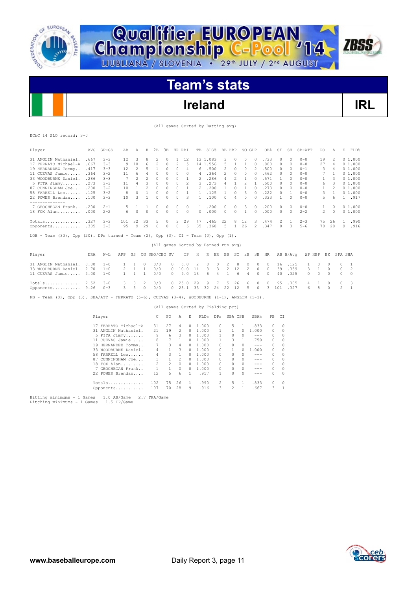



**Championship C-Pool** 14

# **Ireland IRL**

**ZBSS** 

(All games Sorted by Batting avg)

EChC 14 SLO record: 3-0

| Player                                                                                             | AVG  | $GP - GS$            | AВ           | R              | H        | 2B            | ЗВ           | HR RBI         |                | TB           | <b>SLG&amp;</b>                      |                | BB HBP               | SO GDP         |                                                                                                                                                                                                                                                                                                                                                                                              | OB%       | SF           | SH           | SB-ATT   | PO.            | Α            | Е              | FLD%           |
|----------------------------------------------------------------------------------------------------|------|----------------------|--------------|----------------|----------|---------------|--------------|----------------|----------------|--------------|--------------------------------------|----------------|----------------------|----------------|----------------------------------------------------------------------------------------------------------------------------------------------------------------------------------------------------------------------------------------------------------------------------------------------------------------------------------------------------------------------------------------------|-----------|--------------|--------------|----------|----------------|--------------|----------------|----------------|
| 31 ANGLIN Nathaniel.                                                                               | .667 | $3 - 3$              | 12           | 3              | 8        | 2             | 0            | 1              | 12             |              | 13 1.083                             | 3              | 0                    | 0              | 0                                                                                                                                                                                                                                                                                                                                                                                            | .733      | $\circ$      | 0            | $0 - 0$  | 19             | 2            |                | 01.000         |
| 17 FERRATO Michael-A                                                                               | .667 | $3 - 3$              | 9            | 10             | 6        | 2             | 0            | 2              | 5              |              | 14 1.556                             | 5              | 1                    | 1              | $\circ$                                                                                                                                                                                                                                                                                                                                                                                      | .800      | $\circ$      | $\circ$      | $0 - 0$  | 27             | 4            |                | 01.000         |
| 19 HERNANDEZ Tommy                                                                                 | .417 | $3 - 3$              | 12           | 2              | 5        | 1             | $\circ$      | $\circ$        | 4              | 6            | .500                                 | $\overline{c}$ | 0                    | $\circ$        | $\overline{2}$                                                                                                                                                                                                                                                                                                                                                                               | .500      | 0            | $\circ$      | $0 - 1$  | 3              | 4            |                | 01.000         |
| 11 CUEVAS Jamie                                                                                    | .364 | $3 - 2$              | 11           | 6              | 4        | 0             | 0            | 0              | 0              | 4            | .364                                 | $\overline{c}$ | 0                    | $\circ$        | $\Omega$                                                                                                                                                                                                                                                                                                                                                                                     | .462      | $\circ$      | 0            | $0 - 0$  | 7              | $\mathbf{1}$ |                | 01.000         |
| 33 WOODBURNE Daniel.                                                                               | .286 | $3 - 3$              | 7            | 2              | 2        | $\circ$       | 0            | $\circ$        | 1              | 2            | .286                                 | 4              | 2                    | 1              | $\circ$                                                                                                                                                                                                                                                                                                                                                                                      | .571      | $\mathbf{1}$ | $\circ$      | $0 - 0$  | 1              | 3            |                | 01.000         |
| 5 PITA Jimmy                                                                                       | .273 | $3 - 3$              | 11           | $\overline{4}$ | 3        | $\circ$       | $\circ$      | $\Omega$       | $\overline{c}$ | 3            | .273                                 | 4              | $\mathbf{1}$         | $\overline{c}$ | $\overline{1}$                                                                                                                                                                                                                                                                                                                                                                               | .500      | $\Box$       | $\circ$      | $0 - 0$  | 6              | 3            |                | 01.000         |
| 87 CUNNINGHAM Joe                                                                                  | .200 | $3 - 2$              | 10           | 1              | 2        | $\circ$       | $\circ$      | $\circ$        | 1              | 2            | .200                                 | 1              | 0                    | 1              | 0                                                                                                                                                                                                                                                                                                                                                                                            | .273      | $\circ$      | 0            | $0 - 0$  | $\mathbf{1}$   | 2            |                | 01.000         |
| 58 FARRELL Leo                                                                                     | .125 | $3 - 2$              | 8            | $\circ$        | 1        | 0             | 0            | 0              | $\mathbf{1}$   | 1.           | .125                                 | 1              | 0                    | 3              | 0                                                                                                                                                                                                                                                                                                                                                                                            | .222      | $\circ$      | $\mathbf{1}$ | $0 - 0$  | 3              | 1            |                | 01.000         |
| 22 POWER Brendan                                                                                   | .100 | $3 - 3$              | 10           | 3              | 1        | $\Omega$      | $\Omega$     | 0              | 3              | 1            | .100                                 | $\Omega$       | 4                    | $\Omega$       | $\Omega$                                                                                                                                                                                                                                                                                                                                                                                     | .333      | $\mathbf{1}$ | $\Omega$     | $0 - 0$  | 5              | 6            |                | 1 .917         |
| --------------                                                                                     |      |                      |              |                |          |               |              |                |                |              |                                      |                |                      |                |                                                                                                                                                                                                                                                                                                                                                                                              |           |              |              |          |                |              |                |                |
| 7 GEOGHEGAN Frank                                                                                  | .200 | $2 - 1$              | 5            | 1              | 1        | 0             | 0            | 0              | 0              | $\mathbf{1}$ | .200                                 | 0              | 0                    | 3              | 0                                                                                                                                                                                                                                                                                                                                                                                            | .200      | 0            | 0            | $0 - 0$  | 1              | 0            |                | 01.000         |
| 18 FOX Alan                                                                                        | .000 | $2 - 2$              | 6            | $\circ$        | $\circ$  | $\Omega$      | $\Omega$     | $\Omega$       | $\circ$        | 0            | .000                                 | 0              | $\circ$              | $\overline{1}$ | $\Omega$                                                                                                                                                                                                                                                                                                                                                                                     | .000      | $\circ$      | $\circ$      | $2 - 2$  | $\overline{c}$ | 0            |                | 01.000         |
| Totals $.327$                                                                                      |      | $3 - 3$              | 101          | 32             | 33       | 5             | 0            | 3              | 29             | 47           | .465                                 | 22             | 8                    | 12             | 3                                                                                                                                                                                                                                                                                                                                                                                            | .474      | 2            | 1            | $2 - 3$  | 75             | 26           | $\mathbf{1}$   | .990           |
| Opponents                                                                                          | .305 | $3 - 3$              | 95           | 9              | 29       | 6             | $\circ$      | $\circ$        | 6              | 35           | .368                                 | 5              | 1                    | 26             | 2                                                                                                                                                                                                                                                                                                                                                                                            | .347      | $\Omega$     | 3            | $5 - 6$  | 70             | 28           | 9              | .916           |
| LOB - Team (33), Opp (20). DPs turned - Team (2), Opp (3). CI - Team (0), Opp (1).                 |      |                      |              |                |          |               |              |                |                |              |                                      |                |                      |                |                                                                                                                                                                                                                                                                                                                                                                                              |           |              |              |          |                |              |                |                |
|                                                                                                    |      |                      |              |                |          |               |              |                |                |              | (All games Sorted by Earned run avg) |                |                      |                |                                                                                                                                                                                                                                                                                                                                                                                              |           |              |              |          |                |              |                |                |
| Player                                                                                             | ERA  | $W-L$                | APP          | GS             |          | CG SHO/CBO SV |              |                | ΙP             | Н            | R                                    | ER<br>BB       | SO                   | 2B             | 3B                                                                                                                                                                                                                                                                                                                                                                                           | HR        |              | AB B/Avq     | WP HBP   |                | BK           | SFA SHA        |                |
| 31 ANGLIN Nathaniel.                                                                               | 0.00 | $1 - 0$              | 1            | 1              | $\Omega$ | 0/0           |              | 0              | 6.0            | 2            | 0                                    | 0              | 2<br>8               | 0              | 0                                                                                                                                                                                                                                                                                                                                                                                            | $\bigcap$ | 16           | .125         | 1        | 0              | $\Omega$     | 0              | 1              |
| 33 WOODBURNE Daniel.                                                                               | 2.70 | $1 - 0$              | 2            | 1              | 1        | 0/0           |              | 0              | 10.0           | 14           | 3                                    | 3              | $\overline{c}$<br>12 | 2              | $\Omega$                                                                                                                                                                                                                                                                                                                                                                                     | $\Omega$  | 39           | .359         | 3        | 1              | $\Omega$     | 0              | $\overline{2}$ |
| 11 CUEVAS Jamie                                                                                    | 4.00 | $1 - 0$              | $\mathbf{1}$ | $\mathbf{1}$   | 1        | 0/0           |              | $\Omega$       | 9.0            | 13           | 6                                    | 4              | 1<br>6               | 4              | $\Omega$                                                                                                                                                                                                                                                                                                                                                                                     | $\bigcap$ | 40           | .325         | $\Omega$ | $\circ$        | $\Omega$     | 0              | $\circ$        |
| Totals $2.52$                                                                                      |      | $3 - 0$              | 3            | 3              | 2        | 0/0           |              | $\circ$        | 25.0           | 29           | 9                                    | 7              | 5<br>26              | 6              | $\Omega$                                                                                                                                                                                                                                                                                                                                                                                     | $\circ$   | 95           | .305         | 4        | 1              | 0            | 0              | 3              |
| Opponents                                                                                          | 9.26 | $0 - 3$              | 3            | 3              | $\circ$  | 0/0           |              | 0              | 23.1           | 33           | 32                                   | 24<br>22       | 12                   | 5              | $\Omega$                                                                                                                                                                                                                                                                                                                                                                                     | 3         | 101          | .327         | 6        | 8              | $\Omega$     | $\overline{c}$ | $\overline{1}$ |
| Team (0), Opp (3). SBA/ATT - FERRATO (5-6), CUEVAS (3-4), WOODBURNE (1-1), ANGLIN (1-1).<br>$PB -$ |      |                      |              |                |          |               |              |                |                |              |                                      |                |                      |                |                                                                                                                                                                                                                                                                                                                                                                                              |           |              |              |          |                |              |                |                |
|                                                                                                    |      |                      |              |                |          |               |              |                |                |              | (All games Sorted by Fielding pct)   |                |                      |                |                                                                                                                                                                                                                                                                                                                                                                                              |           |              |              |          |                |              |                |                |
|                                                                                                    |      | Player               |              |                |          | C             | PO           | Α              | Ε              |              | FLD%                                 | DPs SBA CSB    |                      |                | SBA%                                                                                                                                                                                                                                                                                                                                                                                         | PB        | CI           |              |          |                |              |                |                |
|                                                                                                    |      | 17 FERRATO Michael-A |              |                |          | 31            | 27           | 4              | 0              | 1.000        |                                      | 0              | 5                    | 1              | .833                                                                                                                                                                                                                                                                                                                                                                                         | 0         | 0            |              |          |                |              |                |                |
|                                                                                                    |      | 31 ANGLIN Nathaniel. |              |                |          | 21            | 19           | 2              | 0              | 1.000        |                                      | 1              | 1                    | 0              | 1,000                                                                                                                                                                                                                                                                                                                                                                                        | $\circ$   | $\circ$      |              |          |                |              |                |                |
|                                                                                                    |      | 5 PITA Jimmy         |              |                |          | 9             | 6            | 3              | 0              | 1,000        |                                      | $\mathbf{1}$   | 0                    | $\mathcal{O}$  | $\qquad \qquad - -$                                                                                                                                                                                                                                                                                                                                                                          | 0         | 0            |              |          |                |              |                |                |
|                                                                                                    |      | 11 CUEVAS Jamie      |              |                |          | 8             | 7            | 1              | $\Omega$       | 1.000        |                                      | $\mathbf{1}$   | 3                    | 1              | .750                                                                                                                                                                                                                                                                                                                                                                                         | 0         | 0            |              |          |                |              |                |                |
|                                                                                                    |      | 19 HERNANDEZ Tommy   |              |                |          | 7             | 3            | $\overline{4}$ | $\Omega$       | 1,000        |                                      | $\Omega$       | $\Omega$             | $\Omega$       | $\frac{1}{2} \frac{1}{2} \frac{1}{2} \frac{1}{2} \frac{1}{2} \frac{1}{2} \frac{1}{2} \frac{1}{2} \frac{1}{2} \frac{1}{2} \frac{1}{2} \frac{1}{2} \frac{1}{2} \frac{1}{2} \frac{1}{2} \frac{1}{2} \frac{1}{2} \frac{1}{2} \frac{1}{2} \frac{1}{2} \frac{1}{2} \frac{1}{2} \frac{1}{2} \frac{1}{2} \frac{1}{2} \frac{1}{2} \frac{1}{2} \frac{1}{2} \frac{1}{2} \frac{1}{2} \frac{1}{2} \frac{$ | 0         | $\Omega$     |              |          |                |              |                |                |
|                                                                                                    |      | 33 WOODBURNE Daniel. |              |                |          | 4             | $\mathbf{1}$ | 3              | $\Omega$       | 1,000        |                                      | $\Omega$       | $\mathbf{1}$         | O.             | 1,000                                                                                                                                                                                                                                                                                                                                                                                        | 0         | $\Omega$     |              |          |                |              |                |                |
|                                                                                                    |      | 58 FARRELL Leo       |              |                |          | 4             | 3            | $\mathbf{1}$   | $\Omega$       | 1,000        |                                      | $\Omega$       | $\Omega$             | $\cap$         | $- - -$                                                                                                                                                                                                                                                                                                                                                                                      | 0         | $\Omega$     |              |          |                |              |                |                |

58 FARRELL Leo...... 4 3 1 0 1.000 0 0 0 --- 0 0<br>87 CUNNINGHAM Joe... 3 1 2 0 1.000 0 0 0 --- 0 0<br>18 FOX Alan.......... 2 2 0 0 1.000 0 0 0 --- 0 0<br>7 GEOGHEGAN Frank... 1 1 0 0 1.000 0 0 0 --- 0 0<br>22 POWER Brendan.... 12 5 Totals.............. 102 75 26 1 .990 2 5 1 .833 0 0 Opponents........... 107 70 28 9 .916 3 2 1 .667 3 1

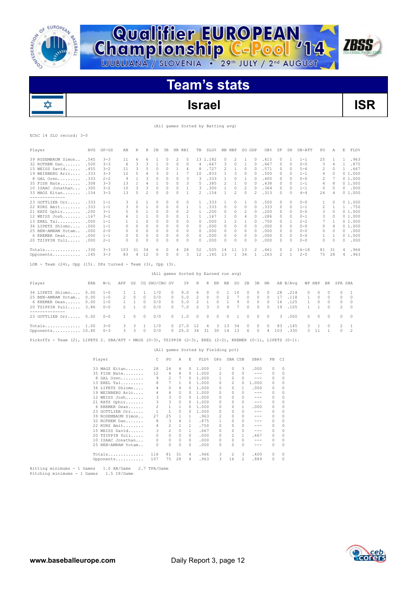

**Qualifier EUROPEAN<br>Championship C-Pool '14** 

# **Israel ISR**

**ZBSS** 

### (All games Sorted by Batting avg)

EChC 14 SLO record: 3-0

✿

| Player                                                                                                      | AVG  | $GP - GS$          | AB             | R            | Н            | 2B                                   | 3B             | HR RBI                             |              | TB             | $SLG$ <sup>8</sup> |              | BB HBP         |                | SO GDP       |                                                                                                                                                                                                                                                                                                                                                                                              | OB <sub>8</sub> | SF       | SH           | SB-ATT       | PO             | Α              |                | E FLD%         |  |
|-------------------------------------------------------------------------------------------------------------|------|--------------------|----------------|--------------|--------------|--------------------------------------|----------------|------------------------------------|--------------|----------------|--------------------|--------------|----------------|----------------|--------------|----------------------------------------------------------------------------------------------------------------------------------------------------------------------------------------------------------------------------------------------------------------------------------------------------------------------------------------------------------------------------------------------|-----------------|----------|--------------|--------------|----------------|----------------|----------------|----------------|--|
| 39 ROSEMBAUM Simon                                                                                          | .545 | $3 - 3$            | 11             | 6            | 6            | 1                                    | 0              | 2                                  | 5            |                | 13 1.182           |              | 0              | 2              | 1            | 0                                                                                                                                                                                                                                                                                                                                                                                            | .615            | 0        | 1            | $1 - 1$      | 25             | 1              | 1              | .963           |  |
| 32 ROTHEM Dan                                                                                               | .500 | $3 - 3$            | 6              | 3            | 3            | 1                                    | 0              | $\circ$                            | 0            | 4              | .667               |              | 3              | $\circ$        | $\mathbf{1}$ | $\circ$                                                                                                                                                                                                                                                                                                                                                                                      | .667            | $\circ$  | $\circ$      | $0 - 0$      | 3              | 4              | $\mathbf{1}$   | .875           |  |
| 15 WEISS David                                                                                              | .455 | $3 - 2$            | 11             | 3            | 5            | $\circ$                              | 0              | 1                                  | 4            | 8              | .727               |              | $\overline{c}$ | 1              | 0            | $\circ$                                                                                                                                                                                                                                                                                                                                                                                      | .571            | $\circ$  | $\circ$      | $5 - 6$      | 2              | $\circ$        | $\mathbf{1}$   | .667           |  |
| 19 WEINBERG Aric                                                                                            | .333 | $3 - 3$            | 12             | 5            | 4            | 3                                    | 0              | 1                                  | 7            | 10             | .833               |              | 1              | 3              | 0            | $\circ$                                                                                                                                                                                                                                                                                                                                                                                      | .500            | 0        | 0            | $1 - 1$      | 4              | 0              |                | 01.000         |  |
| 8 GAL Oren                                                                                                  | .333 | $2 - 2$            | $\overline{9}$ | 1            | 3            | $\circ$                              | 0              | 0                                  | 3            | 3              | .333               |              | $\mathbf{1}$   | $\circ$        | 1            | $\circ$                                                                                                                                                                                                                                                                                                                                                                                      | .400            | $\circ$  | $\circ$      | $0 - 0$      | $\mathbf{2}$   | $\overline{7}$ |                | 01.000         |  |
| 35 FISH Nate                                                                                                | .308 | $3 - 3$            | 13             | 1            | 4            | 1                                    | 0              | $\circ$                            | 3            | 5              | .385               |              | 2              | 1              | 0            | $\circ$                                                                                                                                                                                                                                                                                                                                                                                      | .438            | $\circ$  | $\circ$      | $1 - 1$      | 4              | 8              |                | 01.000         |  |
| 10 ISAAC Jonathan                                                                                           | .300 | $3 - 2$            | 10             | 3            | 3            | 0                                    | 0              | $\circ$                            | 1            | 3              | .300               |              | $\mathbf{1}$   | $\circ$        | 2            | $\circ$                                                                                                                                                                                                                                                                                                                                                                                      | .364            | 0        | 0            | $1 - 1$      | 0              | 0              | $\circ$        | .000           |  |
| 33 MAOZ Eitan                                                                                               | .154 | $3 - 3$            | 13             | 5            | $\mathbf{2}$ | $\circ$                              | 0              | $\circ$                            | 1            | 2              | .154               |              | $\mathbf{1}$   | 2              | 0            | $\overline{c}$                                                                                                                                                                                                                                                                                                                                                                               | .313            | $\circ$  | $\circ$      | $4 - 4$      | 24             | 4              |                | 01.000         |  |
| --------------                                                                                              |      |                    |                |              |              |                                      |                |                                    |              |                |                    |              |                |                |              |                                                                                                                                                                                                                                                                                                                                                                                              |                 |          |              |              |                |                |                |                |  |
| 23 GOTTLIEB Orr                                                                                             | .333 | $1 - 1$            | 3              | 2            | 1            | 0                                    | 0              | 0                                  | 0            | 1              | .333               |              | 1              | 0              | 1            | 0                                                                                                                                                                                                                                                                                                                                                                                            | .500            | 0        | 0            | $0 - 0$      | 1              | 0              |                | 01.000         |  |
| 22 KURZ Amit                                                                                                | .333 | $1 - 1$            | 3              | $\circ$      | 1            | $\circ$                              | 0              | $\circ$                            | 1            | $\mathbf{1}$   | .333               |              | $\circ$        | $\circ$        | $\circ$      | $\circ$                                                                                                                                                                                                                                                                                                                                                                                      | .333            | $\circ$  | $\circ$      | $1 - 1$      | $\overline{c}$ | $\mathbf{1}$   | $\mathbf{1}$   | .750           |  |
| 21 KATZ Ophir                                                                                               | .200 | $3 - 1$            | 5              | 0            | 1            | 0                                    | 0              | 0                                  | 2            | 1              | .200               |              | 0              | 0              | 2            | $\circ$                                                                                                                                                                                                                                                                                                                                                                                      | .200            | 0        | 0            | $0 - 0$      | 3              | 0              |                | 01.000         |  |
| 12 WEISS Josh                                                                                               | .167 | $3 - 2$            | 6              | $\mathbf{1}$ | $\mathbf{1}$ | $\circ$                              | $\circ$        | $\circ$                            | $\mathbf{1}$ | 1              | .167               |              | $\mathbf{1}$   | $\circ$        | 4            | $\circ$                                                                                                                                                                                                                                                                                                                                                                                      | .286            | 0        | 0            | $0 - 1$      | 3              | $\circ$        |                | 01.000         |  |
| 13 EREL Tal                                                                                                 | .000 | $1 - 1$            | 1              | 1            | $\circ$      | $\circ$                              | $\circ$        | $\circ$                            | $\circ$      | $\cap$         | .000               |              | 1              | 2              | 1            | $\circ$                                                                                                                                                                                                                                                                                                                                                                                      | .750            | $\circ$  | 1            | $2 - 2$      | 7              | 1              |                | 01.000         |  |
| 36 LIPETZ Shlomo                                                                                            | .000 | $1 - 1$            | $\circ$        | $\circ$      | $\Box$       | 0                                    | $\circ$        | 0                                  | $\circ$      | 0              | .000               |              | $\circ$        | $\circ$        | 0            | $\circ$                                                                                                                                                                                                                                                                                                                                                                                      | .000            | 0        | $\circ$      | $0 - 0$      | $\circ$        | 4              |                | 01.000         |  |
| 25 BEN-AMRAM Yotam                                                                                          | .000 | $2 - 0$            | 0              | $\circ$      | $\circ$      | $\circ$                              | $\circ$        | 0                                  | 0            | $\circ$        | .000               |              | 0              | $\circ$        | 0            | $\circ$                                                                                                                                                                                                                                                                                                                                                                                      | .000            | $\circ$  | $\circ$      | $0 - 0$      | $\circ$        | $\circ$        | $\Omega$       | .000           |  |
| 6 KREMER Dean                                                                                               | .000 | $1 - 1$            | $\Omega$       | $\Omega$     | $\circ$      | $\circ$                              | $\circ$        | 0                                  | $\circ$      | <sup>0</sup>   | .000               |              | $\Omega$       | $\Omega$       | 0            | $\Omega$                                                                                                                                                                                                                                                                                                                                                                                     | .000            | 0        | $\circ$      | $0 - 0$      | 1              | 1              |                | 01.000         |  |
| 20 TZIPPIN Yuli                                                                                             | .000 | $2 - 1$            | 0              | $\circ$      | 0            | 0                                    | $\circ$        | 0                                  | 0            | 0              | .000               |              | 0              | $\circ$        | 0            | $\circ$                                                                                                                                                                                                                                                                                                                                                                                      | .000            | 0        | 0            | $0 - 0$      | 0              | $\circ$        | 0              | .000           |  |
|                                                                                                             |      |                    |                |              |              |                                      |                |                                    |              |                |                    |              |                |                |              |                                                                                                                                                                                                                                                                                                                                                                                              |                 |          |              |              |                |                |                |                |  |
| $Totals$                                                                                                    | .330 | $3 - 3$            | 103            | 31           | 34           | 6                                    | 0              | 4                                  | 28           | 52             | .505               |              | 14             | 11             | 13           | 2                                                                                                                                                                                                                                                                                                                                                                                            | .461            | 0        | 2            | $16 - 18$    | 81             | -31            | 4              | .966           |  |
| Opponents                                                                                                   | .145 | $3 - 3$            | 83             | 4            | 12           | $\circ$                              | 0              | $\mathbb O$                        | 3            | 12             | .145               |              | 13             | $\mathbf{1}$   | 34           | $\mathbf{1}$                                                                                                                                                                                                                                                                                                                                                                                 | .263            | 2        | $\mathbf{1}$ | $2 - 5$      | 75             | 28             | 4              | .963           |  |
|                                                                                                             |      |                    |                |              |              |                                      |                |                                    |              |                |                    |              |                |                |              |                                                                                                                                                                                                                                                                                                                                                                                              |                 |          |              |              |                |                |                |                |  |
| $LOB$ - Team $(24)$ , Opp $(15)$ . DPs turned - Team $(3)$ , Opp $(3)$ .                                    |      |                    |                |              |              |                                      |                |                                    |              |                |                    |              |                |                |              |                                                                                                                                                                                                                                                                                                                                                                                              |                 |          |              |              |                |                |                |                |  |
|                                                                                                             |      |                    |                |              |              | (All games Sorted by Earned run avg) |                |                                    |              |                |                    |              |                |                |              |                                                                                                                                                                                                                                                                                                                                                                                              |                 |          |              |              |                |                |                |                |  |
|                                                                                                             |      |                    |                |              |              |                                      |                |                                    |              |                |                    |              |                |                |              |                                                                                                                                                                                                                                                                                                                                                                                              |                 |          |              |              |                |                |                |                |  |
| Player                                                                                                      | ERA  | $W-L$              | APP            | GS           |              | CG SHO/CBO SV                        |                |                                    | ΙP           | Η              |                    | R ER BB      |                | SO.            | 2B           | 3B                                                                                                                                                                                                                                                                                                                                                                                           | HR              |          | AB B/Avq     |              | WP HBP         | ΒK             | SFA SHA        |                |  |
| 36 LIPETZ Shlomo                                                                                            | 0.00 | $1 - 0$            | 1              | $\mathbf{1}$ | 1            | 1/0                                  | 0              |                                    | 9.0          | 6              | 0                  | $\circ$      | 1              | 10             | 0            | $\circ$                                                                                                                                                                                                                                                                                                                                                                                      | $\circ$         | 28       | .214         | 0            | $\circ$        | 0              | $\circ$        | $\mathbf{1}$   |  |
| 25 BEN-AMRAM Yotam                                                                                          | 0.00 | $1 - 0$            | 2              | 0            | $\circ$      | 0/0                                  | 0              |                                    | 5.0          | 2              | 0                  | 0            | 2              | $\overline{7}$ | 0            | 0                                                                                                                                                                                                                                                                                                                                                                                            | 0               | 17       | .118         | $\mathbf{1}$ | $\circ$        | 0              | 0              | $\circ$        |  |
| 6 KREMER Dean                                                                                               | 0.00 | $1 - 0$            | 1              | 1            | $\circ$      | 0/0                                  | $\circ$        |                                    | 5.0          | 2              | 1                  | $\circ$      | 1              | 9              | 0            | $\circ$                                                                                                                                                                                                                                                                                                                                                                                      | $\circ$         | 16       | .125         | 1            | $\circ$        | 0              | $\circ$        | $\circ$        |  |
| 20 TZIPPIN Yuli                                                                                             | 3.86 | $0 - 0$            | $\overline{2}$ | $1\,$        | $\circ$      | 0/0                                  | 0              |                                    | 7.0          | $\overline{c}$ | 3                  | 3            | 9              | $\overline{7}$ | 0            | 0                                                                                                                                                                                                                                                                                                                                                                                            | $\circ$         | 19       | .105         | $\mathbf{1}$ | $\mathbf{1}$   | 0              | $\overline{c}$ | $\circ$        |  |
| --------------                                                                                              |      |                    |                |              |              |                                      |                |                                    |              |                |                    |              |                |                |              |                                                                                                                                                                                                                                                                                                                                                                                              |                 |          |              |              |                |                |                |                |  |
| 23 GOTTLIEB Orr 0.00                                                                                        |      | $0 - 0$            | 1              | 0            | 0            | 0/0                                  | 0              |                                    | $1.0$        | 0              | 0                  | 0            | 0              | 1              | 0            | 0                                                                                                                                                                                                                                                                                                                                                                                            | $\circ$         | 3        | .000         | 0            | 0              | 0              | 0              | 0              |  |
|                                                                                                             |      |                    |                |              |              |                                      |                |                                    |              |                |                    |              |                |                |              |                                                                                                                                                                                                                                                                                                                                                                                              |                 |          |              |              |                |                |                |                |  |
| $Totals$ $1.00$                                                                                             |      | $3 - 0$            | 3              | 3            | 1            | 1/0                                  | 0              | 27.0                               |              | 12             | 4                  | 3            | 13             | 34             | 0            | 0                                                                                                                                                                                                                                                                                                                                                                                            | 0               | 83       | .145         | 3            | 1              | 0              | 2              | 1              |  |
| Opponents 10.80                                                                                             |      | $0 - 3$            | 3              | 3            | 0            | 0/0                                  | $\circ$        | 25.0                               |              | 34             | 31                 | 30           | 14             | 13             | 6            | 0                                                                                                                                                                                                                                                                                                                                                                                            | 4               | 103      | .330         | 3            | 11             | 1              | $\circ$        | $\overline{2}$ |  |
|                                                                                                             |      |                    |                |              |              |                                      |                |                                    |              |                |                    |              |                |                |              |                                                                                                                                                                                                                                                                                                                                                                                              |                 |          |              |              |                |                |                |                |  |
| Pickoffs - Team (2), LIPETZ 2. SBA/ATT - MAOZ (0-3), TZIPPIN (2-3), EREL (2-2), KREMER (0-1), LIPETZ (0-1). |      |                    |                |              |              |                                      |                |                                    |              |                |                    |              |                |                |              |                                                                                                                                                                                                                                                                                                                                                                                              |                 |          |              |              |                |                |                |                |  |
|                                                                                                             |      |                    |                |              |              |                                      |                | (All games Sorted by Fielding pct) |              |                |                    |              |                |                |              |                                                                                                                                                                                                                                                                                                                                                                                              |                 |          |              |              |                |                |                |                |  |
|                                                                                                             |      |                    |                |              |              | С                                    | PO             | Α                                  | Ε            |                |                    | DPs          |                | SBA CSB        |              | SBA%                                                                                                                                                                                                                                                                                                                                                                                         | PВ              | C1       |              |              |                |                |                |                |  |
|                                                                                                             |      | Player             |                |              |              |                                      |                |                                    |              |                | FLD%               |              |                |                |              |                                                                                                                                                                                                                                                                                                                                                                                              |                 |          |              |              |                |                |                |                |  |
|                                                                                                             |      | 33 MAOZ Eitan      |                |              |              | 28                                   | 24             | 4                                  | 0            |                | 1.000              | 1            |                | 0              | 3            | .000                                                                                                                                                                                                                                                                                                                                                                                         | 0               | $\circ$  |              |              |                |                |                |                |  |
|                                                                                                             |      | 35 FISH Nate       |                |              |              | 12                                   | 4              | 8                                  | 0            |                | 1.000              | 2            |                | 0              | $\Omega$     | $- - -$                                                                                                                                                                                                                                                                                                                                                                                      | $\circ$         | $\Omega$ |              |              |                |                |                |                |  |
|                                                                                                             |      | 8 GAL Oren         |                |              |              | 9                                    | $\overline{c}$ | 7                                  | 0            |                | 1.000              | 1            |                | 0              | $\Omega$     | $\frac{1}{2} \frac{1}{2} \frac{1}{2} \frac{1}{2} \frac{1}{2} \frac{1}{2} \frac{1}{2} \frac{1}{2} \frac{1}{2} \frac{1}{2} \frac{1}{2} \frac{1}{2} \frac{1}{2} \frac{1}{2} \frac{1}{2} \frac{1}{2} \frac{1}{2} \frac{1}{2} \frac{1}{2} \frac{1}{2} \frac{1}{2} \frac{1}{2} \frac{1}{2} \frac{1}{2} \frac{1}{2} \frac{1}{2} \frac{1}{2} \frac{1}{2} \frac{1}{2} \frac{1}{2} \frac{1}{2} \frac{$ | $\circ$         | $\Omega$ |              |              |                |                |                |                |  |
|                                                                                                             |      | 13 EREL Tal        |                |              |              | 8                                    | $\overline{7}$ | 1                                  | 0            |                | 1.000              | $\circ$      |                | 2              | $\circ$      | 1.000                                                                                                                                                                                                                                                                                                                                                                                        | $\circ$         | $\circ$  |              |              |                |                |                |                |  |
|                                                                                                             |      | 36 LIPETZ Shlomo   |                |              |              | 4                                    | $\circ$        | 4                                  | 0            |                | 1.000              | 0            |                | 0              | 1            | .000                                                                                                                                                                                                                                                                                                                                                                                         | 0               | $\Omega$ |              |              |                |                |                |                |  |
|                                                                                                             |      | 19 WEINBERG Aric   |                |              |              | 4                                    | 4              | $\circ$                            | 0            |                | 1.000              | 0            |                | 0              | $\circ$      | $\frac{1}{2}$                                                                                                                                                                                                                                                                                                                                                                                | 0               | $\circ$  |              |              |                |                |                |                |  |
|                                                                                                             |      | 12 WEISS Josh      |                |              |              | 3                                    | 3              | $\circ$                            | $\circ$      |                | 1.000              | $\circ$      |                | $\circ$        | $\circ$      | $\frac{1}{2}$                                                                                                                                                                                                                                                                                                                                                                                | $\circ$         | $\Omega$ |              |              |                |                |                |                |  |
|                                                                                                             |      | 21 KATZ Ophir      |                |              |              | 3                                    | 3              | $\circ$                            | 0            |                | 1.000              | 0            |                | 0              | $\Omega$     | $\frac{1}{2} \frac{1}{2} \frac{1}{2} \frac{1}{2} \frac{1}{2} \frac{1}{2} \frac{1}{2} \frac{1}{2} \frac{1}{2} \frac{1}{2} \frac{1}{2} \frac{1}{2} \frac{1}{2} \frac{1}{2} \frac{1}{2} \frac{1}{2} \frac{1}{2} \frac{1}{2} \frac{1}{2} \frac{1}{2} \frac{1}{2} \frac{1}{2} \frac{1}{2} \frac{1}{2} \frac{1}{2} \frac{1}{2} \frac{1}{2} \frac{1}{2} \frac{1}{2} \frac{1}{2} \frac{1}{2} \frac{$ | 0               | $\Omega$ |              |              |                |                |                |                |  |
|                                                                                                             |      | 6 KREMER Dean      |                |              |              | $\overline{c}$                       | $\mathbf{1}$   | 1                                  | 0            |                | 1.000              | 0            |                | 0              | 1            | .000                                                                                                                                                                                                                                                                                                                                                                                         | 0               | $\Omega$ |              |              |                |                |                |                |  |
|                                                                                                             |      | 23 GOTTLIEB Orr    |                |              |              | $\mathbf{1}$                         | $\mathbf{1}$   | $\Omega$                           | $\Omega$     |                | 1,000              | $\circ$      |                | $\circ$        | $\Omega$     | $\frac{1}{2}$                                                                                                                                                                                                                                                                                                                                                                                | $\Omega$        | $\Omega$ |              |              |                |                |                |                |  |
|                                                                                                             |      | 39 ROSEMBAUM Simon |                |              |              | 27                                   | 25             | 1                                  | 1            |                | .963               | 2            |                | 0              | $\Omega$     | $\frac{1}{2}$                                                                                                                                                                                                                                                                                                                                                                                | $\circ$         | $\Omega$ |              |              |                |                |                |                |  |
|                                                                                                             |      | 32 ROTHEM Dan      |                |              |              | 8                                    | 3              | 4                                  | $\mathbf{1}$ |                | .875               | $\mathbf{1}$ |                | 0              | $\circ$      | $- - -$                                                                                                                                                                                                                                                                                                                                                                                      | 0               | $\circ$  |              |              |                |                |                |                |  |
|                                                                                                             |      | 22 KURZ Amit       |                |              |              | $\overline{4}$                       | 2              | 1                                  | $\mathbf{1}$ |                | .750               | $\circ$      |                | $\circ$        | $\Omega$     | $\sim$ $\sim$ $\sim$                                                                                                                                                                                                                                                                                                                                                                         | $\Omega$        | $\Omega$ |              |              |                |                |                |                |  |
|                                                                                                             |      | 15 WEISS David     |                |              |              | 3                                    | 2              | $\circ$                            | 1            |                | .667               | 0            |                | 0              | $\circ$      | $\frac{1}{2}$                                                                                                                                                                                                                                                                                                                                                                                | 0               | $\Omega$ |              |              |                |                |                |                |  |
|                                                                                                             |      | 20 TZIPPIN Yuli    |                |              |              | 0                                    | 0              | $\circ$                            | $\circ$      |                | .000               | 0            |                | $\overline{c}$ | $\mathbf{1}$ | .667                                                                                                                                                                                                                                                                                                                                                                                         | 0               | $\circ$  |              |              |                |                |                |                |  |
|                                                                                                             |      | 10 ISAAC Jonathan  |                |              |              | $\Omega$                             | $\Omega$       | $\Omega$                           | $\Omega$     |                | .000               | $\Omega$     |                | $\Omega$       | $\Omega$     | $\frac{1}{2} \frac{1}{2} \frac{1}{2} \frac{1}{2} \frac{1}{2} \frac{1}{2} \frac{1}{2} \frac{1}{2} \frac{1}{2} \frac{1}{2} \frac{1}{2} \frac{1}{2} \frac{1}{2} \frac{1}{2} \frac{1}{2} \frac{1}{2} \frac{1}{2} \frac{1}{2} \frac{1}{2} \frac{1}{2} \frac{1}{2} \frac{1}{2} \frac{1}{2} \frac{1}{2} \frac{1}{2} \frac{1}{2} \frac{1}{2} \frac{1}{2} \frac{1}{2} \frac{1}{2} \frac{1}{2} \frac{$ | $\Omega$        | $\Omega$ |              |              |                |                |                |                |  |
|                                                                                                             |      | 25 BEN-AMRAM Yotam |                |              |              | $\circ$                              | $\circ$        | $\circ$                            | 0            |                | .000               | $\circ$      |                | $\circ$        | $\Omega$     | $\frac{1}{2}$                                                                                                                                                                                                                                                                                                                                                                                | $\circ$         | $\Omega$ |              |              |                |                |                |                |  |
|                                                                                                             |      |                    |                |              |              |                                      |                |                                    |              |                |                    |              |                |                |              |                                                                                                                                                                                                                                                                                                                                                                                              |                 |          |              |              |                |                |                |                |  |

Hitting minimums - 1 Games 1.0 AB/Game 2.7 TPA/Game Pitching minimums - 1 Games 1.5 IP/Game

Totals.............. 116 81 31 4 .966 3 2 3 .400 0 0 Opponents........... 107 75 28 4 .963 3 16 2 .889 0 0

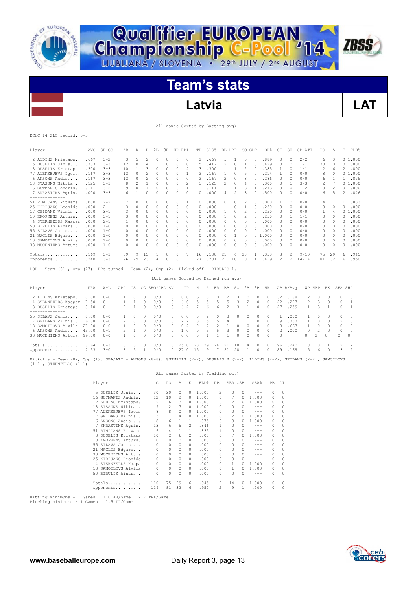



**Championship C-Pool** 14

# **Latvia LAT**

**ZBSS** 

(All games Sorted by Batting avg)

EChC 14 SLO record: 0-3

| Player               | AVG  | $GP - GS$ | AB | R                        | Η                        | 2B       | 3B | HR. | RBI      | TB           | SLG%  | BB.                      | HBP                      | SO.          | GDP      | OB <sub>8</sub>        | SF            | SH       | SB-ATT    | PO                       | Α        | E            | FLD%   |
|----------------------|------|-----------|----|--------------------------|--------------------------|----------|----|-----|----------|--------------|-------|--------------------------|--------------------------|--------------|----------|------------------------|---------------|----------|-----------|--------------------------|----------|--------------|--------|
| 2 ALDINS Kristaps    | .667 | $3 - 2$   | 3  | 5                        | $\overline{\mathcal{L}}$ | $\Omega$ |    | 0   | $\Omega$ | 2            | 667.  | 5                        |                          | $\Omega$     |          | .889                   | $\mathcal{O}$ | $\Omega$ | $2 - 2$   | 6                        | 3        |              | 01.000 |
| 5 DUSELIS Janis      | .333 | $3 - 3$   | 12 | $\Omega$                 | 4                        |          | 0  | 0   | $\Omega$ | 5            | 417   | $\mathcal{L}$            | $\Omega$                 |              | $\Omega$ | .429                   | $\Omega$      | $\Omega$ | $1 - 1$   | 30                       | $\Omega$ |              | 01.000 |
| 3 DUSELIS Kristaps.  | .300 | $3 - 3$   | 10 |                          | 3                        | $\Omega$ | 0  | 0   | 2        | 3            | .300  |                          |                          | 2            | $\Omega$ | .385                   |               | $\Omega$ | $1 - 1$   | 2                        | 6        | 2            | .800   |
| 77 ALEKSEJEVS Igors. | .167 | $3 - 3$   | 12 | $\Omega$                 |                          | $\Omega$ | U  | 0   |          | 2            | .167  |                          | n                        | 5            |          | .214                   |               | $\Omega$ | $0 - 0$   | 8                        | $\Omega$ | 0            | 1.000  |
| 6 ANSONS Andis       | .167 | $3 - 3$   | 12 | $\Omega$                 |                          | $\Omega$ |    | 0   | 0        |              | . 167 | 2                        | 0                        |              |          | .286                   |               | $\Omega$ | $0 - 0$   | 6                        |          |              | .875   |
| 18 STASUNS Nikita    | .125 | $3 - 3$   | 8  | $\overline{\phantom{a}}$ |                          | $\Omega$ | U  | 0   | 2        |              | .125  | $\overline{\mathcal{L}}$ | 0                        | 4            |          | .300                   | $\Omega$      |          | $3 - 3$   | $\overline{\mathcal{L}}$ |          |              | 01.000 |
| 16 GUTMANTS Andris   | .111 | $3 - 2$   | 9  | $\Omega$                 |                          | $\Omega$ | 0  | 0   |          |              | . 111 |                          |                          | 3            |          | .273                   | $\Omega$      | $\Omega$ | $1 - 2$   | 10                       |          |              | 01.000 |
| 7 SKRASTINS Agris    | .000 | $3 - 3$   | 6  |                          | 0                        | O        |    | n   | O        | n.           | .000  | 4                        | $\overline{\mathcal{L}}$ | २            |          | .500                   | $\Omega$      | $\Omega$ | $0 - 0$   | 6                        | 5        | 2            | .846   |
| 51 RIMICANS Ritvars. | .000 | $2 - 2$   |    | $\Omega$                 | 0                        | $\Omega$ |    |     |          | $\Omega$     | .000  |                          | 0                        |              |          | .000                   |               | $\Omega$ | $0 - 0$   | 4                        |          |              | .833   |
| 25 KIRIJAKS Leonids. | .000 | $2 - 1$   | 3  | $\Omega$                 | $\Omega$                 | $\Omega$ | 0  | 0   | $\Omega$ | $\Omega$     | .000  |                          | 0                        |              |          | .250                   | $\Omega$      | $\Omega$ | $0 - 0$   | 0                        | $\Omega$ | $\Omega$     | .000   |
| 17 GEIDANS Vilnis    | .000 | $3 - 1$   | 3  | $\Omega$                 | 0                        | $\Omega$ | 0  | 0   | $\Omega$ | $\Omega$     | .000  |                          | 0                        |              | 0        | .250                   | $\Omega$      | $\Omega$ | $0 - 0$   |                          | 4        | 0            | .000   |
| 10 KNOPKENS Arturs   | .000 | $3 - 1$   | 3  | $\Omega$                 | Ω                        |          |    | 0   | $\Omega$ | 0            | .000  |                          | n                        |              |          | .250                   | O.            |          | $1 - 1$   | 0                        | 0        | n            | .000   |
| 4 STERNFELDS Kaspar  | .000 | $2 - 1$   |    |                          |                          |          |    | 0   | 0        |              | .000  |                          |                          | Ω            |          | .000                   |               | $\Omega$ | $0 - 0$   | 0                        | 0        | <sup>n</sup> | .000   |
| 50 BIRULIS Ainars    | .000 | $1 - 0$   |    | Ω                        | Ω                        |          |    | 0   | O        | O.           | .000  | U                        | n                        | O.           |          | .000                   | O.            | $\Omega$ | $0 - 0$   | 0                        | O.       | 0            | .000   |
| 55 SILAVS Janis      | .000 | $1 - 0$   | 0  | 0                        | 0                        |          | 0  | 0   | 0        | 0            | .000  | 0                        | 0                        | 0            |          | .000                   | $\Omega$      | $\Omega$ | $0 - 0$   | 0                        | 0        | 0            | .000   |
| 21 NAGLIS Edgars     | .000 | $1 - 0$   | 0  | $\Omega$                 | 0                        |          | U  | 0   | $\Omega$ | 0            | .000  | U                        |                          | 0            |          | .000<br>0 <sub>1</sub> | 0             | $\Omega$ | $0 - 0$   | 0                        | $\Omega$ | $\Omega$     | .000   |
| 13 SAMOILOVS Alvils  | .000 | $1 - 0$   | 0  | $\Omega$                 | 0                        | $\Omega$ | 0  | 0   | 0        | $\Omega$     | .000  | 0.                       | 0                        | $\Omega$     |          | .000                   | O.            | $\Omega$ | $0 - 0$   | 0                        | $\Omega$ | $\Omega$     | .000   |
| 33 MUCENIEKS Arturs. | .000 | $1 - 0$   | 0  | $\Omega$                 | U                        |          |    | U   | $\Omega$ | <sup>0</sup> | .000  | U                        | 0                        | <sup>0</sup> |          | .000                   | 0             | $\cap$   | $0 - 0$   | 0                        | $\Omega$ | $\Omega$     | .000   |
| Totals               | .169 | $3 - 3$   | 89 | 9                        | 15                       |          | 0  | 0   |          | 16           | .180  | 21                       | 6                        | 28           |          | .353                   | З             | 2        | $9 - 10$  | 75                       | 29       | 6            | .945   |
| Opponents            | .240 | $3 - 3$   | 96 | 29                       | 23                       |          |    |     | 17       | 27           | .281  | 21                       | 10                       | 10           |          | .419                   |               |          | $14 - 14$ | 81                       | 32       | 6            | .950   |

LOB - Team (31), Opp (27). DPs turned - Team (2), Opp (2). Picked off - BIRULIS 1.

|  |  | (All games Sorted by Earned run avg) |  |
|--|--|--------------------------------------|--|

| Player                     | ERA  | $W-L$   | APP           | GS     |          | CG SHO/CBO SV |          | IP.  | Н             |    | R ER          | BB            | SO.      | 2B            | 3B         | HR       |               | AB B/Avq |               | WP HBP        | BK       | SFA SHA |                |
|----------------------------|------|---------|---------------|--------|----------|---------------|----------|------|---------------|----|---------------|---------------|----------|---------------|------------|----------|---------------|----------|---------------|---------------|----------|---------|----------------|
| 2 ALDINS Kristaps          | 0.00 | $0 - 0$ |               |        | 0        | 0/0           |          | 8.0  | 6.            | 3  |               | $\mathcal{P}$ |          |               | $^{\circ}$ | $\Omega$ | 32.           | .188     | 2             | $\Box$        |          |         | $0 \quad 0$    |
| 4 STERNFELDS Kaspar 7.50   |      | $0 - 1$ |               |        | $\Omega$ | 0/0           | $\Omega$ | 6.0  | .5.           | 5  | $\mathcal{L}$ | -5.           |          | $\mathcal{P}$ | $\Omega$   | $\Omega$ | 22            | .227     | $\mathcal{P}$ | -3            | $\Omega$ |         | $0 \quad 1$    |
| 3 DUSELIS Kristaps. 8.10   |      | $0 - 1$ | $\mathcal{P}$ |        |          | 0/0           | $\cap$   | 6.2  |               | 6. | 6             | 2             |          |               | $\cap$     | $\cap$   | 27            | .259     |               | २             |          |         | $0 \quad 1$    |
|                            |      |         |               |        |          |               |          |      |               |    |               |               |          |               |            |          |               |          |               |               |          |         |                |
| 55 SILAVS Janis 0.00       |      | $0 - 0$ |               |        |          | 0/0           |          | 0.0  | $\cap$        | 2  |               | 3             | $^{(1)}$ | n.            | $\Omega$   | $\Box$   |               | . 000    |               | $\cap$        | $\Box$   |         | $0 \quad 0$    |
| 17 GEIDANS Vilnis 16.88    |      | $0 - 0$ | $\mathcal{P}$ | $\cap$ | $\cap$   | 0/0           | $\cap$   | 2.2  | $\mathcal{R}$ | 5  | 5             | 4             |          |               | $\cap$     | $\cap$   | 9             | .333     |               | $\cap$        | $\cap$   |         | $2 \quad 0$    |
| 13 SAMOILOVS Alvils, 27.00 |      | $0 - 0$ |               |        |          | 0/0           |          | 0.2  |               |    |               |               | 0        | $\cap$        | $\cap$     | $\cap$   | 3.            | . 667    |               | $\cap$        | $\cap$   |         | $0\qquad 0$    |
| 6 ANSONS Andis 45.00       |      | $0 - 1$ |               |        |          | 0/0           | $\cap$   | 1.0  | $\cap$        | 5  | 5             | $\mathcal{R}$ | $\Omega$ | $\cap$        | $\Omega$   | $\cap$   | $\mathcal{P}$ | .000     | $\cap$        | $\mathcal{L}$ | $\cap$   |         | $0 \quad 0$    |
| 33 MUCENIEKS Arturs, 99.00 |      | $0 - 0$ |               |        |          | 0/0           | O.       | 0.0  | $\cap$        |    |               |               | $\Omega$ | $\cap$        | $\cap$     | $\cap$   | $\cap$        |          |               | $\mathcal{P}$ | $\cap$   | $\cap$  | $\bigcap$      |
| Totals $8.64$              |      | $0 - 3$ | 3.            | 3      |          | 0/0           | $\cap$   | 25.0 | -23           | 29 | 2.4           | 21            | 10       | $\mathcal{A}$ | $\cap$     | $\cap$   | 96.           | .240     | 8.            | 10            |          |         | 2 <sub>2</sub> |
| Opponents 2.33             |      | $3 - 0$ | 3.            |        |          | 0/0           |          | 27.0 | 1.5           | 9  |               | 21            | -28      |               | $\Omega$   | $\Omega$ | 89            | .169     | .5.           | 6             | $\Omega$ |         | $3 \t 2$       |

Pickoffs - Team (0), Opp (1). SBA/ATT - ANSONS (8-8), GUTMANIS (7-7), DUSELIS K (7-7), ALDINS (2-2), GEIDANS (2-2), SAMOILOVS (1-1), STERNFELDS (1-1).

(All games Sorted by Fielding pct)

| Player                                          | C.       | PO.            | A             | E.             | FLD%  | DPs          | SBA CSB      |               | SBA%    | PB       | CI       |
|-------------------------------------------------|----------|----------------|---------------|----------------|-------|--------------|--------------|---------------|---------|----------|----------|
| 5 DUSELIS Janis                                 | 30       | 30             | $\mathcal{O}$ | 0              | 1,000 | 2            | $\Omega$     | $\mathcal{O}$ | $- - -$ | $\Omega$ | $\Omega$ |
| 16 GUTMANIS Andris                              | 12       | 10             | 2             | 0              | 1,000 | $\Omega$     | 7            | 0             | 1,000   | 0        | $\circ$  |
| 2 ALDINS Kristaps                               | 9        | 6              | 3             | $\Omega$       | 1,000 | $\Omega$     | 2            | 0             | 1.000   | 0        | 0        |
| 18 STASUNS Nikita                               | 9        | 2              | 7             | $\Omega$       | 1,000 | $\Omega$     | $\Omega$     | 0             | ---     | 0        | $\Omega$ |
| 77 ALEKSEJEVS Igors.                            | 8        | 8              | $\Omega$      | 0              | 1,000 | $\Omega$     | $\Omega$     | 0             | $- - -$ | 0        | $\circ$  |
| 17 GEIDANS Vilnis                               | 5        | $\mathbf{1}$   | 4             | 0              | 1,000 | $\Omega$     | 2            | 0             | 1,000   | 0        | $\circ$  |
| 6 ANSONS Andis                                  | 8        | 6              | $\mathbf{1}$  | 1.             | .875  | $\Omega$     | 8            | O.            | 1.000   | 0        | 0        |
| 7 SKRASTINS Agris                               | 13       | 6              | 5             | $2^{\circ}$    | .846  |              |              | 0             | ---     | $\Omega$ | $\circ$  |
| 51 RIMICANS Ritvars.                            | 6        | 4              | 1             | $\mathbf{1}$   | .833  |              | $\Omega$     |               | $- - -$ | $\Omega$ | 0        |
| 3 DUSELIS Kristaps.                             | 10       | $\overline{2}$ | 6             | $\mathfrak{D}$ | .800  | $\Omega$     | 7            |               | 1,000   | 0        | $\Omega$ |
| 10 KNOPKENS Arturs                              | 0        | 0              | $\Omega$      | $\Omega$       | .000  | $\Omega$     | $\Omega$     | 0             | ---     | 0        | 0        |
| 55 SILAVS Janis                                 | 0        | 0              | $\Omega$      | $\Omega$       | .000  | $\Omega$     |              |               | ---     | $\Omega$ | $\Omega$ |
| 21 NAGLIS Edgars                                | $\Omega$ | 0              | $\mathcal{O}$ | $\Omega$       | .000  | $\Omega$     |              |               | $- - -$ | $\Omega$ | $\Omega$ |
| 33 MUCENIEKS Arturs.                            | $\Omega$ | $\Omega$       | $\Omega$      | $\Omega$       | .000  | $\Omega$     |              |               | ---     | $\Omega$ | $\Omega$ |
| 25 KIRIJAKS Leonids.                            | 0        | 0              | $\mathcal{O}$ | $\Omega$       | .000  | $\Omega$     | $\Omega$     |               | $- - -$ | 0        | $\circ$  |
| 4 STERNFELDS Kaspar                             | $\Omega$ | $\Omega$       | $\mathcal{O}$ | $\Omega$       | .000  | $\Omega$     |              | 0             | 1,000   | 0        | $\Omega$ |
| 13 SAMOILOVS Alvils.                            | $\Omega$ | 0              | $\Omega$      | $\Omega$       | .000  | $\Omega$     | $\mathbf{1}$ | $\Omega$      | 1.000   | 0        | $\circ$  |
| 50 BIRULIS Ainars                               | 0        | $\Omega$       | <sup>0</sup>  | 0              | .000  | <sup>0</sup> | <sup>0</sup> | <sup>0</sup>  | ---     | 0        | $\circ$  |
| Totals                                          | 110      | 75             | 29            | 6              | .945  | 2            | 14           | 0             | 1.000   | 0        | 0        |
| Opponents                                       | 119      | 81             | 32            | 6              | .950  | 2            | 9            | 1             | .900    | 0        | 0        |
| المناصب والمستحدث والمستحدث والمستحدث والمستحدث |          |                |               |                |       |              |              |               |         |          |          |

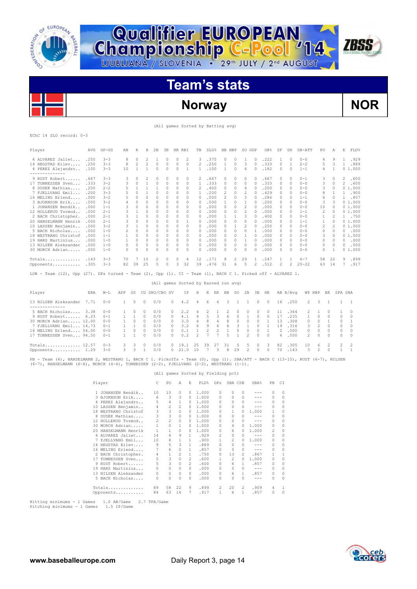



**Qualifier EUROPEAN<br>Championship C-Pool '14** 

# **Norway NOR**

**ZBSS** 

|  |  |  |  |  | (All games Sorted by Batting avg) |  |  |
|--|--|--|--|--|-----------------------------------|--|--|
|--|--|--|--|--|-----------------------------------|--|--|

### EChC 14 SLO record: 0-3

| Player                                                                                                                                                                                                                                     | AVG  | $GP - GS$ | AВ             | R              | Н            | 2B            | 3B       | HR RBI      |          | TB             | SLG%                                         | BB HBP         |              | SO GDP         |                    | OB%           | SF       | SH             | SB-ATT    | PO.            | Α            | E             | FLD%         |
|--------------------------------------------------------------------------------------------------------------------------------------------------------------------------------------------------------------------------------------------|------|-----------|----------------|----------------|--------------|---------------|----------|-------------|----------|----------------|----------------------------------------------|----------------|--------------|----------------|--------------------|---------------|----------|----------------|-----------|----------------|--------------|---------------|--------------|
| 6 ALVAREZ Jaliet                                                                                                                                                                                                                           | .250 | $3 - 3$   | 8              | $\circ$        | 2            | 1             | $\circ$  | $\circ$     | 2        | 3              | .375                                         | 0              | 0            | $\mathbf{1}$   | $\circ$            | .222          | 1        | $\circ$        | $0 - 0$   | 4              | 9            | $\mathbf{1}$  | .929         |
| 14 HEGSTAD Eilev                                                                                                                                                                                                                           | .250 | $3 - 3$   | 8              | $\overline{2}$ | 2            | $\circ$       | $\circ$  | $\mathbf 0$ | 0        | 2              | .250                                         | $\mathbf{1}$   | $\circ$      | 3              | $\circ$            | .333          | 0        | 1              | $2 - 2$   | 5              | 3            | $\mathbf{1}$  | .889         |
| 4 PEREZ Alejandro<br>--------------                                                                                                                                                                                                        | .100 | $3 - 3$   | 10             | 1              | $\mathbf{1}$ | 0             | $\circ$  | $\circ$     | 1        | 1              | .100                                         | 1              | $\circ$      | 4              | $\circ$            | .182          | 0        | 0              | $1 - 1$   | 4              | $\mathbf{1}$ |               | 01.000       |
| 9 RUST Robert                                                                                                                                                                                                                              | .667 | $3 - 3$   | 3              | 0              | 2            | 0             | 0        | 0           | 0        | 2              | .667                                         | 0              | 0            | 0              | 0                  | .667          | 0        | 0              | $0 - 1$   | 3              | 0            | 2             | .600         |
| 17 TONNESSEN Sven                                                                                                                                                                                                                          | .333 | $3 - 2$   | 3              | 0              | $\mathbf{1}$ | 0             | $\circ$  | $\circ$     | 0        | 1              | .333                                         | 0              | $\circ$      | 0              | $\circ$            | .333          | 0        | 0              | $0 - 0$   | 3              | $\circ$      | 2             | .600         |
| 8 DUDEK Mathias                                                                                                                                                                                                                            | .200 | $2 - 2$   | 5              | 1              | 1            | 1             | 0        | $\circ$     | 0        | 2              | .400                                         | 0              | 0            | 4              | 0                  | .200          | 0        | 0              | $0 - 0$   | 3              | $\circ$      |               | 01.000       |
| 7 FJELLVANG Emil                                                                                                                                                                                                                           | .200 | $3 - 3$   | 5              | 0              | 1            | 0             | 0        | 0           | 0        | 1              | .200                                         | 2              | 0            | $\overline{c}$ | 0                  | .429          | 0        | 0              | $0 - 0$   | 8              | 1            | $\mathbf{1}$  | .900         |
| 16 MELING Erlend                                                                                                                                                                                                                           | .000 | $3 - 2$   | 5              | $\Omega$       | 0            | 0             | $\Omega$ | $\Omega$    | $\Omega$ | $\Omega$       | .000                                         | $\overline{c}$ | $\Omega$     | 3              | $\Omega$           | .286          | 0        | $\Omega$       | $1 - 1$   | 6              | $\Omega$     | 1             | .857         |
| 3 BJORNSON Erik                                                                                                                                                                                                                            | .000 | $3 - 2$   | 4              | $\circ$        | 0            | $\circ$       | $\circ$  | $\circ$     | $\Omega$ | $\Omega$       | .000                                         | 1              | $\circ$      | 1              | $\Omega$           | .200          | $\Omega$ | $\Omega$       | $0 - 0$   | 3              | 3            |               | 01.000       |
| 1 JOHANSEN Bendik                                                                                                                                                                                                                          | .000 | $1 - 1$   | 3              | $\Omega$       | 0            | 0             | $\Omega$ | 0           | $\Omega$ | $\Omega$       | .000                                         | $\Omega$       | $\Omega$     | $\overline{c}$ | $\Omega$           | .000          | 0        | 0              | $0 - 0$   | 10             | $\Omega$     |               | 01.000       |
| 12 HOLLERUD Tormod                                                                                                                                                                                                                         | .000 | $2 - 1$   | 3              | 1              | 0            | $\circ$       | $\circ$  | $\circ$     | $\circ$  | 0              | .000                                         | 0              | $\circ$      | $\overline{c}$ | $\circ$            | .000          | 0        | $\circ$        | $1 - 1$   | $\overline{2}$ | $\circ$      |               | 01.000       |
| 2 BACH Christopher.                                                                                                                                                                                                                        | .000 | $2 - 1$   | 3              | 1              | 0            | 0             | 0        | 0           | 0        | $\Omega$       | .000                                         | 1              | 1            | 3              | $^{\circ}$         | .400          | 0        | 0              | $0 - 0$   | 1              | 2            | 1             | .750         |
| 20 HANSELMANN Henrik                                                                                                                                                                                                                       | .000 | $2 - 1$   | 3              | 0              | 0            | 0             | 0        | 0           | 1        | 0              | .000                                         | 0              | 0            | 0              | $^{\circ}$         | .000          | 0        | 0              | $1 - 1$   | 1              | 0            |               | 01.000       |
| 10 LASSEN Benjamin                                                                                                                                                                                                                         | .000 | $3 - 2$   | 3              | 1              | 0            | 0             | 0        | 0           | 0        | 0              | .000                                         | 0              | 1            | $\overline{c}$ | $\Omega$           | .250          | 0        | 0              | $0 - 0$   | 2              | 2            |               | 01.000       |
| 5 BACH Nicholas                                                                                                                                                                                                                            | .000 | $1 - 0$   | $\overline{2}$ | 0              | 0            | 0             | 0        | $\circ$     | 0        | $\Omega$       | .000                                         | 0              | 0            | 0              | 1                  | .000          | 0        | 0              | $0 - 0$   | $\circ$        | 0            | $\mathcal{O}$ | .000         |
| 18 WESTRANG Christof                                                                                                                                                                                                                       | .000 | $1 - 1$   | 1              | 0              | 0            | 0             | 0        | 0           | 0        | 0              | .000                                         | 0              | 0            | 1              | $^{\circ}$         | .000          | 0        | 0              | $0 - 0$   | 3              | 0            |               | 01.000       |
| 19 HARS Martinius                                                                                                                                                                                                                          | .000 | $1 - 0$   | $\mathbf{1}$   | $\Omega$       | $\Omega$     | 0             | $\circ$  | $\circ$     | $\circ$  | $\Omega$       | .000                                         | 0              | $\Omega$     | 1              | $\Omega$           | .000          | 0        | $\Omega$       | $0 - 0$   | $\Omega$       | $\Omega$     | $\Omega$      | .000         |
| 13 NILSEN Aleksander                                                                                                                                                                                                                       | .000 | $1 - 0$   | 0              | $\circ$        | $\circ$      | $\circ$       | $\circ$  | $\circ$     | $\circ$  | 0              | .000                                         | $\circ$        | $\circ$      | $\circ$        | $\circ$            | .000          | $\circ$  | $\circ$        | $0 - 0$   | $\circ$        | $\circ$      | $\circ$       | .000         |
| 30 MORCH Adrian                                                                                                                                                                                                                            | .000 | $1 - 0$   | $\cap$         | $\Omega$       | n            | $\circ$       | $\Omega$ | $\circ$     | $\Omega$ | $\Omega$       | .000                                         | $\Omega$       | $\circ$      | $\Omega$       | $\Omega$           | .000          | 0        | $\Omega$       | $0 - 0$   | $\Omega$       | 1            |               | 01.000       |
| Totals                                                                                                                                                                                                                                     | .143 | $3 - 3$   | 70             | 7              | 10           | 2             | 0        | 0           | 4        | 12             | .171                                         | 8              | 2            | 29             | 1                  | .247          | 1        | 1              | $6 - 7$   | 58             | 22           | 9             | .899         |
| Opponents                                                                                                                                                                                                                                  | .305 | $3 - 3$   | 82             | 39             | 25           | 5             | $\circ$  | 3           | 32       | 39             | .476                                         | 31             | 6            | 5              | $\overline{c}$     | .512          | 2        | $\overline{c}$ | $20 - 22$ | 63             | 14           | 7             | .917         |
| LOB - Team (12), Opp (27). DPs turned - Team (2), Opp (1). CI - Team (1), BACH C 1. Picked off - ALVAREZ 1.                                                                                                                                |      |           |                |                |              |               |          |             |          |                |                                              |                |              |                |                    |               |          |                |           |                |              |               |              |
| Player                                                                                                                                                                                                                                     | ERA  | $W-L$     | APP            | GS             |              | CG SHO/CBO SV |          |             | ΙP       | Η              | (All games Sorted by Earned run avg)<br>R ER | BB             | so           | 2B             | 3B                 | HR            |          | AB B/Avq       | WP HBP    |                | BK           | SFA SHA       |              |
|                                                                                                                                                                                                                                            | 7.71 | $0 - 0$   | 1              | 0              | $\Omega$     |               |          | 0           |          | 4              | 6<br>4                                       | 3              | 1            | 1              | 0                  | 0             | 16       |                |           | 3              | 1            | 1             | 1            |
| 13 NILSEN Aleksander<br>--------------                                                                                                                                                                                                     |      |           |                |                |              | 0/0           |          |             | 4.2      |                |                                              |                |              |                |                    |               |          | .250           | 2         |                |              |               |              |
| 5 BACH Nicholas                                                                                                                                                                                                                            | 3.38 | $0 - 0$   | 1              | 0              | 0            | 0/0           |          | 0           | 2.2      | 4              | 2<br>1                                       | 2              | 0            | 0              | 0                  | 0             | 11       | .364           | 2         | 1              | 0            | 1             | $\Omega$     |
| 9 RUST Robert                                                                                                                                                                                                                              | 6.23 | $0 - 1$   | 1              | 1              | $\Omega$     | 0/0           |          | 0           | 4.1      | 4              | 5<br>3                                       | 6              | $\circ$      | 1              | $\Omega$           | $\Omega$      | 17       | .235           | 1         | $\Omega$       | $\Omega$     | $\Omega$      | $\Omega$     |
| 30 MORCH Adrian 12.00                                                                                                                                                                                                                      |      | $0 - 0$   | 1              | 0              | $\Omega$     | 0/0           |          | 0           | 3.0      | 4              | 8<br>4                                       | 8              | 0            | $\circ$        | $\circ$            | 1             | 13       | .308           | 0         | $\circ$        | 1            | $\circ$       | $\mathbf{1}$ |
| 7 FJELLVANG Emil 14.73                                                                                                                                                                                                                     |      | $0 - 1$   | 1              | $\mathbf{1}$   | $\Omega$     | 0/0           |          | 0           | 3.2      | 6              | 9<br>6                                       | 6              | 3            | 1              | $\circ$            | $\mathbf{1}$  | 19       | .316           | 3         | $\overline{c}$ | 0            | $\circ$       | $\Omega$     |
| 16 MELING Erlend 54.00                                                                                                                                                                                                                     |      | $0 - 0$   | 1              | 0              | $\circ$      | 0/0           |          | 0           | 0.1      | $\mathbf{1}$   | 2<br>2                                       | $\mathbf{1}$   | 0            | 0              | $\circ$            | 1             | 2        | .500           | 0         | 0              | $\circ$      | 0             | $\circ$      |
| 17 TONNESSEN Sven 94.50                                                                                                                                                                                                                    |      | $0 - 1$   | 1              | 1              | $\Omega$     | 0/0           |          | 0           | 0.2      | $\overline{2}$ | 7<br>7                                       | 5              | $\mathbf{1}$ | $\mathfrak{D}$ | $\Omega$           | $\mathcal{O}$ | 4        | .500           | 2         | $\Omega$       | 0            | $\Omega$      | $\Omega$     |
| Totals $12.57$                                                                                                                                                                                                                             |      | $0 - 3$   | 3              | 3              | 0            | 0/0           |          | 0           | 19.1     | 25             | 39<br>27                                     | 31             | 5            | 5              | 0                  | 3             | 82       | .305           | 10        | 6              | 2            | 2             | 2            |
| Opponents 1.29                                                                                                                                                                                                                             |      | $3 - 0$   | 3              | 3              | 1            | 0/0           |          | $\Omega$    | 21.0     | 10             | 7<br>3                                       | 8              | 29           | 2              | $\circ$            | $\Omega$      | 70       | .143           | 3         | 2              | $\Omega$     | 1             | $\mathbf{1}$ |
| PB - Team (4), HANSELMANN 2, WESTRANG 1, BACH C 1. Pickoffs - Team (0), Opp (1). SBA/ATT - BACH C (13-15), RUST (6-7), NILSEN<br>$(6-7)$ , HANSELMANN $(6-6)$ , MORCH $(4-4)$ , TONNESSEN $(2-2)$ , FJELLVANG $(2-2)$ , WESTRANG $(1-1)$ . |      |           |                |                |              |               |          |             |          |                |                                              |                |              |                |                    |               |          |                |           |                |              |               |              |
|                                                                                                                                                                                                                                            |      |           |                |                |              |               |          |             |          |                | (All games Sorted by Fielding pct)           |                |              |                |                    |               |          |                |           |                |              |               |              |
|                                                                                                                                                                                                                                            |      | Player    |                |                |              | С             | PO       | Α           | Ε        |                | FLD%<br>DPs                                  |                | SBA CSB      |                | $SBA$ <sup>8</sup> | PB.           | CI.      |                |           |                |              |               |              |

|     | rıayer               |                | PU.            | A              | в              | F.PD.2 | <b>DFS</b>   | SBA CSB        |    | 5BAT    | FБ       | -01          |
|-----|----------------------|----------------|----------------|----------------|----------------|--------|--------------|----------------|----|---------|----------|--------------|
|     | 1 JOHANSEN Bendik    | 10             | 10             | $\Omega$       | 0              | 1,000  | $\Omega$     | 0              | 0  |         | $\Omega$ | $\Omega$     |
|     | 3 BJORNSON Erik      | 6              | 3              | 3              | 0              | 1,000  | $\Omega$     | 0              | 0  | ---     | $\Omega$ | 0            |
|     | 4 PEREZ Alejandro    | 5              | 4              | 1              | 0              | 1,000  | $\Omega$     | 0              | 0  |         | $\Omega$ | 0            |
|     | 10 LASSEN Benjamin   | 4              | 2              | $\mathfrak{D}$ | 0              | 1.000  | <sup>0</sup> | 0              | 0  | ---     | $\Omega$ | 0            |
| 18  | WESTRANG Christof    | 3              | 3              | 0              | 0              | 1,000  | <sup>0</sup> |                |    | 1,000   |          | $\Omega$     |
| 8   | DUDEK Mathias        | 3              | 3              | 0              | 0              | 1,000  | $\Omega$     | 0              | U  | $- - -$ | $\Omega$ | $\Omega$     |
|     | 12 HOLLERUD Tormod   | $\mathfrak{D}$ | $\overline{c}$ | $\Omega$       | 0              | 1,000  | <sup>0</sup> | 0              | 0  |         | $\Omega$ | $\Omega$     |
| 30. | MORCH Adrian         | 1              | $\Omega$       | 1              | n              | 1,000  | <sup>0</sup> | 4              | O. | 1,000   | 0        | $\Omega$     |
|     | 20 HANSELMANN Henrik | 1              |                | 0              | n.             | 1.000  | <sup>0</sup> | 6              | n. | 1.000   | 2        | $\Omega$     |
|     | 6 ALVAREZ Jaliet     | 14             | 4              | 9              | 1              | .929   | 2            | 0              | 0  | $- - -$ | $\Omega$ | 0            |
| 7   | FJELLVANG Emil       | 10             | 8              |                | 1              | .900   |              | $\mathfrak{D}$ | n. | 1,000   | 0        | 0            |
|     | 14 HEGSTAD Eilev     | 9              | 5              | 3              | 1.             | .889   | <sup>0</sup> | <sup>0</sup>   | n  | $- - -$ | $\Omega$ | $\Omega$     |
|     | 16 MELING Erlend     |                | 6              | 0              | 1.             | .857   | $\Omega$     | $\Omega$       | 0  | $- - -$ | $\Omega$ | 0            |
|     | 2 BACH Christopher.  | 4              |                | 2              | 1              | .750   | $\Omega$     | 13             | 2  | .867    |          | $\mathbf{1}$ |
| 17  | TONNESSEN Sven       | 5              | 3              | $\Omega$       | 2              | .600   |              | $\mathfrak{D}$ | 0  | 1,000   | 0        | $\Omega$     |
|     | 9 RUST Robert        | 5              | 3              | $\Omega$       | $\mathfrak{D}$ | .600   | <sup>0</sup> | 6              | 1. | .857    | 0        | $\Omega$     |
|     | 19 HARS Martinius    | 0              | $\Omega$       | 0              | 0              | .000   | $\Omega$     | 0              | 0  | ---     | $\Omega$ | $\Omega$     |
|     | 13 NILSEN Aleksander | 0              | $\Omega$       | 0              | 0              | .000   | $\Omega$     | 6              | 1  | .857    | 0        | $\Omega$     |
|     | 5 BACH Nicholas      |                | 0              | 0              | 0              | .000   | $\Omega$     | O              | 0  | $- - -$ | $\Omega$ | $\Omega$     |
|     | Totals               | 89             | 58             | 22             | 9              | .899   | 2            | 20             | 2  | .909    | 4        |              |
|     | Opponents            | 84             | 63             | 14             |                | .917   |              | 6              | 1  | .857    | $\Omega$ | 0            |

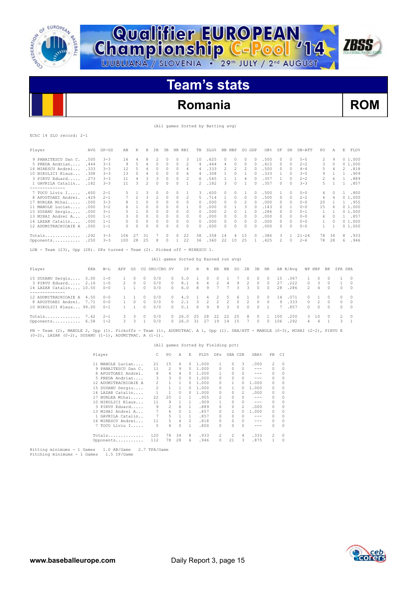

**Championship C-Pool** '14

# **Romania ROM**

**ZBSS** 

(All games Sorted by Batting avg)

|  | EChC 14 SLO record: 2-1 |  |
|--|-------------------------|--|

| Player                                                                                                                                                                                            | AVG   | $GP - GS$                               | AВ           | R            | Η              | 2B             | 3B             | HR RBI                               |                | TB       |                | $SLG$ $%$ | BB HBP           |              | SO GDP           |                                                                                                                                                                                                                                                                                                                                                                                              | OB <sub>8</sub> | SF                   | SH           | SB-ATT    | PO           |              | А            | Е<br>FLD%            |
|---------------------------------------------------------------------------------------------------------------------------------------------------------------------------------------------------|-------|-----------------------------------------|--------------|--------------|----------------|----------------|----------------|--------------------------------------|----------------|----------|----------------|-----------|------------------|--------------|------------------|----------------------------------------------------------------------------------------------------------------------------------------------------------------------------------------------------------------------------------------------------------------------------------------------------------------------------------------------------------------------------------------------|-----------------|----------------------|--------------|-----------|--------------|--------------|--------------|----------------------|
| 9 PANAITESCU Dan C.                                                                                                                                                                               | .500  | $3 - 3$                                 | 16           | 4            | 8              | 2              | 0              | 0                                    | 3              | 10       |                | .625      | 0                | 0            | 0                | 0                                                                                                                                                                                                                                                                                                                                                                                            | .500            | 0                    | 0            | $5 - 5$   | 2            |              | 9            | 01.000               |
| 5 PREDA Andrian                                                                                                                                                                                   | .444  | $3 - 3$                                 | 9            | 5            | $\overline{4}$ | $\circ$        | $\circ$        | 0                                    | $\overline{c}$ | 4        |                | .444      | 4                | $\circ$      | $\circ$          | $\circ$                                                                                                                                                                                                                                                                                                                                                                                      | .615            | $\circ$              | $\circ$      | $2 - 2$   | 3            |              | 0            | 01.000               |
| 16 MIRESCU Andrei                                                                                                                                                                                 | .333  | $3 - 3$                                 | 12           | 5            | 4              | 0              | 0              | 0                                    | 4              | 4        |                | .333      | 2                | 2            | 2                | $\circ$                                                                                                                                                                                                                                                                                                                                                                                      | .500            | 0                    | $\circ$      | $4 - 4$   | 5            |              | 4            | 2<br>.818            |
| 10 NIKOLICI Klaus .308                                                                                                                                                                            |       | $3 - 3$                                 | 13           | 0            | 4              | 0              | 0              | 0                                    | 6              | 4        |                | .308      | 1                | 0            | 1                | 0                                                                                                                                                                                                                                                                                                                                                                                            | .333            | 1                    | 0            | $3 - 5$   | 9            |              | 1            | .909<br>$\mathbf{1}$ |
| 3 PIRVU Eduard                                                                                                                                                                                    | . 273 | $3 - 3$                                 | 11           | 4            | 3              | 3              | 0              | 0                                    | 2              | 6        |                | .545      | 1                | 1            | 4                | 0                                                                                                                                                                                                                                                                                                                                                                                            | .357            | 1                    | 0            | $2 - 2$   | 2            |              | 6            | 1<br>.889            |
| 1 GAVRILA Catalin                                                                                                                                                                                 | .182  | $3 - 3$                                 | 11           | 3            | $\overline{2}$ | $\circ$        | 0              | 0                                    | 1              | 2        |                | .182      | 3                | $\circ$      | 1                | 0                                                                                                                                                                                                                                                                                                                                                                                            | .357            | $\circ$              | $\circ$      | $3 - 3$   | 5            |              | 1            | $\mathbf{1}$<br>.857 |
| --------------                                                                                                                                                                                    |       |                                         |              |              |                |                |                |                                      |                |          |                |           |                  |              |                  |                                                                                                                                                                                                                                                                                                                                                                                              |                 |                      |              |           |              |              |              |                      |
| 7 TOCU Liviu I . 600                                                                                                                                                                              |       | $2 - 1$                                 | 5            | 1            | 3              | 0              | 0              | 0                                    | 1              | 3        |                | .600      | 0                | 0            | 1                | 0                                                                                                                                                                                                                                                                                                                                                                                            | .500            | 1                    | $\circ$      | $0 - 0$   | 4            |              | 0            | .800<br>$\mathbf{1}$ |
| 8 APOSTOAEI Andrei.                                                                                                                                                                               | .429  | $2 - 1$                                 | 7            | 2            | 3              | 2              | $\circ$        | 0                                    | 2              | 5        |                | .714      | 1                | 0            | 0                | 0                                                                                                                                                                                                                                                                                                                                                                                            | .500            | $\circ$              | $\circ$      | $2 - 2$   | 4            |              | 4            | 01.000               |
| 17 BURLEA Mihai .000                                                                                                                                                                              |       | $3 - 3$                                 | 8            | $\mathbf{1}$ | $\circ$        | 0              | 0              | 0                                    | 0              | $\Omega$ |                | .000      | 0                | 0            | $\overline{2}$   | $\circ$                                                                                                                                                                                                                                                                                                                                                                                      | .000            | $\circ$              | 0            | $0 - 0$   | 20           |              | 1            | .955<br>1            |
| 11 MANOLE Lucian                                                                                                                                                                                  | .000  | $3 - 2$                                 | 6            | 1            | $\circ$        | $\circ$        | $\circ$        | $\circ$                              | 1              | $\Omega$ |                | .000      | 0                | 1            | 3                | $\Omega$                                                                                                                                                                                                                                                                                                                                                                                     | .143            | $\circ$              | $\mathbf{1}$ | $0 - 0$   | 15           |              | 6            | 01.000               |
| 15 SUSANU Sergiu                                                                                                                                                                                  | .000  | $3 - 1$                                 | 5            | $\mathbf{1}$ | 0              | $\circ$        | 0              | 0                                    | 0              | 0        |                | .000      | 2                | 0            | 1                | $\circ$                                                                                                                                                                                                                                                                                                                                                                                      | .286            | 0                    | $\circ$      | $0 - 1$   | $\mathbf{1}$ |              | $\mathbf{1}$ | 01.000               |
| 13 MIHAI Andrei A                                                                                                                                                                                 | .000  | $1 - 1$                                 | 3            | 0            | $\circ$        | $\circ$        | $\circ$        | $\circ$                              | 0              | 0        |                | .000      | 0                | $\circ$      | $\circ$          | 0                                                                                                                                                                                                                                                                                                                                                                                            | .000            | $\circ$              | $\circ$      | $0 - 0$   | 6            |              | $\circ$      | 1 .857               |
| 14 LAZAR Catalin                                                                                                                                                                                  | .000  | $1 - 1$                                 | 0            | 0            | $\circ$        | 0              | 0              | 0                                    | 0              | 0        |                | .000      | 0                | 0            | 0                | $\circ$                                                                                                                                                                                                                                                                                                                                                                                      | .000            | $\circ$              | $\circ$      | $0 - 0$   | 1            |              | 0            | 01.000               |
| 12 ADUMITRACHIOAIE A                                                                                                                                                                              | .000  | $1 - 1$                                 | $\circ$      | $\circ$      | $\circ$        | $\circ$        | $\circ$        | 0                                    | 0              | 0        |                | .000      | $\circ$          | 0            | $\circ$          | $\circ$                                                                                                                                                                                                                                                                                                                                                                                      | .000            | $\circ$              | $\circ$      | $0 - 0$   | $\mathbf{1}$ |              | 1            | 01.000               |
| $Totals$                                                                                                                                                                                          | .292  | $3 - 3$                                 | 106          | 27           | 31             | 7              | 0              | 0                                    | 22             | 38       |                | .358      | 14               | 4            | 15               | 0                                                                                                                                                                                                                                                                                                                                                                                            | .386            | 3                    | 1            | $21 - 24$ | 78           | 34           |              | .933<br>8            |
| Opponents                                                                                                                                                                                         | .250  | $3 - 3$                                 | 100          | 28           | 25             | 8              | $\circ$        | 1                                    | 22             | 36       |                | .360      | 22               | 10           | 25               | 1                                                                                                                                                                                                                                                                                                                                                                                            | .425            | 2                    | $\Omega$     | $2 - 6$   | 78           | 28           |              | .946<br>6            |
| LOB - Team (23), Opp (28). DPs turned - Team (2). Picked off - MIRESCU 1.                                                                                                                         |       |                                         |              |              |                |                |                |                                      |                |          |                |           |                  |              |                  |                                                                                                                                                                                                                                                                                                                                                                                              |                 |                      |              |           |              |              |              |                      |
|                                                                                                                                                                                                   |       |                                         |              |              |                |                |                |                                      |                |          |                |           |                  |              |                  |                                                                                                                                                                                                                                                                                                                                                                                              |                 |                      |              |           |              |              |              |                      |
|                                                                                                                                                                                                   |       |                                         |              |              |                |                |                | (All games Sorted by Earned run avg) |                |          |                |           |                  |              |                  |                                                                                                                                                                                                                                                                                                                                                                                              |                 |                      |              |           |              |              |              |                      |
| Player                                                                                                                                                                                            | ERA   | W-L                                     | APP          | GS           |                | CG SHO/CBO SV  |                |                                      | ΙP             | Η        | R              | ER        | BB               | so           | 2B               | ЗB                                                                                                                                                                                                                                                                                                                                                                                           | HR              |                      | AB B/Avq     |           | WP HBP       | BК           |              | SFA SHA              |
| 15 SUSANU Sergiu 0.00                                                                                                                                                                             |       | $1 - 0$                                 | 1            | 0            | 0              | 0/0            |                | 0                                    | 5.0            | 1        | 0              | 0         | 1                | 7            | 0                | 0                                                                                                                                                                                                                                                                                                                                                                                            | 0               | 15                   | .067         | 1         | 0            | 0            | 1            | 0                    |
| 3 PIRVU Eduard 2.16                                                                                                                                                                               |       | $1 - 0$                                 | 2            | $\circ$      | 0              | 0/0            |                | 0                                    | 8.1            | 6        | 4              | 2         | 4                | 9            | 2                | 0                                                                                                                                                                                                                                                                                                                                                                                            | $\circ$         | 27                   | .222         | 0         | 3            | 0            | 1            | 0                    |
| 14 LAZAR Catalin 10.50                                                                                                                                                                            |       | $0 - 0$                                 | 1            | $\mathbf{1}$ | 0              | 0/0            |                | 0                                    | 6.0            | 8        | 9              | 7         | 7                | 3            | 3                | $\circ$                                                                                                                                                                                                                                                                                                                                                                                      | $\circ$         | 28                   | .286         | 2         | 4            | $\circ$      | 0            | 0                    |
| --------------                                                                                                                                                                                    |       |                                         |              |              |                |                |                |                                      |                |          |                |           |                  |              |                  |                                                                                                                                                                                                                                                                                                                                                                                              |                 |                      |              |           |              |              |              |                      |
| 12 ADUMITRACHIOAIE A 4.50                                                                                                                                                                         |       | $0 - 0$                                 | 1            | 1            | 0              | 0/0            |                | 0                                    | 4.0            | 1        | 4              | 2         | 5                | 6            | 1                | 0                                                                                                                                                                                                                                                                                                                                                                                            | $\circ$         | 14                   | .071         | 0         | 1            | 0            | 0            | 0                    |
| 8 APOSTOAEI Andrei.                                                                                                                                                                               | 7.71  | $0 - 0$                                 | $\mathbf{1}$ | $\circ$      | 0              | 0/0            |                | 0                                    | 2.1            | 3        | 2              | 2         | $\overline{c}$   | 0            | 2                | $\circ$                                                                                                                                                                                                                                                                                                                                                                                      | $\circ$         | 9                    | .333         | 0         | 2            | $\circ$      | 0            | 0                    |
| 10 NIKOLICI Klaus 99.00                                                                                                                                                                           |       | $0 - 1$                                 | 1            | 1            | 0              | 0/0            |                | 0                                    | 0.1            | 6        | 9              | 9         | 3                | $\circ$      | $\circ$          | 0                                                                                                                                                                                                                                                                                                                                                                                            | 1               | 7                    | .857         | 0         | $\circ$      | $\circ$      | 0            | 0                    |
| Totals                                                                                                                                                                                            | 7.62  | $2 - 1$                                 | 3            | 3            | 0              | 0/0            |                | 0                                    | 26.0           | 25       | 28             | 22        | 22               | 25           | 8                | 0                                                                                                                                                                                                                                                                                                                                                                                            | 1               | 100                  | .250         | 3         | 10           | 0            | 2            | 0                    |
| Opponents                                                                                                                                                                                         | 6.58  | $1 - 2$                                 | 3            | 3            | $\mathbf{1}$   | 0/0            |                | $\circ$                              | 26.0           |          | 31 27 19       |           | 14               | 15           | $\boldsymbol{7}$ | $\circ$                                                                                                                                                                                                                                                                                                                                                                                      | 0               | 106                  | .292         | 4         | 4            | $\mathbf{1}$ | 3            | $\mathbf{1}$         |
| PB - Team (2), MANOLE 2, Opp (1). Pickoffs - Team (1), ADUMITRAC. A 1, Opp (1). SBA/ATT - MANOLE (0-3), MIHAI (2-2), PIRVU E<br>$(0-2)$ , LAZAR $(0-2)$ , SUSANU $(1-1)$ , ADUMITRAC. A $(1-1)$ . |       |                                         |              |              |                |                |                |                                      |                |          |                |           |                  |              |                  |                                                                                                                                                                                                                                                                                                                                                                                              |                 |                      |              |           |              |              |              |                      |
|                                                                                                                                                                                                   |       |                                         |              |              |                |                |                | (All games Sorted by Fielding pct)   |                |          |                |           |                  |              |                  |                                                                                                                                                                                                                                                                                                                                                                                              |                 |                      |              |           |              |              |              |                      |
|                                                                                                                                                                                                   |       | Player                                  |              |              |                | С              | PO             | Α                                    | Ε              |          |                |           | FLD% DPs SBA CSB |              |                  | <b>SBA%</b>                                                                                                                                                                                                                                                                                                                                                                                  | PB              | CI                   |              |           |              |              |              |                      |
|                                                                                                                                                                                                   |       |                                         |              |              |                |                |                |                                      |                |          |                |           |                  |              |                  | .000                                                                                                                                                                                                                                                                                                                                                                                         |                 | 0                    |              |           |              |              |              |                      |
|                                                                                                                                                                                                   |       | 11 MANOLE Lucian<br>9 PANAITESCU Dan C. |              |              |                | 21<br>11       | 15<br>2        | 6<br>9                               | 0<br>0         |          | 1.000<br>1.000 |           | 1<br>0           | 0<br>$\circ$ | 3<br>$\Omega$    | $- - -$                                                                                                                                                                                                                                                                                                                                                                                      |                 | 2<br>$\Omega$<br>0   |              |           |              |              |              |                      |
|                                                                                                                                                                                                   |       | 8 APOSTOAEI Andrei.                     |              |              |                | 8              | 4              | 4                                    | $\Omega$       |          | 1.000          |           | 1                | 0            | $\cap$           | $\frac{1}{2} \frac{1}{2} \frac{1}{2} \frac{1}{2} \frac{1}{2} \frac{1}{2} \frac{1}{2} \frac{1}{2} \frac{1}{2} \frac{1}{2} \frac{1}{2} \frac{1}{2} \frac{1}{2} \frac{1}{2} \frac{1}{2} \frac{1}{2} \frac{1}{2} \frac{1}{2} \frac{1}{2} \frac{1}{2} \frac{1}{2} \frac{1}{2} \frac{1}{2} \frac{1}{2} \frac{1}{2} \frac{1}{2} \frac{1}{2} \frac{1}{2} \frac{1}{2} \frac{1}{2} \frac{1}{2} \frac{$ |                 | $\Omega$<br>0        |              |           |              |              |              |                      |
|                                                                                                                                                                                                   |       | 5 PREDA Andrian                         |              |              |                | 3              | 3              | $\circ$                              | $\circ$        |          | 1.000          |           | 0                | 0            | 0                | $- - -$                                                                                                                                                                                                                                                                                                                                                                                      |                 | 0<br>0               |              |           |              |              |              |                      |
|                                                                                                                                                                                                   |       | 12 ADUMITRACHIOAIE A                    |              |              |                | $\overline{c}$ | $\mathbf{1}$   | $\mathbf{1}$                         | 0              |          | 1.000          |           | 0                | 1            | 0                | 1.000                                                                                                                                                                                                                                                                                                                                                                                        |                 | 0<br>0               |              |           |              |              |              |                      |
|                                                                                                                                                                                                   |       | 15 SUSANU Sergiu                        |              |              |                | 2              | 1              | 1                                    | 0              |          | 1.000          |           | 0                | 1            | 0                | 1,000                                                                                                                                                                                                                                                                                                                                                                                        |                 | 0<br>0               |              |           |              |              |              |                      |
|                                                                                                                                                                                                   |       | 14 LAZAR Catalin                        |              |              |                | 1              | 1              | $\mathcal{O}$                        | $\Omega$       |          | 1.000          |           | 0                | 0            | 2                | .000                                                                                                                                                                                                                                                                                                                                                                                         |                 | 0<br>0               |              |           |              |              |              |                      |
|                                                                                                                                                                                                   |       | 17 BURLEA Mihai                         |              |              |                | 22             | 20             | 1                                    | 1              |          | .955           |           | 2                | $\circ$      | $\cap$           | $ -$                                                                                                                                                                                                                                                                                                                                                                                         |                 | $\circ$<br>0         |              |           |              |              |              |                      |
|                                                                                                                                                                                                   |       | 10 NIKOLICI Klaus                       |              |              |                | 11             | 9              | 1                                    | 1              |          | .909           |           | 1                | 0            | $\circ$          | $\frac{1}{2} \frac{1}{2} \frac{1}{2} \frac{1}{2} \frac{1}{2} \frac{1}{2} \frac{1}{2} \frac{1}{2} \frac{1}{2} \frac{1}{2} \frac{1}{2} \frac{1}{2} \frac{1}{2} \frac{1}{2} \frac{1}{2} \frac{1}{2} \frac{1}{2} \frac{1}{2} \frac{1}{2} \frac{1}{2} \frac{1}{2} \frac{1}{2} \frac{1}{2} \frac{1}{2} \frac{1}{2} \frac{1}{2} \frac{1}{2} \frac{1}{2} \frac{1}{2} \frac{1}{2} \frac{1}{2} \frac{$ |                 | $\Omega$<br>0        |              |           |              |              |              |                      |
|                                                                                                                                                                                                   |       | 3 PIRVU Eduard                          |              |              |                | 9              | $\overline{c}$ | 6                                    | 1              |          | .889           |           | $\circ$          | 0            | 2                | .000                                                                                                                                                                                                                                                                                                                                                                                         |                 | 0<br>0               |              |           |              |              |              |                      |
|                                                                                                                                                                                                   |       | 13 MIHAI Andrei A                       |              |              |                | 7              | 6              | $\circ$                              | 1              |          | .857           |           | 0                | 2            | $\mathcal{O}$    | 1,000                                                                                                                                                                                                                                                                                                                                                                                        |                 | 0<br>0               |              |           |              |              |              |                      |
|                                                                                                                                                                                                   |       | 1 GAVRILA Catalin                       |              |              |                | 7              | 5              | $\mathbf{1}$                         | 1              |          | .857           |           | $\Omega$         | $\Omega$     | $\cap$           | $- - -$                                                                                                                                                                                                                                                                                                                                                                                      |                 | $\Omega$<br>$\Omega$ |              |           |              |              |              |                      |
|                                                                                                                                                                                                   |       | 16 MIRESCU Andrei                       |              |              |                | 11             | 5              | $\overline{4}$                       | $\mathfrak{D}$ |          | .818           |           | $\cap$           | $\theta$     | $\cap$           | $- - -$                                                                                                                                                                                                                                                                                                                                                                                      |                 | 0<br>$\Omega$        |              |           |              |              |              |                      |

15 SUSANU Sergiu.... 2 1 1 0 1.000 0 1 0 1.000 0 0<br>17 BURAR Catalin.... 2 1 1 0 1.000 0 0 0 2 .000 0 0<br>17 BURLEA Mihai..... 22 20 1 1 .955 2 0 0 --- 0 0<br>10 NIKOLICI Klaus... 11 9 1 1 .909 1 0 0 --- 0 0<br>3 BIRVU Eduard.... 7

Totals.............. 120 78 34 8 .933 2 2 4 .333 2 0 Opponents........... 112 78 28 6 .946 0 21 3 .875 1 0

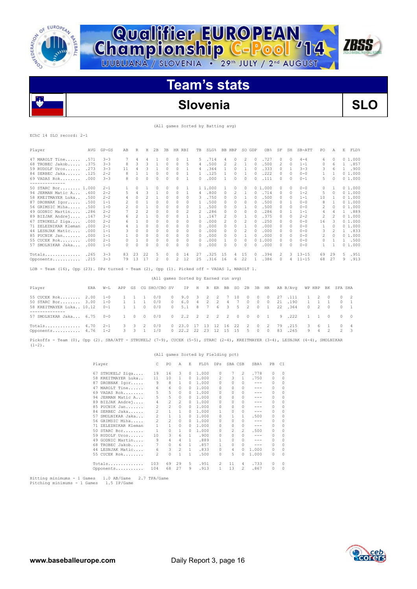

**Championship C-Pool** 14

# **Slovenia SLO**

**ZBSS** 

(All games Sorted by Batting avg)

EChC 14 SLO record: 2-1

| Player               | AVG  | $GP - GS$ | AB             | R              | Н              | 2B       | 3B | HR.      | RBI      | TB           | SLG%    | BB.            | HBP                      | SO GDP   |           | OB <sub>8</sub> | SF            | SH       | SB-ATT    | PO. | Α            | E | FLD%   |
|----------------------|------|-----------|----------------|----------------|----------------|----------|----|----------|----------|--------------|---------|----------------|--------------------------|----------|-----------|-----------------|---------------|----------|-----------|-----|--------------|---|--------|
| 47 MAROLT Tine       | .571 | $3 - 3$   |                | 4              | 4              |          | 0  | $\Omega$ |          | 5.           | .714    | 4              | $\Omega$                 | 2        |           | .727            | O.            | $\cap$   | $4 - 4$   | 6   | <sup>0</sup> |   | 01.000 |
| 68 TROBEC Jakob      | .375 | $3 - 3$   | 8              | 3              | 3              |          | 0  | $\circ$  | 5        | 4            | .500    | $\overline{c}$ | 2                        |          | $\circ$   | .500            | 2             | $\Omega$ | $1 - 1$   | 0   | 6            |   | .857   |
| 59 RUDOLF Uros       | .273 | $3 - 3$   | 11             | 4              | 3              |          | 0  | $\Omega$ |          | 4            | .364    |                | $\Omega$                 |          |           | .333            | O.            |          | $3 - 3$   | 3   | 6            |   | .900   |
| 84 SERBEC Jaka       | .125 | $2 - 2$   | 8              |                |                | $\Omega$ | 0  | $\Omega$ |          |              | .125    |                | $\Omega$                 |          |           | .222            | $\mathcal{O}$ | $\Omega$ | $0 - 0$   | 1.  |              |   | 01.000 |
| 69 VADAS Rok         | .000 | $3 - 3$   | 8              | $\Omega$       | 0              | $\Omega$ | U  | $\Omega$ |          | 0            | .000    |                | 0                        | $\Omega$ |           | .111            | $\mathcal{O}$ | $\Omega$ | $0 - 1$   | 5.  | $\Omega$     |   | 01.000 |
| -------------        |      |           |                |                |                |          |    |          |          |              |         |                |                          |          |           |                 |               |          |           |     |              |   |        |
| 50 STARC Bor 1.000   |      | $2 - 1$   |                | $\Omega$       |                | $\Omega$ | 0  | $\Omega$ |          |              | 1 1,000 |                | $\Omega$                 | $\Omega$ |           | 0, 1, 000       | $\Omega$      | $\Omega$ | $0 - 0$   | 0   |              |   | 01.000 |
| 94 JERMAN Matic A    | .600 | $2 - 2$   | 5              | $\overline{4}$ | 3              |          | 0  | $\Omega$ |          | 4            | .800    | 0              | $\overline{\mathcal{L}}$ |          |           | .714            | $\Omega$      | $\Omega$ | $1 - 2$   | 5   | 0            |   | 01.000 |
| 58 KREITMAYER Luka   | .500 | $2 - 2$   | 4              | $\Omega$       | $\mathfrak{D}$ |          | O  | $\Omega$ | 0        | 3            | .750    |                | 0                        |          |           | .500            | $\Omega$      | $\Omega$ | $1 - 1$   | 10  |              |   | 01.000 |
| 87 DROBNAK Igor      | .500 | $1 - 1$   | 2              | $\Omega$       |                | $\Omega$ | 0  | $\Omega$ | 0        |              | .500    |                | 0                        | $\Omega$ |           | .500            | $\Omega$      |          | $0 - 0$   | 8   |              |   | 01.000 |
| 56 GRIMSIC Miha      | .500 | $1 - 0$   | $\mathfrak{D}$ | $\Omega$       |                | $\Omega$ | 0  | $\Omega$ | $\Omega$ |              | .500    |                | 0                        |          |           | .500            |               | $\Omega$ | $0 - 0$   | 2   | $\Omega$     |   | 01.000 |
| 49 GODNIC Martin     | .286 | $2 - 2$   |                | 2              | $\overline{2}$ | 0        | 0  | 0        | 2        | 2            | .286    | 0              | 0                        | $\Omega$ | $\bigcap$ | .286            | $\Omega$      |          | $1 - 1$   | 4   | 4            |   | .889   |
| 89 BIZJAK Andrej     | .167 | $3 - 2$   | 6              | $\mathcal{P}$  |                | $\Omega$ | 0  | $\Omega$ |          |              | .167    | 2              | $\Omega$                 |          |           | .375            | 0             | 0        | $2 - 2$   | 2   |              |   | 01.000 |
| 67 STRUKELJ Ziga     | .000 | $2 - 2$   | 6              |                | 0              | $\Omega$ | 0  | $\Omega$ | 0        | 0            | .000    | 2              | 0                        |          |           | .250            | O.            | 0        | $0 - 0$   | 16  | З            |   | 01.000 |
| 71 ZELEZNIKAR Kleman | .000 | $2 - 1$   |                |                |                | $\Omega$ |    | $\Omega$ | $\Omega$ | $\Omega$     | .000    |                | 0                        |          |           | .000            | $\Omega$      | $\Omega$ | $0 - 0$   |     | $\Omega$     |   | 01.000 |
| 44 LESNJAK Matic     | .000 | $1 - 1$   |                | $\Omega$       | $\mathcal{O}$  | $\Omega$ | 0  | $\Omega$ | 0        | 0            | .000    |                | 0                        |          |           | .000            |               | 0        | $0 - 0$   | 3.  |              |   | .833   |
| 85 PUCNIK Jan        | .000 | $1 - 1$   |                | $\Omega$       | $\mathcal{O}$  | $\Omega$ | 0  | $\Omega$ | 0        | 0            | .000    | 0              | 0                        |          |           | .000            | <sup>n</sup>  | 0        | $0 - 0$   | 2   | 0            |   | 01.000 |
| $55$ CUCEK Rok       | .000 | $2 - 1$   |                |                | 0              | 0        | 0  | 0        | 0        | $\Omega$     | .000    |                | $\Omega$                 | 0        |           | 01.000          | O.            | $\Omega$ | $0 - 0$   | 0   |              |   | 1 .500 |
| 57 SMOLNIKAR Jaka    | .000 | $1 - 0$   | 0              | $\Omega$       | $\mathcal{O}$  | $\cap$   | Λ  | $\cap$   | $\Omega$ | <sup>0</sup> | .000    | 0              | $\Omega$                 | 0        |           | .000            | $\mathcal{O}$ | $\Omega$ | $0 - 0$   |     |              |   | 01.000 |
| Totals               | .265 | $3 - 3$   | 83             | 23             | 22             | 5        | 0  | $\Omega$ | 14       | 27           | .325    | 15             | 4                        | 15       |           | .394            | 2             | ्र       | $13 - 15$ | 69  | 29           | 5 | .951   |
|                      |      |           |                |                |                |          | O. |          |          |              |         |                |                          |          |           |                 |               |          |           |     |              |   |        |
| Opponents            | .215 | $3 - 3$   | 79             | 13             | 17             | 2        |    | 2        | 12       | 25           | .316    | 16             | 6                        | 22       |           | .386            |               |          | $11 - 15$ | 68  | 27           | 9 | .913   |

LOB - Team (16), Opp (23). DPs turned - Team (2), Opp (1). Picked off - VADAS 1, MAROLT 1.

|                                                                    |     |                               |             |                    |                   | (All games Sorted by Earned run avg) |                                |                                  |                      |                           |              |                     |                             |                                  |                 |                |                      |          |                     |                 |                                |        |
|--------------------------------------------------------------------|-----|-------------------------------|-------------|--------------------|-------------------|--------------------------------------|--------------------------------|----------------------------------|----------------------|---------------------------|--------------|---------------------|-----------------------------|----------------------------------|-----------------|----------------|----------------------|----------|---------------------|-----------------|--------------------------------|--------|
| Player                                                             | ERA | $W-L$                         |             |                    |                   | APP GS CG SHO/CBO SV                 |                                | IP H                             |                      |                           |              | R ER BB SO 2B 3B HR |                             |                                  |                 |                | AB B/Avq             | WP HBP   |                     | BK              | SFA SHA                        |        |
| 55 CUCEK Rok 2.00<br>50 STARC Bor 3.00<br>58 KREITMAYER Luka 10.12 |     | $1 - 0$<br>$1 - 0$<br>$0 - 1$ |             | $1 \quad 1$        | $\Omega$          | 0/0<br>0/0<br>0/0                    | $\Omega$<br>$\circ$<br>$\circ$ | 9.0<br>6.0<br>5.1                | 3 2 2<br>$4 \quad 2$ | - 2                       | 4<br>8 7 6 3 | 10                  | $\Omega$<br>$\Omega$<br>5 2 | $\Omega$<br>$\Omega$<br>$\Omega$ | - 0<br>$\Omega$ | 27<br>21<br>22 | .111<br>.190<br>.364 | $\Omega$ | $\overline{2}$<br>2 | - 0<br>$\Omega$ | $\Omega$<br>$\Omega$<br>$\cap$ | - 2    |
| 57 SMOLNIKAR Jaka 6.75 0-0                                         |     |                               | $1 \quad 0$ |                    | $\circ$           | 0/0                                  |                                | $0 \t2.2 \t2 \t2 \t2$            |                      |                           |              | 2 0 0               |                             |                                  | $0 \quad 1$     |                | 9.222                |          |                     | $\overline{0}$  | $\overline{0}$                 | $\Box$ |
| Totals $4.70$ 2-1<br>Opponents $4.76$ 1-2                          |     |                               | 3           | - 3<br>$3 \quad 3$ | 2<br>$\mathbf{1}$ | 0/0<br>1/0                           |                                | $0\quad 23.0$<br>$0 \t22.2 \t22$ | 13<br>23             | -12<br>$\cdot$ 12 $\cdot$ | 16<br>15     | 22<br>15            | $\overline{2}$<br>5.        | $\Omega$<br>$\Omega$             | - 2<br>$\Omega$ | 79<br>83       | .215<br>.265         | 3.<br>-9 | -6<br>-4            |                 | 0                              | - 4    |

Pickoffs - Team (0), Opp (2). SBA/ATT - STRUKELJ (7-9), CUCEK (5-5), STARC (2-4), KREITMAYER (3-4), LESNJAK (4-4), SMOLNIKAR  $(1-2)$ .

### (All games Sorted by Fielding pct)

|     | Player             | C              | P0             | A              | E.       | FLD%  | <b>DPs</b> | SBA CSB  |          | SBA%    | PB       | СI       |
|-----|--------------------|----------------|----------------|----------------|----------|-------|------------|----------|----------|---------|----------|----------|
|     | 67 STRUKELJ Ziga   | 19             | 16             | 3              | $\Omega$ | 1,000 | 0          | 7        | 2        | .778    | 0        | $\Omega$ |
|     | 58 KREITMAYER Luka | 11             | 10             | 1              | $\Omega$ | 1,000 | 2          | 3        | 1        | .750    | 0        | 0        |
| 87  | DROBNAK Igor       | 9              | 8              | 1              | 0        | 1,000 | $\Omega$   | $\Omega$ | $\Omega$ | ---     | $\Omega$ | $\Omega$ |
| 47  | MAROLT Tine        | 6              | 6              | $\mathcal{O}$  | 0        | 1,000 | O          | $\Omega$ | $\Omega$ | $- - -$ | 0        | $\Omega$ |
| 69  | VADAS Rok          | 5              | 5              | $\Omega$       | 0        | 1,000 | O          | $\Omega$ | $\Omega$ | $- - -$ | 0        | $\Omega$ |
| 94  | JERMAN Matic A     | 5              | 5              | $\mathcal{O}$  | 0        | 1,000 | 0          | $\Omega$ | $\Omega$ | ---     | 0        | 0        |
|     | 89 BIZJAK Andrej   | 4              | $\overline{c}$ | 2              | $\Omega$ | 1,000 | 0          | $\Omega$ | 0        | ---     | 0        | 0        |
| 85  | PUCNIK Jan         | 2              | $\overline{c}$ | $\Omega$       | 0        | 1,000 | 0          | $\Omega$ | $\Omega$ | ---     | $\Omega$ | 0        |
| 84  | SERBEC Jaka        | $\mathcal{L}$  | 1              | 1              | 0        | 1,000 |            | $\Omega$ | 0        | $- - -$ | 0        | 0        |
| 57  | SMOLNIKAR Jaka     | $\overline{c}$ | $\mathbf{1}$   | 1              | $\Omega$ | 1,000 | 0          | 1        | 1        | .500    | 0        | 0        |
|     | 56 GRIMSIC Miha    | 2              | 2              | $\Omega$       | 0        | 1,000 | 0          | $\Omega$ | 0        | $-- -$  | 0        | 0        |
| 71. | ZELEZNIKAR Kleman  | $\mathbf{1}$   | $\mathbf{1}$   | 0              | 0        | 1,000 | 0          | $\Omega$ | 0        | $- - -$ | 0        | 0        |
|     | $50$ STARC Bor     | 1              | $\circ$        | 1              | $\Omega$ | 1,000 | 0          | 2        | 2        | .500    | 0        | 0        |
|     | 59 RUDOLF Uros     | 10             | 3              | 6              | 1.       | .900  | 0          | $\Omega$ | $\Omega$ | $- - -$ | 0        | $\Omega$ |
| 49  | GODNIC Martin      | 9              | 4              | 4              | 1.       | .889  |            | $\Omega$ | $\Omega$ | $- - -$ | 0        | $\Omega$ |
| 68  | TROBEC Jakob       | 7              | 0              | 6              | 1.       | .857  | 1.         | $\Omega$ | $\Omega$ | $- - -$ | $\Omega$ | $\Omega$ |
|     | 44 LESNJAK Matic   | 6              | 3              | $\mathfrak{D}$ | 1        | .833  | 0          | 4        | $\Omega$ | 1,000   | 0        | 0        |
|     | 55 CUCEK Rok       | 2              | 0              | 1              | 1.       | .500  | 0          | 5.       | $\Omega$ | 1,000   | 0        | 0        |
|     | Totals             | 103            | 69             | 29             | 5        | .951  | 2          | 11       | 4        | .733    | 0        | 0        |
|     | Opponents          | 104            | 68             | 27             | 9        | .913  | 1          | 13       | 2        | .867    | 0        | $\Omega$ |

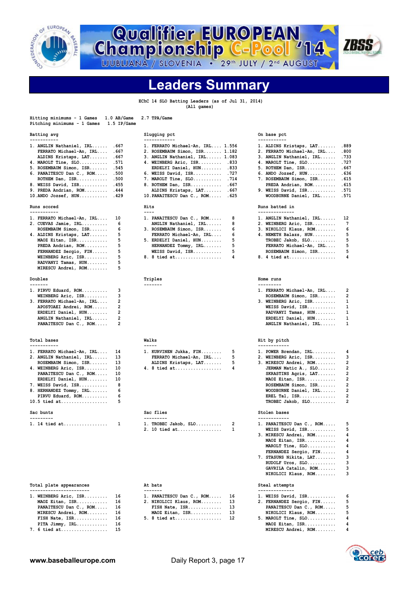

**Championship C-Pool** 14



**Leaders Summary**

 **EChC 14 SLO Batting Leaders (as of Jul 31, 2014) (All games)**

| Hitting minimums - 1 Games<br>Pitching minimums - 1 Games                                                                                                                                                                                                        | $1.0$ AB/Game<br>2.7 TPA/Game<br>1.5 IP/Game                                                                                                                                                                                                                                                                                        |                                                                                                                                                                                                                                                                                                                                                                                                                                                                          |
|------------------------------------------------------------------------------------------------------------------------------------------------------------------------------------------------------------------------------------------------------------------|-------------------------------------------------------------------------------------------------------------------------------------------------------------------------------------------------------------------------------------------------------------------------------------------------------------------------------------|--------------------------------------------------------------------------------------------------------------------------------------------------------------------------------------------------------------------------------------------------------------------------------------------------------------------------------------------------------------------------------------------------------------------------------------------------------------------------|
| Batting avg                                                                                                                                                                                                                                                      | Slugging pct                                                                                                                                                                                                                                                                                                                        | On base pct                                                                                                                                                                                                                                                                                                                                                                                                                                                              |
| -----------<br>1. ANGLIN Nathaniel, IRL<br>FERRATO Michael-An, IRL<br>ALDINS Kristaps, LAT<br>4. MAROLT Tine, SLO .571<br>5. ROSEMBAUM Simon, ISR<br>6. PANAITESCU Dan C., ROM .500<br>ROTHEM Dan, ISR<br>8. WEISS David, ISR . 455<br>9. PREDA Andrian, ROM     | ------------<br>.667<br>1. FERRATO Michael-An, IRL 1.556<br>.667<br>2. ROSEMBAUM Simon, ISR 1.182<br>.667<br>3. ANGLIN Nathaniel, IRL 1.083<br>4. WEINBERG Aric, ISR .833<br>.545<br>ERDELYI Daniel, HUN .833<br>6. WEISS David, ISR .727<br>.500<br>7. MAROLT Tine, SLO<br>8. ROTHEM Dan, ISR .667<br>.444<br>ALDINS Kristaps, LAT | -----------<br>.889<br>1. ALDINS Kristaps, LAT<br>2. FERRATO Michael-An, IRL<br>.800<br>.733<br>3. ANGLIN Nathaniel, IRL<br>4. MAROLT Tine, SLO .727<br>5. ROTHEM Dan, ISR .667<br>6. ANDO Jozsef, HUN .636<br>.615<br>.714<br>7. ROSEMBAUM Simon, ISR<br>PREDA Andrian, ROM . 615<br>.667<br>9. WEISS David, ISR<br>.571                                                                                                                                                |
| $10.ANDO JOzsef, HUN.$                                                                                                                                                                                                                                           | .429<br>10. PANAITESCU Dan C., ROM                                                                                                                                                                                                                                                                                                  | .625<br>WOODBURNE Daniel, IRL<br>.571                                                                                                                                                                                                                                                                                                                                                                                                                                    |
| Runs scored<br>-----------                                                                                                                                                                                                                                       | Hits<br>$---$                                                                                                                                                                                                                                                                                                                       | Runs batted in<br>--------------                                                                                                                                                                                                                                                                                                                                                                                                                                         |
| 1. FERRATO Michael-An, IRL<br>2. CUEVAS Jamie, IRL<br>ROSEMBAUM Simon, ISR<br>4. ALDINS Kristaps, LAT<br>MAOZ Eitan, ISR<br>PREDA Andrian, ROM<br>FERNANDEZ Sergio, FIN<br>WEINBERG Aric, ISR<br>RADVANYI Tamas, HUN<br>MIRESCU Andrei, ROM                      | 10<br>1. PANAITESCU Dan C., ROM<br>6<br>ANGLIN Nathaniel, IRL<br>6<br>3. ROSEMBAUM Simon, ISR<br>5<br>FERRATO Michael-An, IRL<br>5<br>5. ERDELYI Daniel, HUN<br>5<br>HERNANDEZ Tommy, IRL<br>5<br>WEISS David, ISR<br>5<br>8. 8 tied at<br>5<br>5                                                                                   | 8<br>12<br>1. ANGLIN Nathaniel, IRL<br>7<br>8<br>2. WEINBERG Aric, ISR<br>6<br>6<br>3. NIKOLICI Klaus, ROM<br>5<br>6<br>4. NEMETH Balazs, HUN<br>5<br>5<br>$TROBEC Jakob, SLO \ldots \ldots$<br>5<br>5<br>FERRATO Michael-An, IRL<br>5<br>5<br>ROSEMBAUM Simon, ISR<br>4<br>4<br>8. 4 tied at                                                                                                                                                                            |
| Doubles                                                                                                                                                                                                                                                          | Triples                                                                                                                                                                                                                                                                                                                             | Home runs                                                                                                                                                                                                                                                                                                                                                                                                                                                                |
| -------<br>1. PIRVU Eduard, ROM<br>WEINBERG Aric, ISR<br>3. FERRATO Michael-An, IRL<br>APOSTOAEI Andrei, ROM<br>ERDELYI Daniel, HUN<br>ANGLIN Nathaniel, IRL<br>PANAITESCU Dan C., ROM                                                                           | -------<br>3<br>3<br>$\overline{c}$<br>$\overline{2}$<br>$\overline{2}$<br>$\overline{c}$<br>2                                                                                                                                                                                                                                      | ---------<br>2<br>1. FERRATO Michael-An, IRL<br>$\overline{a}$<br>ROSEMBAUM Simon, ISR<br>1<br>3. WEINBERG Aric, ISR<br>$\mathbf{1}$<br>WEISS David, ISR<br>1<br>RADVANYI Tamas, HUN<br>$\mathbf 1$<br>ERDELYI Daniel, HUN<br>$\mathbf{1}$<br>ANGLIN Nathaniel, IRL                                                                                                                                                                                                      |
| Total bases                                                                                                                                                                                                                                                      | Walks                                                                                                                                                                                                                                                                                                                               | Hit by pitch                                                                                                                                                                                                                                                                                                                                                                                                                                                             |
| -----------<br>1. FERRATO Michael-An, IRL<br>2. ANGLIN Nathaniel, IRL<br>ROSEMBAUM Simon, ISR<br>4. WEINBERG Aric, ISR<br>PANAITESCU Dan C., ROM<br>ERDELYI Daniel, HUN<br>7. WEISS David, ISR<br>8. HERNANDEZ Tommy, IRL<br>PIRVU Eduard, ROM<br>$10.5$ tied at | -----<br>14<br>1. KURVINEN Jukka, FIN<br>13<br>FERRATO Michael-An, IRL<br>13<br>ALDINS Kristaps, LAT<br>10<br>4. 8 tied at<br>10<br>10<br>8<br>6<br>6<br>5                                                                                                                                                                          | ------------<br>5<br>1. POWER Brendan, IRL<br>4<br>5<br>3<br>2. WEINBERG Aric, ISR<br>$\overline{a}$<br>5<br>3. MIRESCU Andrei, ROM<br>$\overline{2}$<br>4<br>JERMAN Matic A., SLO<br>$\overline{\mathbf{c}}$<br>SKRASTINS Agris, LAT<br>$\overline{\mathbf{c}}$<br>MAOZ Eitan, ISR<br>$\overline{\mathbf{c}}$<br>ROSEMBAUM Simon, ISR<br>$\overline{a}$<br>WOODBURNE Daniel, IRL<br>$\overline{2}$<br>$EREL$ Tal, $ISR$<br>$\overline{\mathbf{c}}$<br>TROBEC Jakob, SLO |
| Sac bunts<br>---------                                                                                                                                                                                                                                           | Sac flies<br>---------                                                                                                                                                                                                                                                                                                              | Stolen bases<br>------------                                                                                                                                                                                                                                                                                                                                                                                                                                             |
| 1. 14 tied at                                                                                                                                                                                                                                                    | 1<br>1. TROBEC Jakob, SLO<br>2. 10 tied at                                                                                                                                                                                                                                                                                          | 2<br>5<br>1. PANAITESCU Dan C., ROM<br>5<br>$\mathbf{1}$<br>WEISS David, ISR<br>4<br>3. MIRESCU Andrei, ROM<br>$\overline{\bf{4}}$<br>MAOZ Eitan, ISR<br>4<br>MAROLT Tine, SLO<br>$\cdot$                                                                                                                                                                                                                                                                                |

### Total plate appearances **At bats** At bats **At actional Steal attempts** Steal attempts

| 1. WEINBERG Aric, ISR 16  | 1. PANAITESCU Dan C., ROM 16 | 1. WEISS David, ISR 6      |  |
|---------------------------|------------------------------|----------------------------|--|
| MAOZ Eitan, ISR 16        | 2. NIKOLICI Klaus, ROM 13    | 2. FERNANDEZ Sergio, FIN 5 |  |
| PANAITESCU Dan C., ROM 16 | FISH Nate, $ISR$ 13          | PANAITESCU Dan C., ROM 5   |  |
| MIRESCU Andrei, ROM 16    | MAOZ Eitan, ISR 13           | NIKOLICI Klaus, ROM 5      |  |
| FISH Nate, $ISR$ 16       | 5. 8 tied at 12              | $5.$ MAROLT Tine, $SLO$ 4  |  |
| PITA Jimmy, $IRL$ 16      |                              | MAOZ Eitan, ISR 4          |  |

|  | FIIA UIMMY, IRL |  |  |  |  | ΤĐ |
|--|-----------------|--|--|--|--|----|
|  | $. 6$ tied at   |  |  |  |  | 15 |
|  |                 |  |  |  |  |    |
|  |                 |  |  |  |  |    |

### On base pct

| . ALDINS Kristaps, LAT    | .889 |
|---------------------------|------|
| . FERRATO Michael-An, IRL | .800 |
| 3. ANGLIN Nathaniel, IRL  | .733 |
| 1. MAROLT Tine, SLO       | .727 |
| $5.$ ROTHEM Dan, ISR      | .667 |
| $5.$ ANDO Jozsef, $HUN$   | .636 |
| 7. ROSEMBAUM Simon, ISR   | .615 |
| PREDA Andrian, ROM        | .615 |
| ). WEISS David, ISR       | .571 |
| WOODBURNE Daniel, IRL     | .571 |
|                           |      |

| 1. ANGLIN Nathaniel, IRL | 12 |
|--------------------------|----|
| 2. WEINBERG Aric, ISR    | 7  |
| 3. NIKOLICI Klaus, ROM   | 6  |
| 4. NEMETH Balazs, HUN    | 5  |
| TROBEC Jakob, SLO        | 5  |
| FERRATO Michael-An, IRL  | 5  |
| ROSEMBAUM Simon, ISR     | 5. |
|                          | 4  |

| 1. FERRATO Michael-An, IRL | 2 |
|----------------------------|---|
| ROSEMBAUM Simon, ISR       | 2 |
| 3. WEINBERG Aric, ISR      | 1 |
| WEISS David, ISR           | 1 |
| RADVANYI Tamas, HUN        | 1 |
| ERDELYI Daniel, HUN        | 1 |
| ANGLIN Nathaniel, IRL      | 1 |
|                            |   |

### **Hit by pitch**

| 1. POWER Brendan, IRL  | 4              |
|------------------------|----------------|
| 2. WEINBERG Aric, ISR  | 3              |
| 3. MIRESCU Andrei, ROM | $\overline{2}$ |
| JERMAN Matic A., SLO   | $\overline{2}$ |
| SKRASTINS Agris, LAT   | 2              |
| MAOZ Eitan, ISR        | $\overline{2}$ |
| ROSEMBAUM Simon, ISR   | $\overline{2}$ |
| WOODBURNE Daniel, IRL  | $\overline{2}$ |
| EREL Tal, $ISR$        | $\overline{2}$ |
| TROBEC Jakob, SLO      | $\overline{2}$ |

|  | $1.$ TROBEC Jakob, SLO 2<br>2. 10 tied at 1 | 1. PANAITESCU Dan C., ROM 5<br>WEISS David, ISR 5 |  |
|--|---------------------------------------------|---------------------------------------------------|--|
|  |                                             |                                                   |  |
|  |                                             | 3. MIRESCU Andrei, ROM 4                          |  |
|  |                                             | MAOZ Eitan, ISR 4                                 |  |
|  |                                             | MAROLT Tine, SLO 4                                |  |
|  |                                             | FERNANDEZ Sergio, FIN 4                           |  |
|  |                                             | 7. STASUNS Nikita, LAT 3                          |  |
|  |                                             | RUDOLF Uros, SLO 3                                |  |
|  |                                             | GAVRILA Catalin, ROM 3                            |  |
|  |                                             | NIKOLICI Klaus, ROM 3                             |  |

- 
- **PITA Jimmy, IRL............ 16 MAOZ Eitan, ISR............ 4 7. 6 tied at.................. 15 MIRESCU Andrei, ROM........ 4**

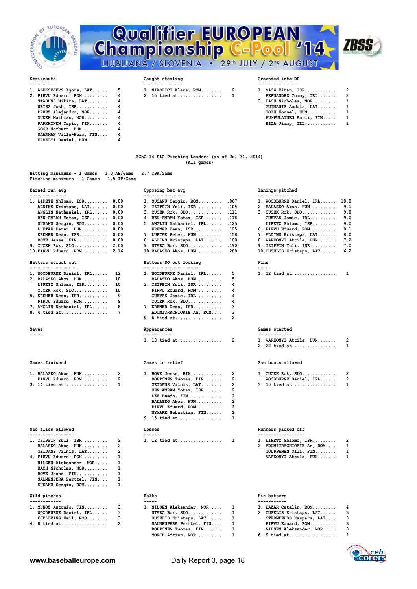

# **Qualifier EUROPEAN<br>Championship C-Pool '14** LJUBLJANA / SLOVENIA . 29th JULY / 2nd AUGUST



| 1. ALEKSEJEVS Igors, LAT 5<br>STASUNS Nikita, LAT 4<br>WEISS Josh, $ISR \ldots \ldots \ldots$<br>PEREZ Alejandro, NOR 4<br>DUDEK Mathias, NOR 4<br>PARKKINEN Tapio, FIN 4<br>GOOR Norbert, $HUN$ 4 | 1. MAOZ Eitan, ISR 2<br>1. NIKOLICI Klaus, ROM 2<br>2. PIRVU Eduard, ROM 4 2. 15 tied at 1<br>HERNANDEZ Tommy, IRL 2<br>3. BACH Nicholas, NOR 1<br>GUTMANIS Andris, LAT 1<br>TOTH Kornel, HUN 1<br>KUMPULAINEN Antii, FIN 1<br>PITA Jimmy, $IRL$ 1 |  |
|----------------------------------------------------------------------------------------------------------------------------------------------------------------------------------------------------|----------------------------------------------------------------------------------------------------------------------------------------------------------------------------------------------------------------------------------------------------|--|
| SAARMAN Ville-Herm, FIN 4<br>ERDELYI Daniel, HUN 4                                                                                                                                                 |                                                                                                                                                                                                                                                    |  |

### **Strikeouts Caught stealing Grounded into DP**

**---------- --------------- ---------------- 1. ALEKSEJEVS Igors, LAT...... 5 1. NIKOLICI Klaus, ROM........ 2 1. MAOZ Eitan, ISR............ 2 2. 15 tied at.................** 

| 1. ALEKSEJEVS Igors, LAT    5 | 1. NIKOLICI Klaus, ROM 2 | 1. MAOZ Eitan, ISR 2         |  |
|-------------------------------|--------------------------|------------------------------|--|
| 2. PIRVU Eduard, ROM     4    | 2. 15 tied at        1   | HERNANDEZ Tommy, IRL 2       |  |
| STASUNS Nikita, LAT 4         |                          | 3. BACH Nicholas, NOR 1      |  |
| WEISS Josh, $ISR$ $4$         |                          | $GUTMANIS$ Andris, $LAT$ $1$ |  |
| PEREZ Alejandro, NOR 4        |                          | TOTH Kornel, HUN 1           |  |
| DUDEK Mathias, NOR 4          |                          | KUMPULAINEN Antii, FIN 1     |  |
| PARKKINEN Tapio, FIN 4        |                          | PITA $Jimmy$ , $IRL$ 1       |  |

### **EChC 14 SLO Pitching Leaders (as of Jul 31, 2014) (All games)**

| Hitting minimums - 1 Games 1.0 AB/Game 2.7 TPA/Game<br>Pitching minimums - 1 Games 1.5 IP/Game |                  |                 |
|------------------------------------------------------------------------------------------------|------------------|-----------------|
| Earned run avg                                                                                 | Opposing bat avg | Innings pitched |
|                                                                                                |                  |                 |

| $1.$ LIPETZ Shlomo, ISR $0.00$ | 1. SUSANU Sergiu, ROM .067    | 1. WOODBURNE Daniel, IRL 10.0 |     |
|--------------------------------|-------------------------------|-------------------------------|-----|
| ALDINS Kristaps, LAT 0.00      | 2. TZIPPIN Yuli, ISR .105     | 2. BALASKO Akos, HUN 9.1      |     |
| ANGLIN Nathaniel, IRL 0.00     | $3.$ CUCEK Rok, SLO $.111$    | 3. CUCEK Rok, SLO 9.0         |     |
| BEN-AMRAM Yotam, ISR 0.00      | 4. BEN-AMRAM Yotam, ISR . 118 | CUEVAS Jamie, IRL 9.0         |     |
| SUSANU Sergiu, ROM 0.00        | 5. ANGLIN Nathaniel, IRL .125 | LIPETZ Shlomo, ISR 9.0        |     |
| LUPTAK Peter, HUN 0.00         | KREMER Dean, ISR .125         | 6. PIRVU Eduard, ROM 8.1      |     |
| KREMER Dean, ISR 0.00          | 7. LUPTAK Peter, HUN 158      | 7. ALDINS Kristaps, LAT 8.0   |     |
| BOVE Jesse, $FIN$ $0.00$       | 8. ALDINS Kristaps, LAT . 188 | 8. VARKONYI Attila, HUN 7.2   |     |
| 9. CUCEK Rok, $SLO$ 2.00       | 9. STARC Bor, SLO .190        | 9. TZIPPIN Yuli, ISR          | 7.0 |
| 10. PIRVU Eduard, ROM 2.16     |                               | 10. DUSELIS Kristaps, LAT 6.2 |     |
|                                |                               |                               |     |

| 1. WOODBURNE Daniel, IRL | 12 |
|--------------------------|----|
| 2. BALASKO Akos, HUN     | 10 |
| LIPETZ Shlomo, ISR       | 10 |
| CUCEK Rok, SLO           | 10 |
| 5. KREMER Dean, ISR      | ٩  |
| PIRVU Eduard, ROM        | ۹  |
| 7. ANGLIN Nathaniel, IRL | я  |
| 8. 4 tied at             | 7  |
|                          |    |

| Games finished       |    |
|----------------------|----|
| 1. BALASKO Akos, HUN | 2  |
| PIRVU Eduard, ROM    | 2  |
| $3.14$ tied at       | -1 |
|                      |    |

| Wild pitches             | <b>Balks</b>    | Hit batters     |
|--------------------------|-----------------|-----------------|
| SUSANU Sergiu, ROM       |                 |                 |
| SALMENPERA Perttel, FIN  |                 |                 |
| BOVE Jesse, FIN          |                 |                 |
| BACH Nicholas, NOR       |                 |                 |
| NILSEN Aleksander, NOR   |                 |                 |
| 4. PIRVU Eduard, ROM     |                 | <b>VARKONYI</b> |
| GEIDANS Vilnis, LAT      |                 | <b>TOLPPANE</b> |
| BALASKO Akos, HUN        |                 | 2. ADUMITRA     |
| 1. TZIPPIN Yuli, ISR $2$ | 1. 12 tied at 1 | 1. LIPETZ S     |

| 1. MUNOZ Antonio, FIN | 3 |
|-----------------------|---|
| WOODBURNE Daniel, IRL | 3 |
| FJELLVANG Emil, NOR   | 3 |
| 4. 8 tied at          | 2 |

| KREMER Dean, ISR<br>BOVE Jesse, FIN      | 0.00<br>0.00   | 7. LUPTAK Peter, HUN<br>8. ALDINS Kristaps, LAT  | .158<br>.188   | 7. ALDINS Kristaps, LAT<br>8. VARKONYI Attila, HUN | 8.<br>7.       |
|------------------------------------------|----------------|--------------------------------------------------|----------------|----------------------------------------------------|----------------|
| 9. CUCEK Rok, SLO 2.00                   |                | $9.$ STARC Bor, SLO                              | .190           | 9. TZIPPIN Yuli, ISR                               | 7.             |
| 10.PIRVU Eduard, ROM                     | 2.16           | 10.BALASKO Akos, HUN                             | .200           | 10.DUSELIS Kristaps, LAT                           | 6.             |
| Batters struck out<br>------------------ |                | Batters SO out looking<br>---------------------- |                | Wins<br>----                                       |                |
| 1. WOODBURNE Daniel, IRL                 | 12             | 1. WOODBURNE Daniel, IRL                         | 5              | 1. 12 tied at                                      | $\mathbf{1}$   |
| 2. BALASKO Akos, HUN                     | 10             | BALASKO Akos, HUN                                | 5              |                                                    |                |
| LIPETZ Shlomo, ISR                       | 10             | 3. TZIPPIN Yuli, ISR                             | 4              |                                                    |                |
| $CUCEK Rok, SLO$                         | 10             | PIRVU Eduard, ROM                                | 4              |                                                    |                |
| 5. KREMER Dean, ISR                      | 9              | CUEVAS Jamie, IRL                                | 4              |                                                    |                |
| PIRVU Eduard, ROM                        | 9              | $CUCEK Rok, SLO$                                 | 4              |                                                    |                |
| 7. ANGLIN Nathaniel, IRL                 | 8              | 7. KREMER Dean, ISR                              | 3              |                                                    |                |
| 8. 4 tied at                             | 7              | ADUMITRACHIOAIE An, ROM                          | 3              |                                                    |                |
|                                          |                | 9. $6$ tied at                                   | 2              |                                                    |                |
| Saves<br>-----                           |                | Appearances                                      |                | Games started<br>-------------                     |                |
|                                          |                | 1. 13 tied at                                    | $\overline{2}$ | 1. VARKONYI Attila, HUN                            | $\overline{2}$ |
|                                          |                |                                                  |                | 2. 22 tied at                                      | 1              |
| Games finished<br>--------------         |                | Games in relief<br>---------------               |                | Sac bunts allowed<br>-------------                 |                |
| 1. BALASKO Akos, HUN                     | 2              | $1.$ BOVE Jesse, FIN                             | 2              | 1. CUCEK Rok, SLO                                  | $\overline{2}$ |
| PIRVU Eduard, ROM                        | 2              | ROPPONEN Tuomas, FIN                             | $\overline{2}$ | WOODBURNE Daniel, IRL                              | $\overline{2}$ |
| 3. 14 tied at                            | 1              | GEIDANS Vilnis, LAT                              | 2              | 3. 10 tied at                                      | 1              |
|                                          |                | BEN-AMRAM Yotam, ISR                             | 2              |                                                    |                |
|                                          |                | LEE Heedo, $FIN \ldots \ldots \ldots$            | 2              |                                                    |                |
|                                          |                | BALASKO Akos, HUN                                | 2              |                                                    |                |
|                                          |                | PIRVU Eduard, ROM                                | 2              |                                                    |                |
|                                          |                | NYMARK Sebastian, FIN                            | 2              |                                                    |                |
|                                          |                | 9. 18 tied at                                    | 1              |                                                    |                |
| Sac flies allowed<br>-----------------   |                | Losses<br>------                                 |                | Runners picked off<br>------------------           |                |
| 1. TZIPPIN Yuli, ISR                     | $\overline{2}$ | 1. 12 tied at                                    | 1              | 1. LIPETZ Shlomo, ISR                              | $\overline{2}$ |
| BALASKO Akos, HUN                        | 2              |                                                  |                | 2. ADUMITRACHIOAIE An, ROM                         | 1              |
| GEIDANS Vilnis, LAT                      | 2              |                                                  |                | TOLPPANEN Olli, FIN                                | 1              |
| 4. PIRVU Eduard, ROM                     | 1              |                                                  |                | VARKONYI Attila, HUN                               | 1              |
| NILSEN Aleksander, NOR                   | 1              |                                                  |                |                                                    |                |
| RACH Nicholse NOP                        | 1              |                                                  |                |                                                    |                |

### **------------ ----- ----------- 1. NILSEN Aleksander, NOR...... 1<br>STARC Bor, SLO............. 1 WOODBURNE Daniel, IRL...... 3 STARC Bor, SLO............. 1 2. DUSELIS Kristaps, LAT...... 3 FRANG EXECUTE EMILY SALMENPERA Perttel, FIN.... 1** SALMENPERA Perttel, FIN.... **ROPPONEN Tuomas, FIN....... 1 MORCH Adrian, NOR........... 1**

### **-------------- ---------------- ---------------**

| 1. MOODDONNE DAMIEI, IND | 10. V |
|--------------------------|-------|
| 2. BALASKO Akos, HUN     | 9.1   |
| 3. CUCEK Rok, SLO        | 9.0   |
| CUEVAS Jamie, IRL        | 9.0   |
| LIPETZ Shlomo, ISR       | 9.0   |
| 6. PIRVU Eduard, ROM     | 8.1   |
| 7. ALDINS Kristaps, LAT  | 8.0   |
| 8. VARKONYI Attila, HUN  | 7.2   |
| 9. TZIPPIN Yuli, ISR     | 7.0   |
| 10.DUSELIS Kristaps, LAT | 6.2   |
|                          |       |
| Wins                     |       |
|                          |       |

|  | 1. VARKONYI Attila, HUN |  |  |  |
|--|-------------------------|--|--|--|
|  | 2. 22 tied at           |  |  |  |

### Sac bunts allowed

| $1.$ CUCEK Rok, SLO   | $\overline{2}$ |
|-----------------------|----------------|
| WOODBURNE Daniel, IRL | $\overline{2}$ |
| 3. 10 tied at         | 1              |

| 1. LIPETZ Shlomo, ISR      | 2 |
|----------------------------|---|
| 2. ADUMITRACHIOAIE An, ROM | 1 |
| TOLPPANEN Olli, FIN        | 1 |
| VARKONYI Attila, HUN       | 1 |

| 1. LAZAR Catalin, ROM    | 4 |
|--------------------------|---|
| 2. DUSELIS Kristaps, LAT | 3 |
| STERNFELDS Kaspars, LAT  | 3 |
| PIRVU Eduard, ROM        | 3 |
| NILSEN Aleksander, NOR   | 3 |
|                          | 2 |

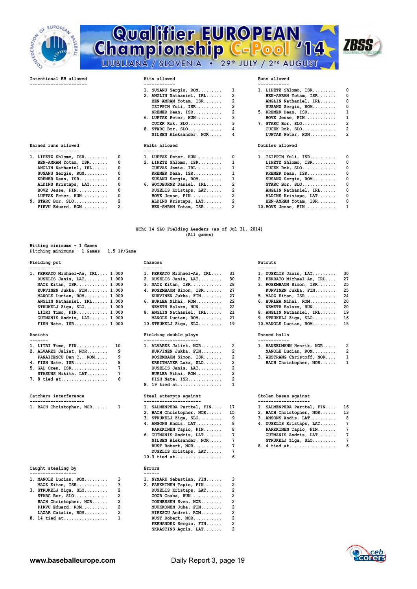

# **Championship C-Pool** 14



|                                      |                | Hits allowed                          |                | Runs allowed            |                         |
|--------------------------------------|----------------|---------------------------------------|----------------|-------------------------|-------------------------|
|                                      |                | 1. SUSANU Sergiu, ROM                 | 1              | $1.$ LIPETZ Shlomo, ISR | 0                       |
|                                      |                | 2. ANGLIN Nathaniel, IRL              | 2              | BEN-AMRAM Yotam, ISR    | 0                       |
|                                      |                | BEN-AMRAM Yotam, ISR                  | 2              | ANGLIN Nathaniel, IRL   | 0                       |
|                                      |                | TZIPPIN Yuli, ISR                     | 2              | SUSANU Sergiu, ROM      | 0                       |
|                                      |                | KREMER Dean, ISR                      |                | 5. KREMER Dean, ISR     | 1                       |
|                                      |                | 6. LUPTAK Peter, HUN                  | 3              | BOVE Jesse, FIN         | 1                       |
|                                      |                | $CUCEK Rok, SLO.$                     | 3              | 7. STARC Bor, SLO       | $\overline{2}$          |
|                                      |                | 8. STARC Bor, SLO                     | 4              | $CUCEK Rok, SLO$        | $\overline{\mathbf{2}}$ |
|                                      |                | NILSEN Aleksander, NOR                | 4              | LUPTAK Peter, HUN       | $\overline{2}$          |
| Earned runs allowed                  |                | Walks allowed                         |                | Doubles allowed         |                         |
| 1. LIPETZ Shlomo, ISR                | 0              | -------------<br>1. LUPTAK Peter, HUN | 0              | 1. TZIPPIN Yuli, ISR    | 0                       |
| BEN-AMRAM Yotam, ISR                 | 0              | 2. LIPETZ Shlomo, ISR                 | 1              | LIPETZ Shlomo, ISR      | 0                       |
| ANGLIN Nathaniel, IRL                | 0              | CUEVAS Jamie, IRL                     | 1              | $CUCEK Rok, SLO.$       | 0                       |
| SUSANU Sergiu, ROM                   | 0              | KREMER Dean, ISR                      | 1              | KREMER Dean, ISR        | 0                       |
| KREMER Dean, ISR                     | 0              | SUSANU Sergiu, ROM                    | 1              | SUSANU Sergiu, ROM      | 0                       |
| ALDINS Kristaps, LAT                 | 0              | 6. WOODBURNE Daniel, IRL              | 2              | $STARC$ Bor, $SLO$      | 0                       |
|                                      | 0              | DUSELIS Kristaps, LAT                 | $\overline{2}$ | ANGLIN Nathaniel, IRL   | $\mathbf 0$             |
|                                      |                |                                       |                | ALDINS Kristaps, LAT    | 0                       |
| BOVE Jesse, FIN<br>LUPTAK Peter, HUN | 0              | BOVE Jesse, FIN                       | 2              |                         |                         |
| $9.$ STARC Bor, SLO                  | $\overline{2}$ | ALDINS Kristaps, LAT                  | $\overline{2}$ | BEN-AMRAM Yotam, ISR    | 0                       |

**Hitting minimums - 1 Games Pitching minimums - 1 Games 1.5 IP/Game** 

### Fielding pct **Chances Chances Putouts**

|                                                                                                                                                                                                                                                                                                | 1. DUSELIS Janis, LAT 30                                                                                                                                                                                                                                                                  |  |
|------------------------------------------------------------------------------------------------------------------------------------------------------------------------------------------------------------------------------------------------------------------------------------------------|-------------------------------------------------------------------------------------------------------------------------------------------------------------------------------------------------------------------------------------------------------------------------------------------|--|
|                                                                                                                                                                                                                                                                                                | 2. FERRATO Michael-An, IRL 27                                                                                                                                                                                                                                                             |  |
|                                                                                                                                                                                                                                                                                                | 3. ROSEMBAUM Simon, ISR 25                                                                                                                                                                                                                                                                |  |
|                                                                                                                                                                                                                                                                                                | KURVINEN Jukka, FIN 25                                                                                                                                                                                                                                                                    |  |
|                                                                                                                                                                                                                                                                                                | 5. MAOZ Eitan, ISR 24                                                                                                                                                                                                                                                                     |  |
|                                                                                                                                                                                                                                                                                                | 6. BURLEA Mihai, $ROM$ 20                                                                                                                                                                                                                                                                 |  |
|                                                                                                                                                                                                                                                                                                | NEMETH Balazs, HUN 20                                                                                                                                                                                                                                                                     |  |
|                                                                                                                                                                                                                                                                                                | 8. ANGLIN Nathaniel, IRL 19                                                                                                                                                                                                                                                               |  |
|                                                                                                                                                                                                                                                                                                | 9. STRUKELJ Ziga, SLO $16$                                                                                                                                                                                                                                                                |  |
|                                                                                                                                                                                                                                                                                                | 10. MANOLE Lucian, ROM 15                                                                                                                                                                                                                                                                 |  |
| 1. FERRATO Michael-An, IRL 1.000<br>DUSELIS Janis, LAT 1.000<br>MAOZ Eitan, ISR 1.000<br>KURVINEN Jukka, FIN 1.000<br>MANOLE Lucian, ROM 1.000<br>ANGLIN Nathaniel, IRL 1.000<br>$STRUKELJ$ Ziga, $SLO$ $1.000$<br>LIIRI Timo, FIN 1.000<br>GUTMANIS Andris, LAT 1.000<br>FISH Nate, ISR 1.000 | 1. FERRATO Michael-An, IRL 31<br>2. DUSELIS Janis, LAT 30<br>3. MAOZ Eitan, ISR 28<br>4. ROSEMBAUM Simon, ISR 27<br>KURVINEN Jukka, FIN 27<br>6. BURLEA Mihai, $ROM$ 22<br>NEMETH Balazs, HUN 22<br>8. ANGLIN Nathaniel, IRL 21<br>MANOLE Lucian, ROM 21<br>$10.$ STRUKELJ Ziga, SLO $19$ |  |

| 1. LIIRI Timo, FIN $10$  | 1. ALVAREZ Jaliet, NOR 2                                                                                                                                                                                                                                                                       | 1. HANSELMANN Henrik, NOR 2  |  |
|--------------------------|------------------------------------------------------------------------------------------------------------------------------------------------------------------------------------------------------------------------------------------------------------------------------------------------|------------------------------|--|
| 2. ALVAREZ Jaliet, NOR 9 | KURVINEN Jukka, FIN 2                                                                                                                                                                                                                                                                          | MANOLE Lucian, ROM 2         |  |
| PANAITESCU Dan C., ROM 9 | ROSEMBAUM Simon, ISR 2                                                                                                                                                                                                                                                                         | 3. WESTRANG Christoff, NOR 1 |  |
| 4. FISH Nate, ISR 8      | KREITMAYER Luka, SLO 2                                                                                                                                                                                                                                                                         | BACH Christopher, NOR 1      |  |
|                          | DUSELIS Janis, LAT 2                                                                                                                                                                                                                                                                           |                              |  |
| STASUNS Nikita, LAT 7    | BURLEA Mihai, ROM 2                                                                                                                                                                                                                                                                            |                              |  |
| 7. 8 tied at 6           | FISH Nate, ISR 2                                                                                                                                                                                                                                                                               |                              |  |
|                          | $\sim$ 10 $\sim$ 1 $\sim$ 1 $\sim$ 1 $\sim$ 1 $\sim$ 1 $\sim$ 1 $\sim$ 1 $\sim$ 1 $\sim$ 1 $\sim$ 1 $\sim$ 1 $\sim$ 1 $\sim$ 1 $\sim$ 1 $\sim$ 1 $\sim$ 1 $\sim$ 1 $\sim$ 1 $\sim$ 1 $\sim$ 1 $\sim$ 1 $\sim$ 1 $\sim$ 1 $\sim$ 1 $\sim$ 1 $\sim$ 1 $\sim$ 1 $\sim$ 1 $\sim$ 1 $\sim$ 1 $\sim$ |                              |  |

Catchers interference **Steal attempts against** Stolen bases against

|  | 1. BACH Christopher, NOR |  |
|--|--------------------------|--|

### **Caught stealing by Errors**

| 1. MANOLE Lucian, ROM | 3            | 1. NYMARK Sebastian, FIN |   |
|-----------------------|--------------|--------------------------|---|
| MAOZ Eitan, ISR       | 3            | 2. PARKKINEN Tapio, FIN  |   |
| 3. STRUKELJ Ziga, SLO | 2            | DUSELIS Kristaps, LAT    |   |
| STARC Bor, $SLO$      | 2            | GOOR Csaba, HUN          |   |
| BACH Christopher, NOR | -2           | TONNESSEN Sven, NOR      |   |
| PIRVU Eduard, ROM     | 2            | MUUKKONEN Juha, FIN      |   |
| LAZAR Catalin, ROM    | 2            | MIRESCU Andrei, ROM      |   |
| 8. 14 tied at         | $\mathbf{1}$ | RUST Robert, NOR         | 2 |

| 1. FERRATO Michael-An, IRL                                                                                                                                                                                                                                                                                                                                            | 31  |
|-----------------------------------------------------------------------------------------------------------------------------------------------------------------------------------------------------------------------------------------------------------------------------------------------------------------------------------------------------------------------|-----|
| 2. DUSELIS Janis, LAT                                                                                                                                                                                                                                                                                                                                                 | 30  |
| 3. MAOZ Eitan, ISR                                                                                                                                                                                                                                                                                                                                                    | 28  |
| 4. ROSEMBAUM Simon, ISR                                                                                                                                                                                                                                                                                                                                               | 27  |
| KURVINEN Jukka, FIN                                                                                                                                                                                                                                                                                                                                                   | 27  |
| 6. BURLEA Mihai, ROM                                                                                                                                                                                                                                                                                                                                                  | 22  |
| NEMETH Balazs, HUN                                                                                                                                                                                                                                                                                                                                                    | 22  |
| 8. ANGLIN Nathaniel, IRL                                                                                                                                                                                                                                                                                                                                              | 21  |
| MANOLE Lucian, ROM                                                                                                                                                                                                                                                                                                                                                    | 21  |
| $\overline{10}$ $\overline{0}$ $\overline{0}$ $\overline{10}$ $\overline{10}$ $\overline{10}$ $\overline{10}$ $\overline{10}$ $\overline{10}$ $\overline{10}$ $\overline{10}$ $\overline{10}$ $\overline{10}$ $\overline{10}$ $\overline{10}$ $\overline{10}$ $\overline{10}$ $\overline{10}$ $\overline{10}$ $\overline{10}$ $\overline{10}$ $\overline{10}$ $\over$ | . . |

### **Assists Fielding double plays Passed balls**

| 1. LIIRI Timo, FIN 10    |                | 1. ALVAREZ Jaliet, NOR 2 |  |
|--------------------------|----------------|--------------------------|--|
| 2. ALVAREZ Jaliet, NOR 9 |                | KURVINEN Jukka, FIN 2    |  |
| PANAITESCU Dan C., ROM   |                | ROSEMBAUM Simon, ISR 2   |  |
| 4. FISH Nate, ISR        | - 8            | KREITMAYER Luka, SLO 2   |  |
| $5. GAL$ Oren, ISR       | $\overline{7}$ | DUSELIS Janis, LAT 2     |  |
| STASUNS Nikita, LAT      | $\overline{7}$ | BURLEA Mihai, ROM 2      |  |
| 7. 8 tied at  6          |                | FISH Nate, ISR 2         |  |
|                          |                | 8. 19 tied at 1          |  |
|                          |                |                          |  |

| 1. BACH Christopher, NOR 1 | 1. SALMENPERA Perttel, FIN 17 | 1. SALMENPERA Perttel, FIN 16 |
|----------------------------|-------------------------------|-------------------------------|
|                            | 2. BACH Christopher, NOR 15   | 2. BACH Christopher, NOR 13   |
|                            | $3.$ STRUKELJ Ziga, SLO 9     | $3.$ ANSONS Andis, LAT 8      |
|                            | 4. ANSONS Andis, $LAT$ 8      | 4. DUSELIS Kristaps, LAT 7    |
|                            | PARKKINEN Tapio, FIN 8        | PARKKINEN Tapio, FIN 7        |
|                            | 6. GUTMANIS Andris, LAT 7     | GUTMANIS Andris, LAT 7        |
|                            | NILSEN Aleksander, NOR 7      | STRUKELJ Ziqa, SLO            |
|                            |                               |                               |
|                            | DUSELIS Kristaps, LAT 7       |                               |
|                            | 10.3 tied $at$                |                               |
|                            |                               |                               |

| 1. MANOLE Lucian, ROM |                         | 1. NYMARK Sebastian, FIN |                |
|-----------------------|-------------------------|--------------------------|----------------|
| $MAOZ$ Eitan, ISR 3   |                         | 2. PARKKINEN Tapio, FIN  | $\overline{2}$ |
| 3. STRUKELJ Ziga, SLO | $\overline{2}$          | DUSELIS Kristaps, LAT    | 2              |
| $STARC$ Bor, $SLO$    | 2                       | GOOR Csaba, HUN          |                |
| BACH Christopher, NOR | $\overline{\mathbf{2}}$ | TONNESSEN Sven, NOR      |                |
| PIRVU Eduard, ROM 2   |                         | MUUKKONEN Juha, FIN      |                |
| LAZAR Catalin, ROM    | 2                       | MIRESCU Andrei, ROM      |                |
| 8. 14 tied at       1 |                         | RUST Robert, NOR         | $\overline{2}$ |
|                       |                         | FERNANDEZ Sergio, FIN    | 2              |
|                       |                         | SKRASTINS Agris, LAT     |                |
|                       |                         |                          |                |

| 1. DUSELIS Janis, LAT      | 30 |
|----------------------------|----|
| 2. FERRATO Michael-An, IRL | 27 |
| 3. ROSEMBAUM Simon, ISR    | 25 |
| KURVINEN Jukka, FIN        | 25 |
| 5. MAOZ Eitan, ISR         | 24 |
| 6. BURLEA Mihai, ROM       | 20 |
| NEMETH Balazs, HUN         | 20 |
| 8. ANGLIN Nathaniel, IRL   | 19 |
| 9. STRUKELJ Ziga, SLO      | 16 |

| 2                        | 1. HANSELMANN Henrik, NOR<br>2 |
|--------------------------|--------------------------------|
| $\mathcal{P}$            | MANOLE Lucian, ROM<br>2        |
| $\mathcal{P}$            | 3. WESTRANG Christoff, NOR     |
| $\mathcal{P}$            | BACH Christopher, NOR          |
| $\overline{\phantom{a}}$ |                                |
|                          |                                |

| 1. BACH Christopher, NOR 1 | 1. SALMENPERA Perttel, FIN 17 | 1. SALMENPERA Perttel, FIN 16 |  |
|----------------------------|-------------------------------|-------------------------------|--|
|                            | 2. BACH Christopher, NOR 15   | 2. BACH Christopher, NOR 13   |  |
|                            | $3.$ STRUKELJ Ziga, SLO 9     | $3.$ ANSONS Andis, $LAT$ 8    |  |
|                            | 4. ANSONS Andis, LAT 8        | 4. DUSELIS Kristaps, LAT 7    |  |
|                            | PARKKINEN Tapio, FIN 8        | PARKKINEN Tapio, FIN 7        |  |
|                            | 6. GUTMANIS Andris, LAT 7     | GUTMANIS Andris, LAT 7        |  |
|                            | NILSEN Aleksander, NOR 7      | STRUKELJ Ziga, SLO $7$        |  |
|                            |                               | 8. 4 tied at 6                |  |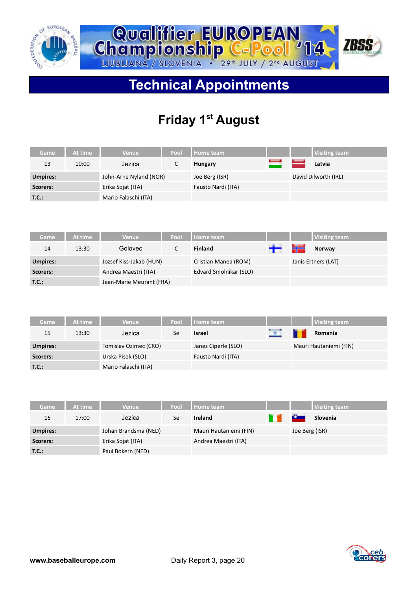



# **Technical Appointments**

# **Friday 1st August**

| Game     | At time | <b>Venue</b>           | Pool | Home team          |      | <b>Visiting team</b> |
|----------|---------|------------------------|------|--------------------|------|----------------------|
| 13       | 10:00   | Jezica                 |      | <b>Hungary</b>     | سىدا | Latvia               |
| Umpires: |         | John-Arne Nyland (NOR) |      | Joe Berg (ISR)     |      | David Dilworth (IRL) |
| Scorers: |         | Erika Sojat (ITA)      |      | Fausto Nardi (ITA) |      |                      |
| T.C.:    |         | Mario Falaschi (ITA)   |      |                    |      |                      |

| Game            | At time | Venue                    | Pool | <b>Home team</b>       |               |   | <b>Visiting team</b> |
|-----------------|---------|--------------------------|------|------------------------|---------------|---|----------------------|
| 14              | 13:30   | Golovec                  |      | <b>Finland</b>         | $\rightarrow$ | ₩ | Norway               |
| <b>Umpires:</b> |         | Jozsef Kiss-Jakab (HUN)  |      | Cristian Manea (ROM)   |               |   | Janis Ertners (LAT)  |
| Scorers:        |         | Andrea Maestri (ITA)     |      | Edvard Smolnikar (SLO) |               |   |                      |
| T.C.:           |         | Jean-Marie Meurant (FRA) |      |                        |               |   |                      |

| Game            | At time | <b>Venue</b>          | Pool | Home team           |           | <b>Visiting team</b>   |
|-----------------|---------|-----------------------|------|---------------------|-----------|------------------------|
| 15              | 13:30   | Jezica                | Se   | <b>Israel</b>       | $\bullet$ | Romania                |
| <b>Umpires:</b> |         | Tomislav Ozimec (CRO) |      | Janez Ciperle (SLO) |           | Mauri Hautaniemi (FIN) |
| Scorers:        |         | Urska Pisek (SLO)     |      | Fausto Nardi (ITA)  |           |                        |
| T.C.:           |         | Mario Falaschi (ITA)  |      |                     |           |                        |

| Game            | At time | <b>Venue</b>         | Pool | Home team              |                | <b>Visiting team</b> |
|-----------------|---------|----------------------|------|------------------------|----------------|----------------------|
| 16              | 17:00   | Jezica               | Se   | <b>Ireland</b>         | <u>Car</u>     | Slovenia             |
| <b>Umpires:</b> |         | Johan Brandsma (NED) |      | Mauri Hautaniemi (FIN) | Joe Berg (ISR) |                      |
| Scorers:        |         | Erika Sojat (ITA)    |      | Andrea Maestri (ITA)   |                |                      |
| T.C.:           |         | Paul Bokern (NED)    |      |                        |                |                      |